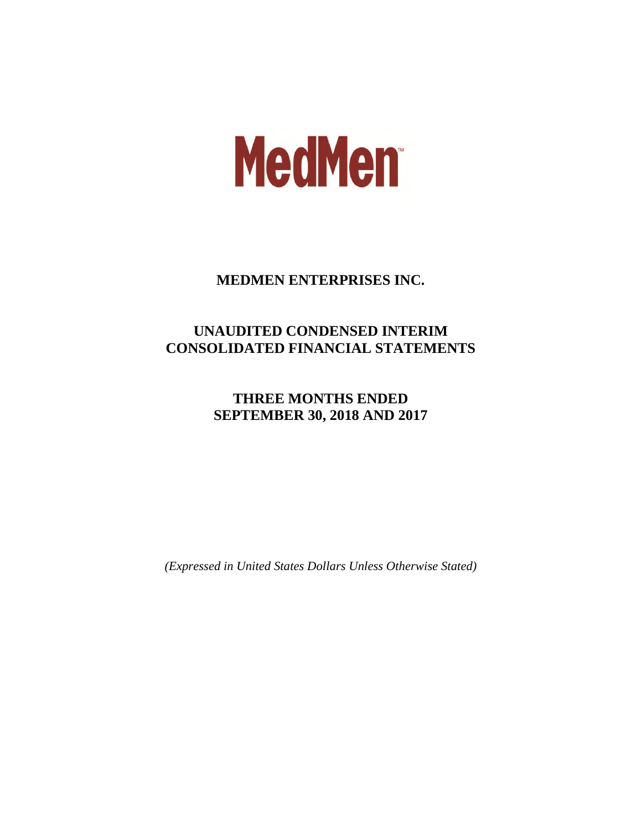# **MedMen**

# **MEDMEN ENTERPRISES INC.**

# **UNAUDITED CONDENSED INTERIM CONSOLIDATED FINANCIAL STATEMENTS**

# **THREE MONTHS ENDED SEPTEMBER 30, 2018 AND 2017**

*(Expressed in United States Dollars Unless Otherwise Stated)*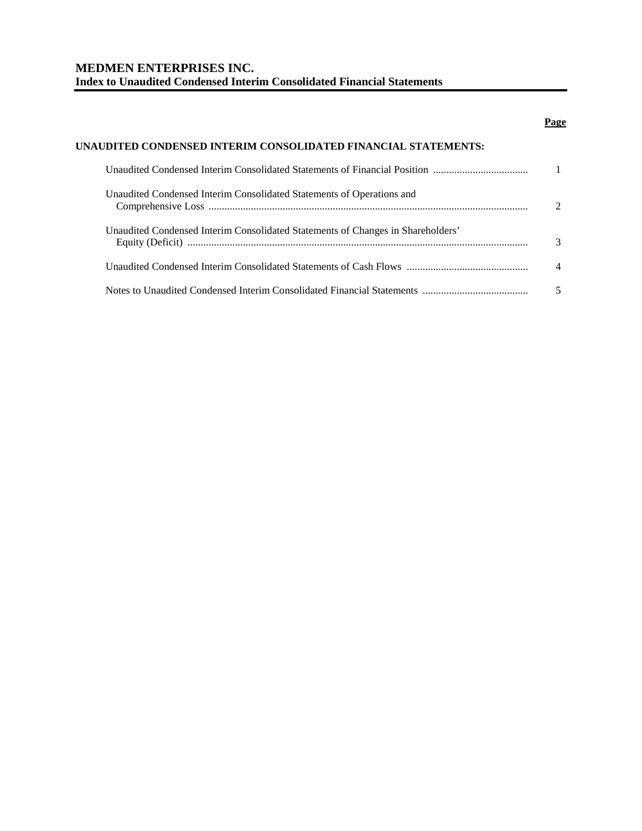# **MEDMEN ENTERPRISES INC. Index to Unaudited Condensed Interim Consolidated Financial Statements**

# **Page**

| UNAUDITED CONDENSED INTERIM CONSOLIDATED FINANCIAL STATEMENTS:                  |  |
|---------------------------------------------------------------------------------|--|
|                                                                                 |  |
| Unaudited Condensed Interim Consolidated Statements of Operations and           |  |
| Unaudited Condensed Interim Consolidated Statements of Changes in Shareholders' |  |
|                                                                                 |  |
|                                                                                 |  |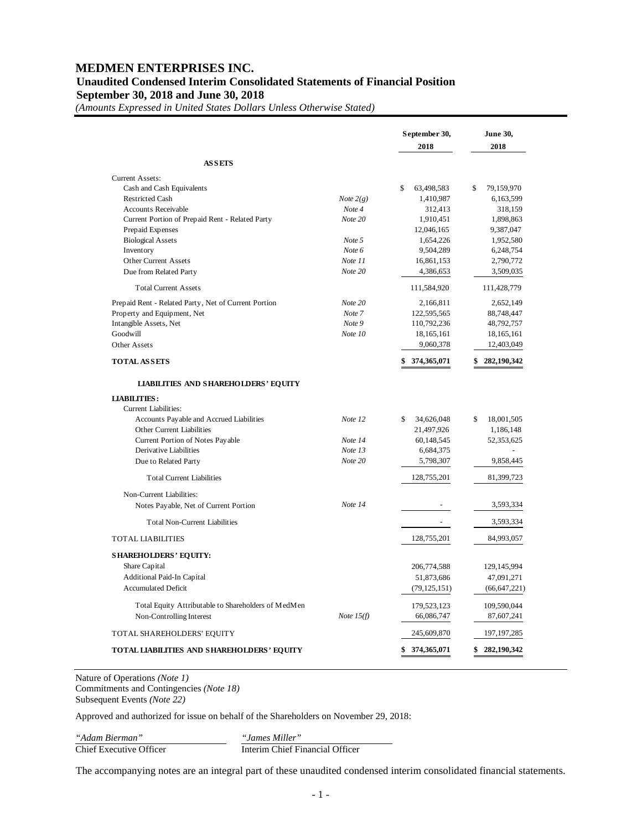# **MEDMEN ENTERPRISES INC. Unaudited Condensed Interim Consolidated Statements of Financial Position September 30, 2018 and June 30, 2018**

*(Amounts Expressed in United States Dollars Unless Otherwise Stated)*

|                                                      |              | September 30,<br>2018 | June 30,<br>2018 |
|------------------------------------------------------|--------------|-----------------------|------------------|
| <b>ASSETS</b>                                        |              |                       |                  |
| Current Assets:                                      |              |                       |                  |
| Cash and Cash Equivalents                            |              | \$<br>63,498,583      | 79,159,970<br>\$ |
| <b>Restricted Cash</b>                               | Note $2(g)$  | 1,410,987             | 6,163,599        |
| <b>Accounts Receivable</b>                           | Note 4       | 312,413               | 318,159          |
| Current Portion of Prepaid Rent - Related Party      | Note 20      | 1,910,451             | 1,898,863        |
| Prepaid Expenses                                     |              | 12,046,165            | 9,387,047        |
| <b>Biological Assets</b>                             | Note 5       | 1,654,226             | 1,952,580        |
| Inventory                                            | Note 6       | 9,504,289             | 6,248,754        |
| Other Current Assets                                 | Note 11      | 16,861,153            | 2,790,772        |
| Due from Related Party                               | Note 20      | 4,386,653             | 3,509,035        |
| <b>Total Current Assets</b>                          |              | 111,584,920           | 111,428,779      |
| Prepaid Rent - Related Party, Net of Current Portion | Note 20      | 2,166,811             | 2,652,149        |
| Property and Equipment, Net                          | Note 7       | 122,595,565           | 88,748,447       |
| Intangible Assets, Net                               | Note 9       | 110,792,236           | 48,792,757       |
| Goodwill                                             | Note 10      | 18,165,161            | 18,165,161       |
| Other Assets                                         |              | 9,060,378             | 12,403,049       |
| <b>TOTAL ASSETS</b>                                  |              | 374,365,071           | 282,190,342      |
| <b>LIABILITIES AND SHAREHOLDERS' EQUITY</b>          |              |                       |                  |
| <b>LIABILITIES:</b>                                  |              |                       |                  |
| Current Liabilities:                                 |              |                       |                  |
| Accounts Payable and Accrued Liabilities             | Note 12      | 34,626,048<br>\$      | \$<br>18,001,505 |
| Other Current Liabilities                            |              | 21,497,926            | 1,186,148        |
| Current Portion of Notes Payable                     | Note 14      | 60,148,545            | 52,353,625       |
| Derivative Liabilities                               | Note 13      | 6,684,375             |                  |
| Due to Related Party                                 | Note 20      | 5,798,307             | 9,858,445        |
| <b>Total Current Liabilities</b>                     |              | 128,755,201           | 81,399,723       |
| Non-Current Liabilities:                             |              |                       |                  |
| Notes Payable, Net of Current Portion                | Note 14      | $\blacksquare$        | 3,593,334        |
| <b>Total Non-Current Liabilities</b>                 |              |                       | 3,593,334        |
| <b>TOTAL LIABILITIES</b>                             |              | 128,755,201           | 84,993,057       |
| <b>SHAREHOLDERS' EQUITY:</b>                         |              |                       |                  |
| Share Capital                                        |              | 206,774,588           | 129,145,994      |
| Additional Paid-In Capital                           |              | 51,873,686            | 47,091,271       |
| <b>Accumulated Deficit</b>                           |              | (79, 125, 151)        | (66, 647, 221)   |
| Total Equity Attributable to Shareholders of MedMen  |              | 179,523,123           | 109,590,044      |
| Non-Controlling Interest                             | Note $15(f)$ | 66,086,747            | 87,607,241       |
| TOTAL SHAREHOLDERS' EQUITY                           |              | 245,609,870           | 197, 197, 285    |
|                                                      |              |                       |                  |

Nature of Operations *(Note 1)* Commitments and Contingencies *(Note 18)* Subsequent Events *(Note 22)*

Approved and authorized for issue on behalf of the Shareholders on November 29, 2018:

*"Adam Bierman"*<br>
Chief Executive Officer

"James Miller"<br>Interim Chief Financial Officer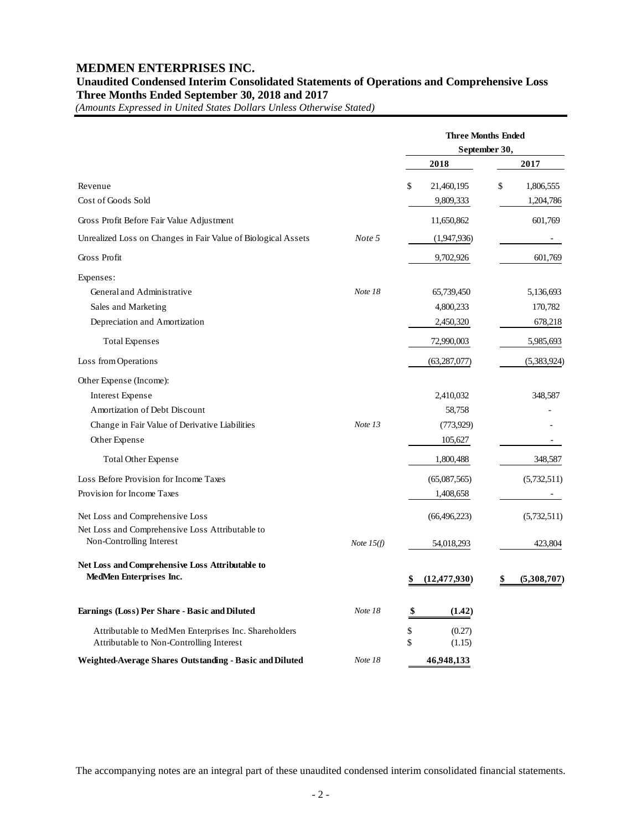# **MEDMEN ENTERPRISES INC.**

# **Unaudited Condensed Interim Consolidated Statements of Operations and Comprehensive Loss Three Months Ended September 30, 2018 and 2017**

*(Amounts Expressed in United States Dollars Unless Otherwise Stated)*

|                                                                                                  |              | <b>Three Months Ended</b>    |                   |  |  |
|--------------------------------------------------------------------------------------------------|--------------|------------------------------|-------------------|--|--|
|                                                                                                  |              | September 30,                |                   |  |  |
|                                                                                                  |              | 2018                         | 2017              |  |  |
| Revenue                                                                                          |              | \$<br>21,460,195             | \$<br>1,806,555   |  |  |
| Cost of Goods Sold                                                                               |              | 9,809,333                    | 1,204,786         |  |  |
| Gross Profit Before Fair Value Adjustment                                                        |              | 11,650,862                   | 601,769           |  |  |
| Unrealized Loss on Changes in Fair Value of Biological Assets                                    | Note 5       | (1,947,936)                  |                   |  |  |
| Gross Profit                                                                                     |              | 9,702,926                    | 601,769           |  |  |
| Expenses:                                                                                        |              |                              |                   |  |  |
| General and Administrative                                                                       | Note 18      | 65,739,450                   | 5,136,693         |  |  |
| Sales and Marketing                                                                              |              | 4,800,233                    | 170,782           |  |  |
| Depreciation and Amortization                                                                    |              | 2,450,320                    | 678,218           |  |  |
| <b>Total Expenses</b>                                                                            |              | 72,990,003                   | 5,985,693         |  |  |
| Loss from Operations                                                                             |              | (63, 287, 077)               | (5,383,924)       |  |  |
| Other Expense (Income):                                                                          |              |                              |                   |  |  |
| <b>Interest Expense</b>                                                                          |              | 2,410,032                    | 348,587           |  |  |
| Amortization of Debt Discount                                                                    |              | 58,758                       |                   |  |  |
| Change in Fair Value of Derivative Liabilities                                                   | Note 13      | (773, 929)                   |                   |  |  |
| Other Expense                                                                                    |              | 105,627                      |                   |  |  |
| Total Other Expense                                                                              |              | 1,800,488                    | 348,587           |  |  |
| Loss Before Provision for Income Taxes                                                           |              | (65,087,565)                 | (5,732,511)       |  |  |
| Provision for Income Taxes                                                                       |              | 1,408,658                    |                   |  |  |
| Net Loss and Comprehensive Loss                                                                  |              | (66, 496, 223)               | (5,732,511)       |  |  |
| Net Loss and Comprehensive Loss Attributable to                                                  |              |                              |                   |  |  |
| Non-Controlling Interest                                                                         | Note $15(f)$ | 54,018,293                   | 423,804           |  |  |
| Net Loss and Comprehensive Loss Attributable to<br>MedMen Enterprises Inc.                       |              | \$<br>(12, 477, 930)         | (5,308,707)<br>\$ |  |  |
| Earnings (Loss) Per Share - Basic and Diluted                                                    | Note 18      | \$<br>(1.42)                 |                   |  |  |
| Attributable to MedMen Enterprises Inc. Shareholders<br>Attributable to Non-Controlling Interest |              | \$<br>(0.27)<br>\$<br>(1.15) |                   |  |  |
| Weighted-Average Shares Outstanding - Basic and Diluted                                          | Note 18      | 46,948,133                   |                   |  |  |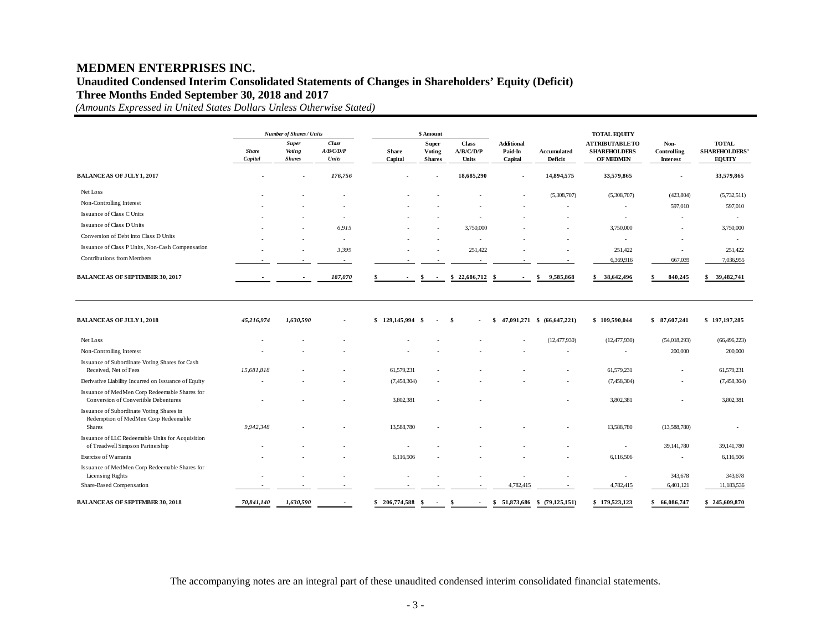# **MEDMEN ENTERPRISES INC. Unaudited Condensed Interim Consolidated Statements of Changes in Shareholders' Equity (Deficit)**

**Three Months Ended September 30, 2018 and 2017**

*(Amounts Expressed in United States Dollars Unless Otherwise Stated)*

|                                                                                                   |                         | <b>Number of Shares / Units</b>         |                                    | \$ Amount               |                                  |                                           |                                         | <b>TOTAL EQUITY</b>           |                                                           |                                 |                                                       |
|---------------------------------------------------------------------------------------------------|-------------------------|-----------------------------------------|------------------------------------|-------------------------|----------------------------------|-------------------------------------------|-----------------------------------------|-------------------------------|-----------------------------------------------------------|---------------------------------|-------------------------------------------------------|
|                                                                                                   | <b>Share</b><br>Capital | <b>Super</b><br>Voting<br><b>Shares</b> | <b>Class</b><br>A/B/C/D/P<br>Units | <b>Share</b><br>Capital | Super<br>Voting<br><b>Shares</b> | <b>Class</b><br>A/B/C/D/P<br><b>Units</b> | <b>Additional</b><br>Paid-In<br>Capital | Accumulated<br>Deficit        | <b>ATTRIBUTABLETO</b><br><b>SHAREHOLDERS</b><br>OF MEDMEN | Non-<br>Controlling<br>Interest | <b>TOTAL</b><br><b>SHAREHOLDERS'</b><br><b>EQUITY</b> |
| <b>BALANCEAS OF JULY 1, 2017</b>                                                                  |                         |                                         | 176,756                            |                         |                                  | 18,685,290                                |                                         | 14,894,575                    | 33,579,865                                                |                                 | 33,579,865                                            |
| Net Loss                                                                                          |                         |                                         |                                    |                         |                                  |                                           |                                         | (5,308,707)                   | (5,308,707)                                               | (423, 804)                      | (5,732,511)                                           |
| Non-Controlling Interest                                                                          |                         |                                         |                                    |                         |                                  |                                           |                                         |                               | ÷.                                                        | 597,010                         | 597,010                                               |
| Issuance of Class C Units                                                                         |                         |                                         |                                    |                         |                                  |                                           |                                         |                               | $\overline{a}$                                            | $\sim$                          | $\sim$                                                |
| Issuance of Class D Units                                                                         |                         |                                         | 6,915                              |                         |                                  | 3,750,000                                 |                                         |                               | 3,750,000                                                 | ÷,                              | 3,750,000                                             |
| Conversion of Debt into Class D Units                                                             |                         |                                         | $\sim$                             |                         |                                  |                                           |                                         |                               | $\sim$                                                    | ÷,                              | $\sim$                                                |
| Issuance of Class P Units, Non-Cash Compensation                                                  |                         |                                         | 3,399                              |                         |                                  | 251,422                                   |                                         |                               | 251,422                                                   | $\sim$                          | 251,422                                               |
| Contributions from Members                                                                        |                         |                                         |                                    |                         |                                  |                                           |                                         |                               | 6,369,916                                                 | 667,039                         | 7,036,955                                             |
| <b>BALANCEAS OF SEPTEMBER 30, 2017</b>                                                            |                         |                                         | 187,070                            |                         | \$<br>$\overline{\phantom{a}}$   | 22,686,712<br>\$                          | - 9                                     | 9,585,868<br>\$               | 38,642,496<br>\$                                          | 840,245                         | 39,482,741<br>\$                                      |
| <b>BALANCEAS OF JULY 1, 2018</b>                                                                  | 45,216,974              | 1,630,590                               |                                    | $$129,145,994$ \$       |                                  | \$                                        | - \$                                    | 47,091,271 \$ (66,647,221)    | \$109,590,044                                             | \$87,607,241                    | \$197,197,285                                         |
| Net Loss                                                                                          |                         |                                         |                                    |                         |                                  |                                           |                                         | (12, 477, 930)                | (12, 477, 930)                                            | (54,018,293)                    | (66, 496, 223)                                        |
| Non-Controlling Interest                                                                          |                         |                                         |                                    |                         |                                  |                                           |                                         |                               |                                                           | 200,000                         | 200,000                                               |
| Issuance of Subordinate Voting Shares for Cash<br>Received, Net of Fees                           | 15,681,818              |                                         |                                    | 61,579,231              |                                  |                                           |                                         |                               | 61,579,231                                                |                                 | 61,579,231                                            |
| Derivative Liability Incurred on Issuance of Equity                                               |                         |                                         |                                    | (7,458,304)             |                                  |                                           |                                         |                               | (7,458,304)                                               | $\overline{\phantom{a}}$        | (7,458,304)                                           |
| Issuance of MedMen Corp Redeemable Shares for<br>Conversion of Convertible Debentures             |                         |                                         |                                    | 3,802,381               |                                  |                                           |                                         |                               | 3,802,381                                                 |                                 | 3,802,381                                             |
| Issuance of Subordinate Voting Shares in<br>Redemption of MedMen Corp Redeemable<br><b>Shares</b> | 9,942,348               |                                         |                                    | 13,588,780              |                                  |                                           |                                         |                               | 13,588,780                                                | (13,588,780)                    |                                                       |
| Issuance of LLC Redeemable Units for Acquisition<br>of Treadwell Simpson Partnership              |                         |                                         |                                    |                         |                                  |                                           |                                         |                               | $\sim$                                                    | 39,141,780                      | 39,141,780                                            |
| Exercise of Warrants                                                                              |                         |                                         |                                    | 6,116,506               |                                  |                                           |                                         |                               | 6,116,506                                                 | $\sim$                          | 6,116,506                                             |
| Issuance of MedMen Corp Redeemable Shares for<br>Licensing Rights                                 |                         |                                         |                                    |                         |                                  |                                           |                                         |                               | ٠                                                         | 343,678                         | 343,678                                               |
| Share-Based Compensation                                                                          |                         |                                         |                                    |                         |                                  |                                           | 4,782,415                               |                               | 4,782,415                                                 | 6,401,121                       | 11,183,536                                            |
| <b>BALANCEAS OF SEPTEMBER 30, 2018</b>                                                            | 70,841,140              | 1,630,590                               | $\overline{\phantom{a}}$           | $$206,774,588$ \$       | $\sim$                           | \$<br>$\overline{\phantom{a}}$            |                                         | $$51,873,686$ $$(79,125,151)$ | \$179,523,123                                             | \$66,086,747                    | \$245,609,870                                         |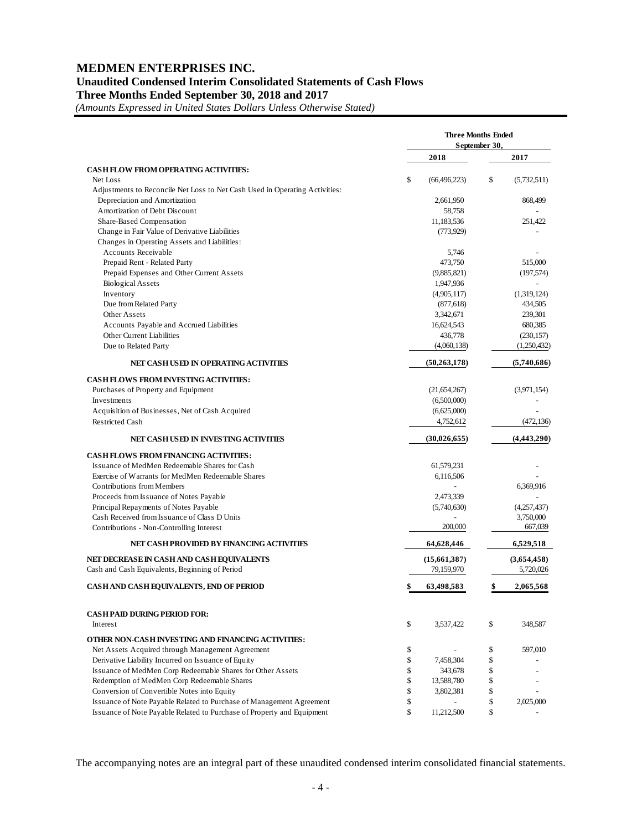# **MEDMEN ENTERPRISES INC. Unaudited Condensed Interim Consolidated Statements of Cash Flows Three Months Ended September 30, 2018 and 2017**

*(Amounts Expressed in United States Dollars Unless Otherwise Stated)*

|                                                                             | <b>Three Months Ended</b><br>September 30, |                          |    |             |
|-----------------------------------------------------------------------------|--------------------------------------------|--------------------------|----|-------------|
|                                                                             |                                            | 2018                     |    | 2017        |
| <b>CASH FLOW FROM OPERATING ACTIVITIES:</b>                                 |                                            |                          |    |             |
| Net Loss                                                                    | \$                                         | (66, 496, 223)           | \$ | (5,732,511) |
| Adjustments to Reconcile Net Loss to Net Cash Used in Operating Activities: |                                            |                          |    |             |
| Depreciation and Amortization                                               |                                            | 2,661,950                |    | 868,499     |
| Amortization of Debt Discount                                               |                                            | 58,758                   |    |             |
| Share-Based Compensation                                                    |                                            | 11,183,536               |    | 251,422     |
| Change in Fair Value of Derivative Liabilities                              |                                            | (773, 929)               |    |             |
| Changes in Operating Assets and Liabilities:                                |                                            |                          |    |             |
| <b>Accounts Receivable</b>                                                  |                                            | 5,746                    |    |             |
| Prepaid Rent - Related Party                                                |                                            | 473,750                  |    | 515,000     |
|                                                                             |                                            |                          |    |             |
| Prepaid Expenses and Other Current Assets                                   |                                            | (9,885,821)              |    | (197, 574)  |
| <b>Biological Assets</b>                                                    |                                            | 1,947,936                |    |             |
| Inventory                                                                   |                                            | (4,905,117)              |    | (1,319,124) |
| Due from Related Party                                                      |                                            | (877, 618)               |    | 434,505     |
| Other Assets                                                                |                                            | 3,342,671                |    | 239,301     |
| Accounts Payable and Accrued Liabilities                                    |                                            | 16,624,543               |    | 680,385     |
| Other Current Liabilities                                                   |                                            | 436,778                  |    | (230, 157)  |
| Due to Related Party                                                        |                                            | (4,060,138)              |    | (1,250,432) |
| NET CASH USED IN OPERATING ACTIVITIES                                       |                                            | (50, 263, 178)           |    | (5,740,686) |
| <b>CASH FLOWS FROM INVESTING ACTIVITIES:</b>                                |                                            |                          |    |             |
| Purchases of Property and Equipment                                         |                                            | (21,654,267)             |    | (3,971,154) |
| Investments                                                                 |                                            | (6,500,000)              |    |             |
| Acquisition of Businesses, Net of Cash Acquired                             |                                            | (6,625,000)              |    |             |
| <b>Restricted Cash</b>                                                      |                                            | 4,752,612                |    | (472, 136)  |
| NET CASH USED IN INVESTING ACTIVITIES                                       |                                            | (30,026,655)             |    | (4,443,290) |
| <b>CASH FLOWS FROM FINANCING ACTIVITIES:</b>                                |                                            |                          |    |             |
| Issuance of MedMen Redeemable Shares for Cash                               |                                            | 61,579,231               |    |             |
| Exercise of Warrants for MedMen Redeemable Shares                           |                                            |                          |    |             |
| Contributions from Members                                                  |                                            | 6,116,506                |    | 6,369,916   |
|                                                                             |                                            |                          |    |             |
| Proceeds from Issuance of Notes Payable                                     |                                            | 2,473,339                |    |             |
| Principal Repayments of Notes Payable                                       |                                            | (5,740,630)              |    | (4,257,437) |
| Cash Received from Issuance of Class D Units                                |                                            |                          |    | 3,750,000   |
| Contributions - Non-Controlling Interest                                    |                                            | 200,000                  |    | 667,039     |
| NET CASH PROVIDED BY FINANCING ACTIVITIES                                   |                                            | 64,628,446               |    | 6,529,518   |
| NET DECREASE IN CASH AND CASH EQUIVALENTS                                   |                                            | (15,661,387)             |    | (3,654,458) |
| Cash and Cash Equivalents, Beginning of Period                              |                                            | 79,159,970               |    | 5,720,026   |
| CASH AND CASH EQUIVALENTS, END OF PERIOD                                    |                                            | 63,498,583               | \$ | 2,065,568   |
| <b>CASH PAID DURING PERIOD FOR:</b>                                         |                                            |                          |    |             |
| Interest                                                                    | \$                                         | 3,537,422                | \$ | 348,587     |
| OTHER NON-CASH INVESTING AND FINANCING ACTIVITIES:                          |                                            |                          |    |             |
| Net Assets Acquired through Management Agreement                            | \$                                         |                          | \$ | 597,010     |
| Derivative Liability Incurred on Issuance of Equity                         | \$                                         | 7,458,304                | \$ |             |
| Issuance of MedMen Corp Redeemable Shares for Other Assets                  | \$                                         | 343,678                  | \$ |             |
| Redemption of MedMen Corp Redeemable Shares                                 |                                            |                          |    |             |
|                                                                             | \$                                         | 13,588,780               | \$ |             |
| Conversion of Convertible Notes into Equity                                 | \$                                         | 3,802,381                | \$ |             |
| Issuance of Note Payable Related to Purchase of Management Agreement        | \$                                         | $\overline{\phantom{a}}$ | \$ | 2,025,000   |
| Issuance of Note Payable Related to Purchase of Property and Equipment      | \$                                         | 11,212,500               | \$ |             |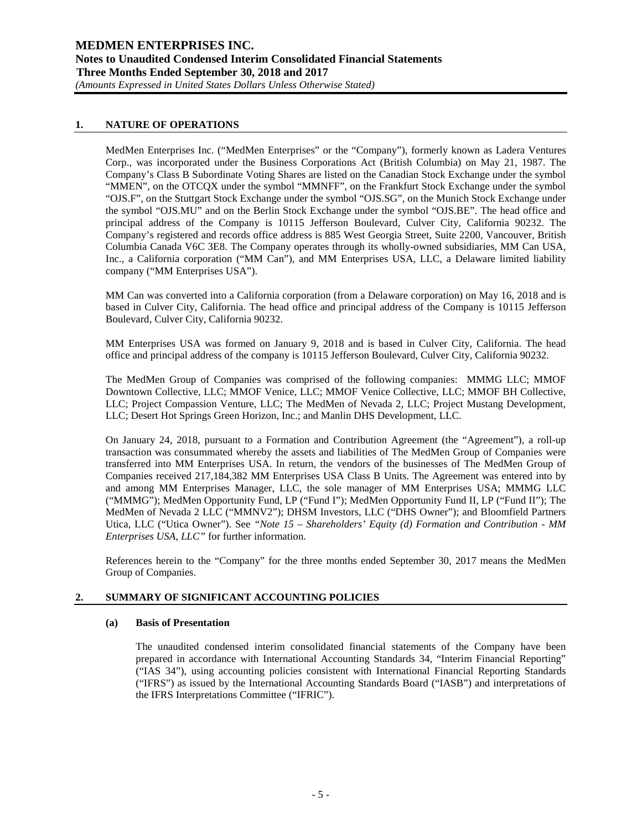# **1. NATURE OF OPERATIONS**

MedMen Enterprises Inc. ("MedMen Enterprises" or the "Company"), formerly known as Ladera Ventures Corp., was incorporated under the Business Corporations Act (British Columbia) on May 21, 1987. The Company's Class B Subordinate Voting Shares are listed on the Canadian Stock Exchange under the symbol "MMEN", on the OTCQX under the symbol "MMNFF", on the Frankfurt Stock Exchange under the symbol "OJS.F", on the Stuttgart Stock Exchange under the symbol "OJS.SG", on the Munich Stock Exchange under the symbol "OJS.MU" and on the Berlin Stock Exchange under the symbol "OJS.BE". The head office and principal address of the Company is 10115 Jefferson Boulevard, Culver City, California 90232. The Company's registered and records office address is 885 West Georgia Street, Suite 2200, Vancouver, British Columbia Canada V6C 3E8. The Company operates through its wholly-owned subsidiaries, MM Can USA, Inc., a California corporation ("MM Can"), and MM Enterprises USA, LLC, a Delaware limited liability company ("MM Enterprises USA").

MM Can was converted into a California corporation (from a Delaware corporation) on May 16, 2018 and is based in Culver City, California. The head office and principal address of the Company is 10115 Jefferson Boulevard, Culver City, California 90232.

MM Enterprises USA was formed on January 9, 2018 and is based in Culver City, California. The head office and principal address of the company is 10115 Jefferson Boulevard, Culver City, California 90232.

The MedMen Group of Companies was comprised of the following companies: MMMG LLC; MMOF Downtown Collective, LLC; MMOF Venice, LLC; MMOF Venice Collective, LLC; MMOF BH Collective, LLC; Project Compassion Venture, LLC; The MedMen of Nevada 2, LLC; Project Mustang Development, LLC; Desert Hot Springs Green Horizon, Inc.; and Manlin DHS Development, LLC.

On January 24, 2018, pursuant to a Formation and Contribution Agreement (the "Agreement"), a roll-up transaction was consummated whereby the assets and liabilities of The MedMen Group of Companies were transferred into MM Enterprises USA. In return, the vendors of the businesses of The MedMen Group of Companies received 217,184,382 MM Enterprises USA Class B Units. The Agreement was entered into by and among MM Enterprises Manager, LLC, the sole manager of MM Enterprises USA; MMMG LLC ("MMMG"); MedMen Opportunity Fund, LP ("Fund I"); MedMen Opportunity Fund II, LP ("Fund II"); The MedMen of Nevada 2 LLC ("MMNV2"); DHSM Investors, LLC ("DHS Owner"); and Bloomfield Partners Utica, LLC ("Utica Owner"). See *"Note 15 – Shareholders' Equity (d) Formation and Contribution - MM Enterprises USA, LLC"* for further information.

References herein to the "Company" for the three months ended September 30, 2017 means the MedMen Group of Companies.

# **2. SUMMARY OF SIGNIFICANT ACCOUNTING POLICIES**

# **(a) Basis of Presentation**

The unaudited condensed interim consolidated financial statements of the Company have been prepared in accordance with International Accounting Standards 34, "Interim Financial Reporting" ("IAS 34"), using accounting policies consistent with International Financial Reporting Standards ("IFRS") as issued by the International Accounting Standards Board ("IASB") and interpretations of the IFRS Interpretations Committee ("IFRIC").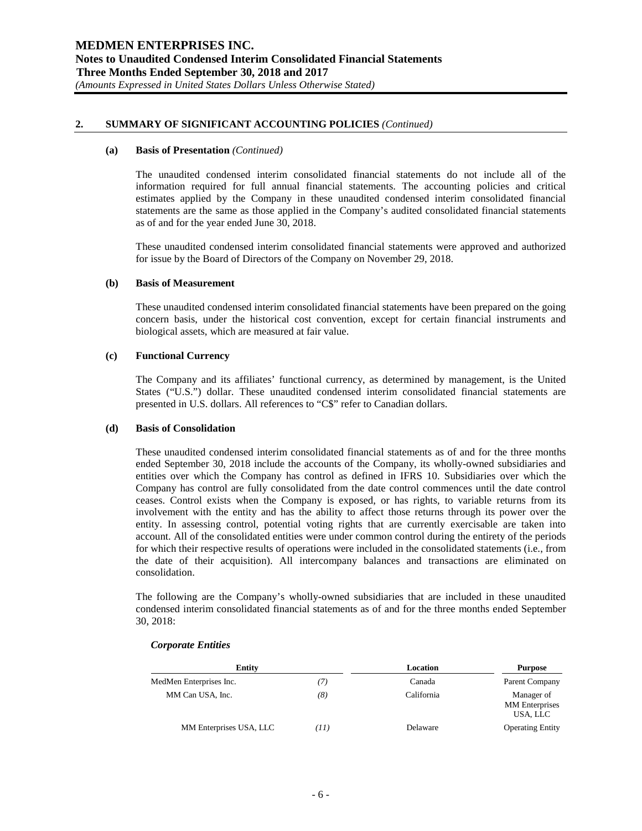#### **(a) Basis of Presentation** *(Continued)*

The unaudited condensed interim consolidated financial statements do not include all of the information required for full annual financial statements. The accounting policies and critical estimates applied by the Company in these unaudited condensed interim consolidated financial statements are the same as those applied in the Company's audited consolidated financial statements as of and for the year ended June 30, 2018.

These unaudited condensed interim consolidated financial statements were approved and authorized for issue by the Board of Directors of the Company on November 29, 2018.

#### **(b) Basis of Measurement**

These unaudited condensed interim consolidated financial statements have been prepared on the going concern basis, under the historical cost convention, except for certain financial instruments and biological assets, which are measured at fair value.

#### **(c) Functional Currency**

The Company and its affiliates' functional currency, as determined by management, is the United States ("U.S.") dollar. These unaudited condensed interim consolidated financial statements are presented in U.S. dollars. All references to "C\$" refer to Canadian dollars.

#### **(d) Basis of Consolidation**

These unaudited condensed interim consolidated financial statements as of and for the three months ended September 30, 2018 include the accounts of the Company, its wholly-owned subsidiaries and entities over which the Company has control as defined in IFRS 10. Subsidiaries over which the Company has control are fully consolidated from the date control commences until the date control ceases. Control exists when the Company is exposed, or has rights, to variable returns from its involvement with the entity and has the ability to affect those returns through its power over the entity. In assessing control, potential voting rights that are currently exercisable are taken into account. All of the consolidated entities were under common control during the entirety of the periods for which their respective results of operations were included in the consolidated statements (i.e., from the date of their acquisition). All intercompany balances and transactions are eliminated on consolidation.

The following are the Company's wholly-owned subsidiaries that are included in these unaudited condensed interim consolidated financial statements as of and for the three months ended September 30, 2018:

# *Corporate Entities*

| Entity                  |     | Location   | <b>Purpose</b>                                  |
|-------------------------|-----|------------|-------------------------------------------------|
| MedMen Enterprises Inc. | 71  | Canada     | Parent Company                                  |
| MM Can USA, Inc.        | (8) | California | Manager of<br><b>MM</b> Enterprises<br>USA, LLC |
| MM Enterprises USA, LLC | 71) | Delaware   | <b>Operating Entity</b>                         |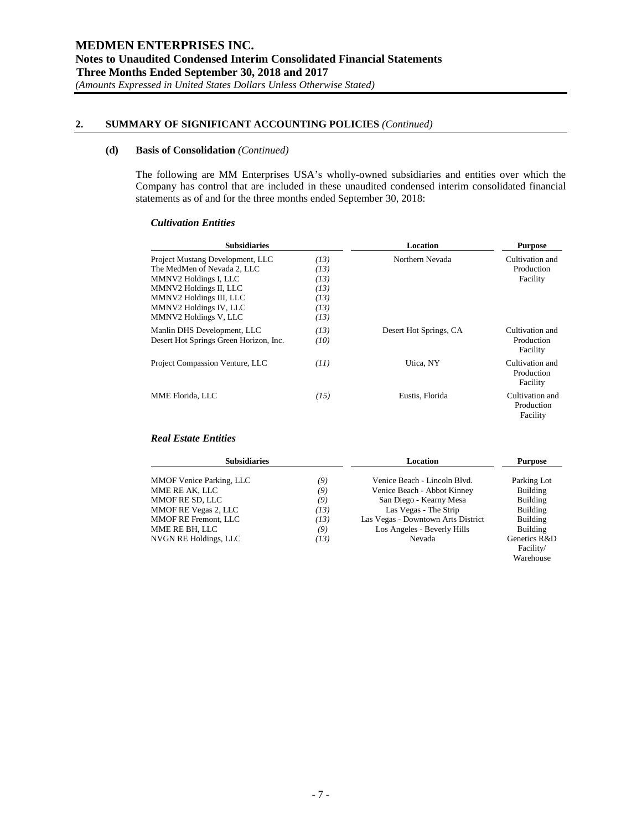#### **(d) Basis of Consolidation** *(Continued)*

The following are MM Enterprises USA's wholly-owned subsidiaries and entities over which the Company has control that are included in these unaudited condensed interim consolidated financial statements as of and for the three months ended September 30, 2018:

#### *Cultivation Entities*

| <b>Subsidiaries</b>                                                                                                                                                                              |                                                      | Location               | <b>Purpose</b>                            |
|--------------------------------------------------------------------------------------------------------------------------------------------------------------------------------------------------|------------------------------------------------------|------------------------|-------------------------------------------|
| Project Mustang Development, LLC<br>The MedMen of Nevada 2, LLC<br>MMNV2 Holdings I, LLC<br>MMNV2 Holdings II, LLC<br>MMNV2 Holdings III, LLC<br>MMNV2 Holdings IV, LLC<br>MMNV2 Holdings V, LLC | (13)<br>(13)<br>(13)<br>(13)<br>(13)<br>(13)<br>(13) | Northern Nevada        | Cultivation and<br>Production<br>Facility |
| Manlin DHS Development, LLC<br>Desert Hot Springs Green Horizon, Inc.                                                                                                                            | (13)<br>(10)                                         | Desert Hot Springs, CA | Cultivation and<br>Production<br>Facility |
| Project Compassion Venture, LLC                                                                                                                                                                  | (11)                                                 | Utica. NY              | Cultivation and<br>Production<br>Facility |
| MME Florida, LLC                                                                                                                                                                                 | (15)                                                 | Eustis, Florida        | Cultivation and<br>Production<br>Facility |

# *Real Estate Entities*

| <b>Subsidiaries</b>             |      | Location                           | <b>Purpose</b> |  |
|---------------------------------|------|------------------------------------|----------------|--|
| <b>MMOF Venice Parking, LLC</b> | (9)  | Venice Beach - Lincoln Blvd.       | Parking Lot    |  |
| MME RE AK, LLC                  | (9)  | Venice Beach - Abbot Kinney        | Building       |  |
| MMOF RE SD, LLC                 | (9)  | San Diego - Kearny Mesa            | Building       |  |
| MMOF RE Vegas 2, LLC            | (13) | Las Vegas - The Strip              | Building       |  |
| MMOF RE Fremont, LLC            | (13) | Las Vegas - Downtown Arts District | Building       |  |
| MME RE BH, LLC                  | (9)  | Los Angeles - Beverly Hills        | Building       |  |
| NVGN RE Holdings, LLC           | (13) | Nevada                             | Genetics R&D   |  |
|                                 |      |                                    | Facility/      |  |

Warehouse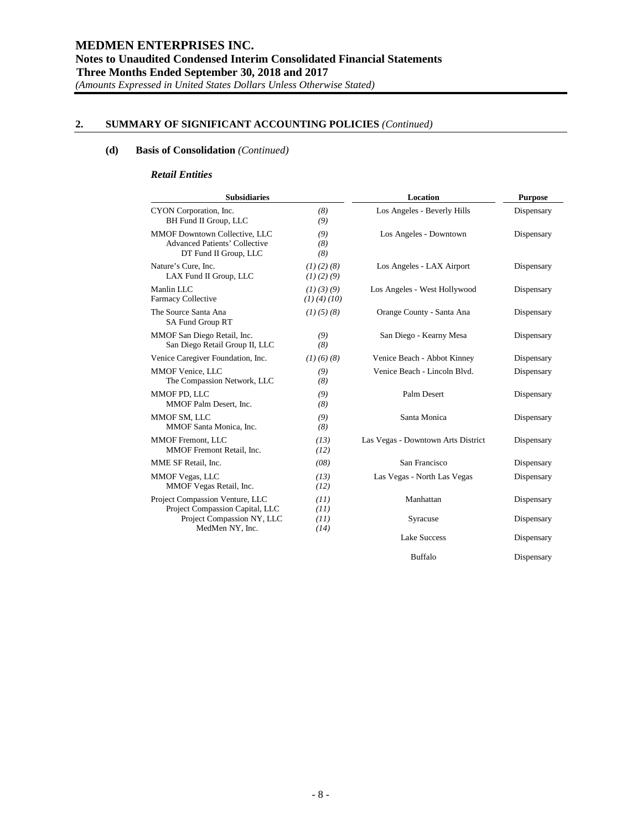# **(d) Basis of Consolidation** *(Continued)*

#### *Retail Entities*

| <b>Subsidiaries</b>                                                                                   |                                 | Location                           | <b>Purpose</b> |
|-------------------------------------------------------------------------------------------------------|---------------------------------|------------------------------------|----------------|
| CYON Corporation, Inc.<br>BH Fund II Group, LLC                                                       | (8)<br>(9)                      | Los Angeles - Beverly Hills        | Dispensary     |
| <b>MMOF Downtown Collective, LLC</b><br><b>Advanced Patients' Collective</b><br>DT Fund II Group, LLC | (9)<br>(8)<br>(8)               | Los Angeles - Downtown             | Dispensary     |
| Nature's Cure, Inc.<br>LAX Fund II Group, LLC                                                         | (1)(2)(8)<br>(1)(2)(9)          | Los Angeles - LAX Airport          | Dispensary     |
| Manlin LLC<br>Farmacy Collective                                                                      | (1)(3)(9)<br>$(1)$ $(4)$ $(10)$ | Los Angeles - West Hollywood       | Dispensary     |
| The Source Santa Ana<br>SA Fund Group RT                                                              | $(1)$ $(5)$ $(8)$               | Orange County - Santa Ana          | Dispensary     |
| MMOF San Diego Retail, Inc.<br>San Diego Retail Group II, LLC                                         | (9)<br>(8)                      | San Diego - Kearny Mesa            | Dispensary     |
| Venice Caregiver Foundation, Inc.                                                                     | (1)(6)(8)                       | Venice Beach - Abbot Kinney        | Dispensary     |
| MMOF Venice, LLC<br>The Compassion Network, LLC                                                       | (9)<br>(8)                      | Venice Beach - Lincoln Blvd.       | Dispensary     |
| MMOF PD. LLC<br>MMOF Palm Desert. Inc.                                                                | (9)<br>(8)                      | Palm Desert                        | Dispensary     |
| MMOF SM, LLC<br>MMOF Santa Monica, Inc.                                                               | (9)<br>(8)                      | Santa Monica                       | Dispensary     |
| <b>MMOF Fremont, LLC</b><br>MMOF Fremont Retail, Inc.                                                 | (13)<br>(12)                    | Las Vegas - Downtown Arts District | Dispensary     |
| MME SF Retail. Inc.                                                                                   | (08)                            | San Francisco                      | Dispensary     |
| <b>MMOF Vegas, LLC</b><br>MMOF Vegas Retail, Inc.                                                     | (13)<br>(12)                    | Las Vegas - North Las Vegas        | Dispensary     |
| Project Compassion Venture, LLC<br>Project Compassion Capital, LLC                                    | (11)<br>(11)                    | Manhattan                          | Dispensary     |
| Project Compassion NY, LLC<br>MedMen NY, Inc.                                                         | (11)<br>(14)                    | Syracuse                           | Dispensary     |
|                                                                                                       |                                 | <b>Lake Success</b>                | Dispensary     |

Buffalo Dispensary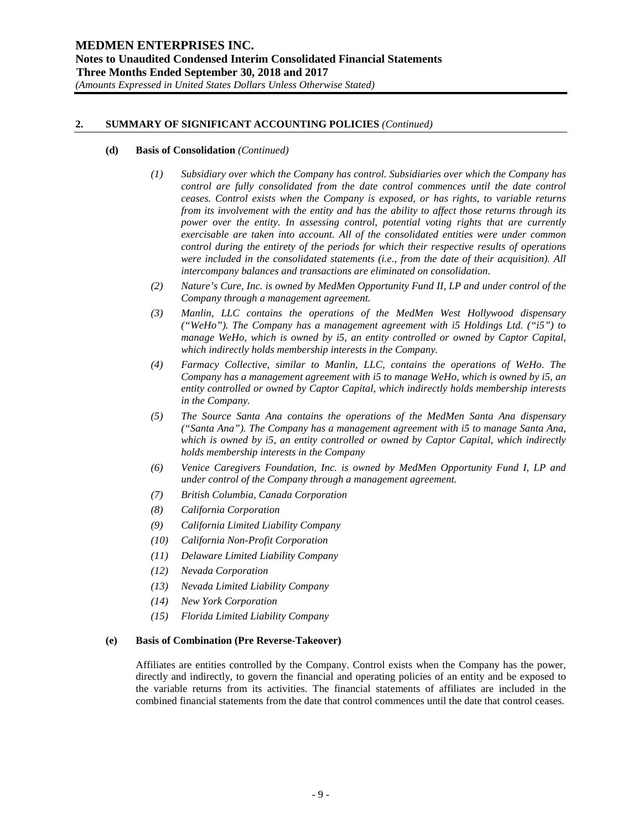#### **(d) Basis of Consolidation** *(Continued)*

- *(1) Subsidiary over which the Company has control. Subsidiaries over which the Company has control are fully consolidated from the date control commences until the date control ceases. Control exists when the Company is exposed, or has rights, to variable returns from its involvement with the entity and has the ability to affect those returns through its power over the entity. In assessing control, potential voting rights that are currently exercisable are taken into account. All of the consolidated entities were under common control during the entirety of the periods for which their respective results of operations were included in the consolidated statements (i.e., from the date of their acquisition). All intercompany balances and transactions are eliminated on consolidation.*
- *(2) Nature's Cure, Inc. is owned by MedMen Opportunity Fund II, LP and under control of the Company through a management agreement.*
- *(3) Manlin, LLC contains the operations of the MedMen West Hollywood dispensary ("WeHo"). The Company has a management agreement with i5 Holdings Ltd. ("i5") to manage WeHo, which is owned by i5, an entity controlled or owned by Captor Capital, which indirectly holds membership interests in the Company.*
- *(4) Farmacy Collective, similar to Manlin, LLC, contains the operations of WeHo. The Company has a management agreement with i5 to manage WeHo, which is owned by i5, an entity controlled or owned by Captor Capital, which indirectly holds membership interests in the Company.*
- *(5) The Source Santa Ana contains the operations of the MedMen Santa Ana dispensary ("Santa Ana"). The Company has a management agreement with i5 to manage Santa Ana, which is owned by i5, an entity controlled or owned by Captor Capital, which indirectly holds membership interests in the Company*
- *(6) Venice Caregivers Foundation, Inc. is owned by MedMen Opportunity Fund I, LP and under control of the Company through a management agreement.*
- *(7) British Columbia, Canada Corporation*
- *(8) California Corporation*
- *(9) California Limited Liability Company*
- *(10) California Non-Profit Corporation*
- *(11) Delaware Limited Liability Company*
- *(12) Nevada Corporation*
- *(13) Nevada Limited Liability Company*
- *(14) New York Corporation*
- *(15) Florida Limited Liability Company*

#### **(e) Basis of Combination (Pre Reverse-Takeover)**

Affiliates are entities controlled by the Company. Control exists when the Company has the power, directly and indirectly, to govern the financial and operating policies of an entity and be exposed to the variable returns from its activities. The financial statements of affiliates are included in the combined financial statements from the date that control commences until the date that control ceases.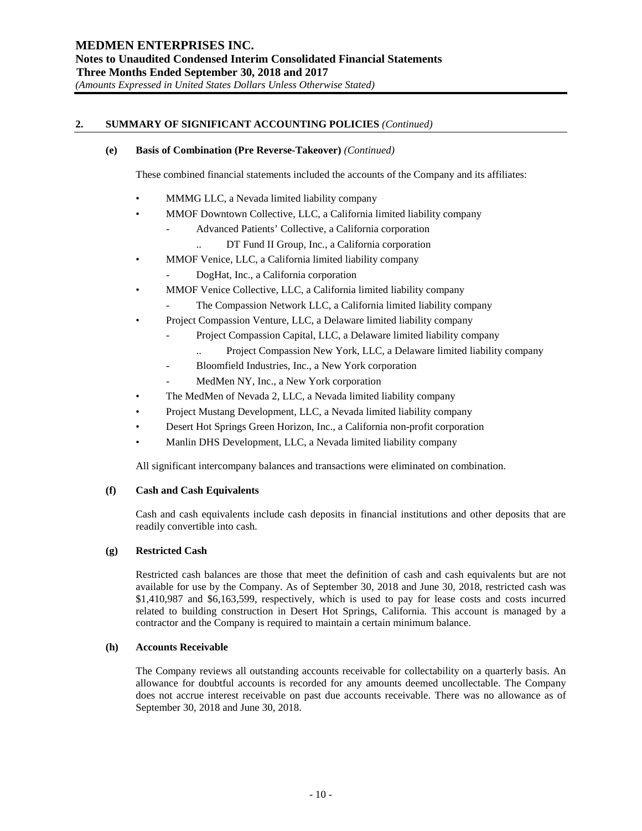## **(e) Basis of Combination (Pre Reverse-Takeover)** *(Continued)*

These combined financial statements included the accounts of the Company and its affiliates:

- MMMG LLC, a Nevada limited liability company
- MMOF Downtown Collective, LLC, a California limited liability company
	- Advanced Patients' Collective, a California corporation
		- .. DT Fund II Group, Inc., a California corporation
	- MMOF Venice, LLC, a California limited liability company
		- DogHat, Inc., a California corporation
- MMOF Venice Collective, LLC, a California limited liability company
	- The Compassion Network LLC, a California limited liability company
- Project Compassion Venture, LLC, a Delaware limited liability company
	- Project Compassion Capital, LLC, a Delaware limited liability company
		- Project Compassion New York, LLC, a Delaware limited liability company
	- Bloomfield Industries, Inc., a New York corporation
	- MedMen NY, Inc., a New York corporation
- The MedMen of Nevada 2, LLC, a Nevada limited liability company
- Project Mustang Development, LLC, a Nevada limited liability company
- Desert Hot Springs Green Horizon, Inc., a California non-profit corporation
- Manlin DHS Development, LLC, a Nevada limited liability company

All significant intercompany balances and transactions were eliminated on combination.

# **(f) Cash and Cash Equivalents**

Cash and cash equivalents include cash deposits in financial institutions and other deposits that are readily convertible into cash.

# **(g) Restricted Cash**

Restricted cash balances are those that meet the definition of cash and cash equivalents but are not available for use by the Company. As of September 30, 2018 and June 30, 2018, restricted cash was \$1,410,987 and \$6,163,599, respectively, which is used to pay for lease costs and costs incurred related to building construction in Desert Hot Springs, California. This account is managed by a contractor and the Company is required to maintain a certain minimum balance.

# **(h) Accounts Receivable**

The Company reviews all outstanding accounts receivable for collectability on a quarterly basis. An allowance for doubtful accounts is recorded for any amounts deemed uncollectable. The Company does not accrue interest receivable on past due accounts receivable. There was no allowance as of September 30, 2018 and June 30, 2018.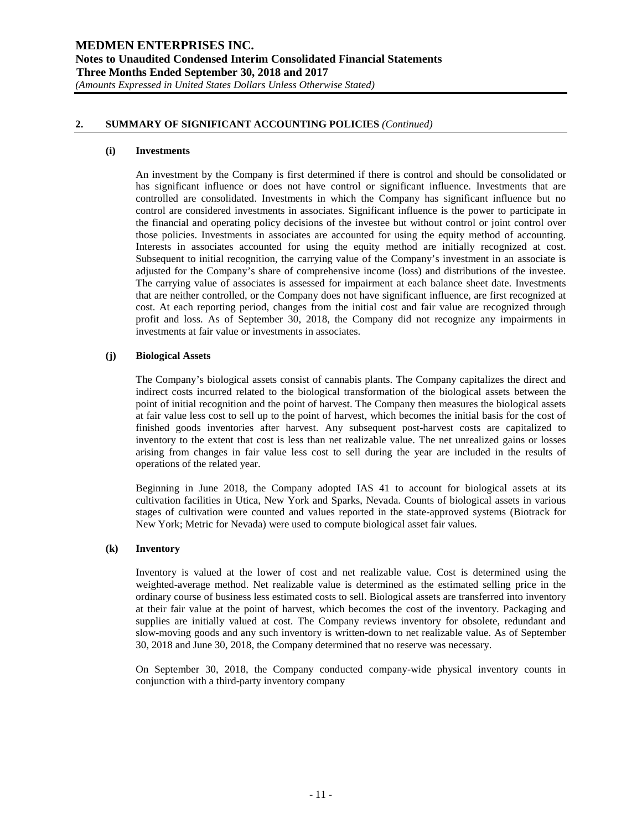#### **(i) Investments**

An investment by the Company is first determined if there is control and should be consolidated or has significant influence or does not have control or significant influence. Investments that are controlled are consolidated. Investments in which the Company has significant influence but no control are considered investments in associates. Significant influence is the power to participate in the financial and operating policy decisions of the investee but without control or joint control over those policies. Investments in associates are accounted for using the equity method of accounting. Interests in associates accounted for using the equity method are initially recognized at cost. Subsequent to initial recognition, the carrying value of the Company's investment in an associate is adjusted for the Company's share of comprehensive income (loss) and distributions of the investee. The carrying value of associates is assessed for impairment at each balance sheet date. Investments that are neither controlled, or the Company does not have significant influence, are first recognized at cost. At each reporting period, changes from the initial cost and fair value are recognized through profit and loss. As of September 30, 2018, the Company did not recognize any impairments in investments at fair value or investments in associates.

#### **(j) Biological Assets**

The Company's biological assets consist of cannabis plants. The Company capitalizes the direct and indirect costs incurred related to the biological transformation of the biological assets between the point of initial recognition and the point of harvest. The Company then measures the biological assets at fair value less cost to sell up to the point of harvest, which becomes the initial basis for the cost of finished goods inventories after harvest. Any subsequent post-harvest costs are capitalized to inventory to the extent that cost is less than net realizable value. The net unrealized gains or losses arising from changes in fair value less cost to sell during the year are included in the results of operations of the related year.

Beginning in June 2018, the Company adopted IAS 41 to account for biological assets at its cultivation facilities in Utica, New York and Sparks, Nevada. Counts of biological assets in various stages of cultivation were counted and values reported in the state-approved systems (Biotrack for New York; Metric for Nevada) were used to compute biological asset fair values.

#### **(k) Inventory**

Inventory is valued at the lower of cost and net realizable value. Cost is determined using the weighted-average method. Net realizable value is determined as the estimated selling price in the ordinary course of business less estimated costs to sell. Biological assets are transferred into inventory at their fair value at the point of harvest, which becomes the cost of the inventory. Packaging and supplies are initially valued at cost. The Company reviews inventory for obsolete, redundant and slow-moving goods and any such inventory is written-down to net realizable value. As of September 30, 2018 and June 30, 2018, the Company determined that no reserve was necessary.

On September 30, 2018, the Company conducted company-wide physical inventory counts in conjunction with a third-party inventory company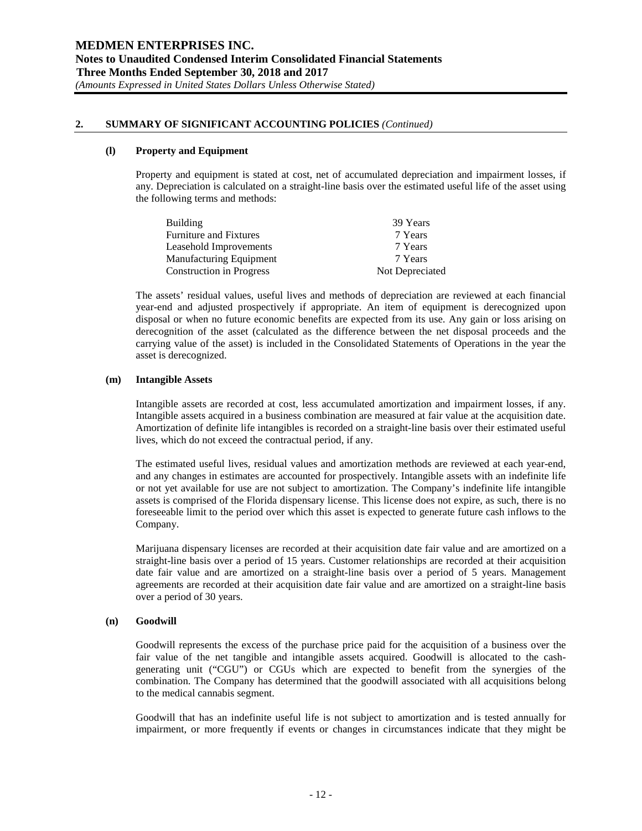#### **(l) Property and Equipment**

Property and equipment is stated at cost, net of accumulated depreciation and impairment losses, if any. Depreciation is calculated on a straight-line basis over the estimated useful life of the asset using the following terms and methods:

| <b>Building</b>                 | 39 Years        |
|---------------------------------|-----------------|
| <b>Furniture and Fixtures</b>   | 7 Years         |
| Leasehold Improvements          | 7 Years         |
| <b>Manufacturing Equipment</b>  | 7 Years         |
| <b>Construction in Progress</b> | Not Depreciated |

The assets' residual values, useful lives and methods of depreciation are reviewed at each financial year-end and adjusted prospectively if appropriate. An item of equipment is derecognized upon disposal or when no future economic benefits are expected from its use. Any gain or loss arising on derecognition of the asset (calculated as the difference between the net disposal proceeds and the carrying value of the asset) is included in the Consolidated Statements of Operations in the year the asset is derecognized.

#### **(m) Intangible Assets**

Intangible assets are recorded at cost, less accumulated amortization and impairment losses, if any. Intangible assets acquired in a business combination are measured at fair value at the acquisition date. Amortization of definite life intangibles is recorded on a straight-line basis over their estimated useful lives, which do not exceed the contractual period, if any.

The estimated useful lives, residual values and amortization methods are reviewed at each year-end, and any changes in estimates are accounted for prospectively. Intangible assets with an indefinite life or not yet available for use are not subject to amortization. The Company's indefinite life intangible assets is comprised of the Florida dispensary license. This license does not expire, as such, there is no foreseeable limit to the period over which this asset is expected to generate future cash inflows to the Company.

Marijuana dispensary licenses are recorded at their acquisition date fair value and are amortized on a straight-line basis over a period of 15 years. Customer relationships are recorded at their acquisition date fair value and are amortized on a straight-line basis over a period of 5 years. Management agreements are recorded at their acquisition date fair value and are amortized on a straight-line basis over a period of 30 years.

#### **(n) Goodwill**

Goodwill represents the excess of the purchase price paid for the acquisition of a business over the fair value of the net tangible and intangible assets acquired. Goodwill is allocated to the cashgenerating unit ("CGU") or CGUs which are expected to benefit from the synergies of the combination. The Company has determined that the goodwill associated with all acquisitions belong to the medical cannabis segment.

Goodwill that has an indefinite useful life is not subject to amortization and is tested annually for impairment, or more frequently if events or changes in circumstances indicate that they might be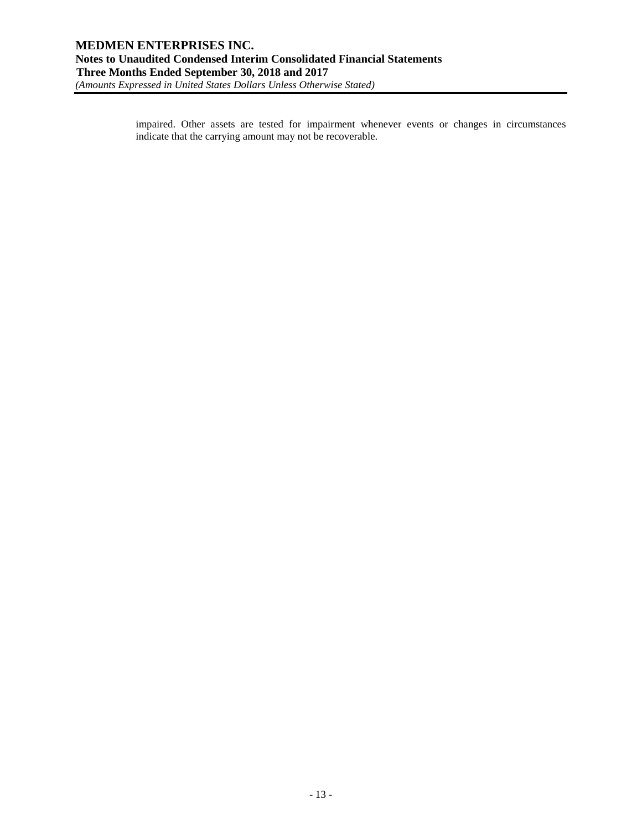impaired. Other assets are tested for impairment whenever events or changes in circumstances indicate that the carrying amount may not be recoverable.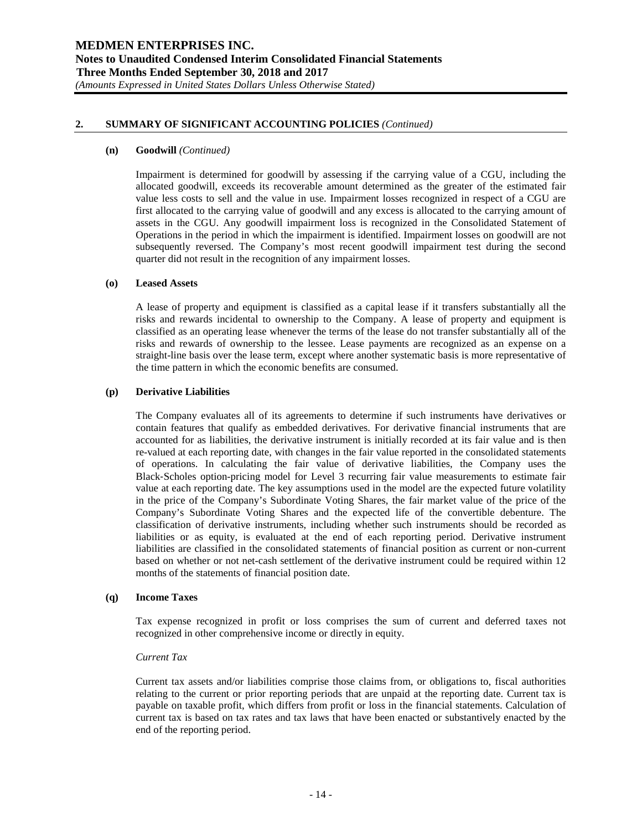#### **(n) Goodwill** *(Continued)*

Impairment is determined for goodwill by assessing if the carrying value of a CGU, including the allocated goodwill, exceeds its recoverable amount determined as the greater of the estimated fair value less costs to sell and the value in use. Impairment losses recognized in respect of a CGU are first allocated to the carrying value of goodwill and any excess is allocated to the carrying amount of assets in the CGU. Any goodwill impairment loss is recognized in the Consolidated Statement of Operations in the period in which the impairment is identified. Impairment losses on goodwill are not subsequently reversed. The Company's most recent goodwill impairment test during the second quarter did not result in the recognition of any impairment losses.

#### **(o) Leased Assets**

A lease of property and equipment is classified as a capital lease if it transfers substantially all the risks and rewards incidental to ownership to the Company. A lease of property and equipment is classified as an operating lease whenever the terms of the lease do not transfer substantially all of the risks and rewards of ownership to the lessee. Lease payments are recognized as an expense on a straight-line basis over the lease term, except where another systematic basis is more representative of the time pattern in which the economic benefits are consumed.

## **(p) Derivative Liabilities**

The Company evaluates all of its agreements to determine if such instruments have derivatives or contain features that qualify as embedded derivatives. For derivative financial instruments that are accounted for as liabilities, the derivative instrument is initially recorded at its fair value and is then re-valued at each reporting date, with changes in the fair value reported in the consolidated statements of operations. In calculating the fair value of derivative liabilities, the Company uses the Black‐Scholes option-pricing model for Level 3 recurring fair value measurements to estimate fair value at each reporting date. The key assumptions used in the model are the expected future volatility in the price of the Company's Subordinate Voting Shares, the fair market value of the price of the Company's Subordinate Voting Shares and the expected life of the convertible debenture. The classification of derivative instruments, including whether such instruments should be recorded as liabilities or as equity, is evaluated at the end of each reporting period. Derivative instrument liabilities are classified in the consolidated statements of financial position as current or non-current based on whether or not net-cash settlement of the derivative instrument could be required within 12 months of the statements of financial position date.

#### **(q) Income Taxes**

Tax expense recognized in profit or loss comprises the sum of current and deferred taxes not recognized in other comprehensive income or directly in equity.

#### *Current Tax*

Current tax assets and/or liabilities comprise those claims from, or obligations to, fiscal authorities relating to the current or prior reporting periods that are unpaid at the reporting date. Current tax is payable on taxable profit, which differs from profit or loss in the financial statements. Calculation of current tax is based on tax rates and tax laws that have been enacted or substantively enacted by the end of the reporting period.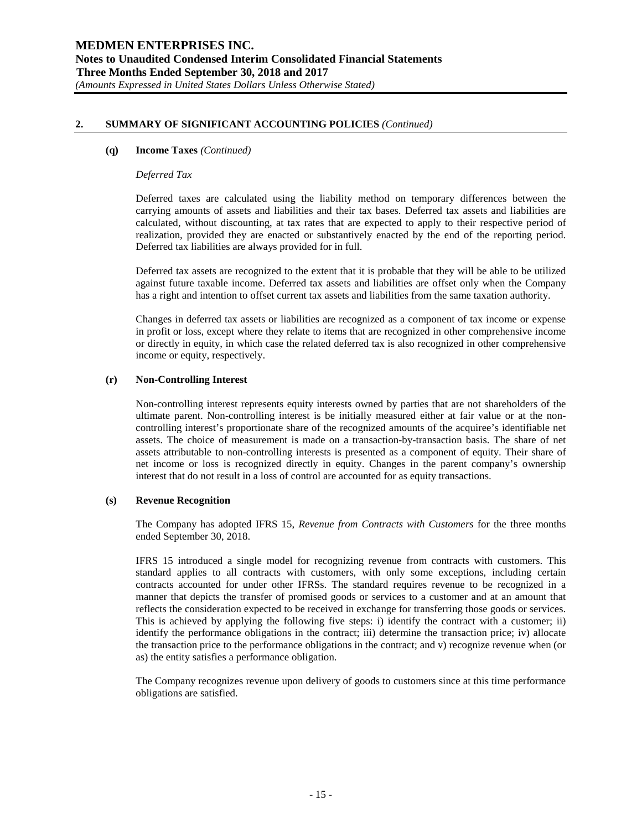#### **(q) Income Taxes** *(Continued)*

#### *Deferred Tax*

Deferred taxes are calculated using the liability method on temporary differences between the carrying amounts of assets and liabilities and their tax bases. Deferred tax assets and liabilities are calculated, without discounting, at tax rates that are expected to apply to their respective period of realization, provided they are enacted or substantively enacted by the end of the reporting period. Deferred tax liabilities are always provided for in full.

Deferred tax assets are recognized to the extent that it is probable that they will be able to be utilized against future taxable income. Deferred tax assets and liabilities are offset only when the Company has a right and intention to offset current tax assets and liabilities from the same taxation authority.

Changes in deferred tax assets or liabilities are recognized as a component of tax income or expense in profit or loss, except where they relate to items that are recognized in other comprehensive income or directly in equity, in which case the related deferred tax is also recognized in other comprehensive income or equity, respectively.

#### **(r) Non-Controlling Interest**

Non-controlling interest represents equity interests owned by parties that are not shareholders of the ultimate parent. Non-controlling interest is be initially measured either at fair value or at the noncontrolling interest's proportionate share of the recognized amounts of the acquiree's identifiable net assets. The choice of measurement is made on a transaction-by-transaction basis. The share of net assets attributable to non-controlling interests is presented as a component of equity. Their share of net income or loss is recognized directly in equity. Changes in the parent company's ownership interest that do not result in a loss of control are accounted for as equity transactions.

#### **(s) Revenue Recognition**

The Company has adopted IFRS 15, *Revenue from Contracts with Customers* for the three months ended September 30, 2018.

IFRS 15 introduced a single model for recognizing revenue from contracts with customers. This standard applies to all contracts with customers, with only some exceptions, including certain contracts accounted for under other IFRSs. The standard requires revenue to be recognized in a manner that depicts the transfer of promised goods or services to a customer and at an amount that reflects the consideration expected to be received in exchange for transferring those goods or services. This is achieved by applying the following five steps: i) identify the contract with a customer; ii) identify the performance obligations in the contract; iii) determine the transaction price; iv) allocate the transaction price to the performance obligations in the contract; and v) recognize revenue when (or as) the entity satisfies a performance obligation.

The Company recognizes revenue upon delivery of goods to customers since at this time performance obligations are satisfied.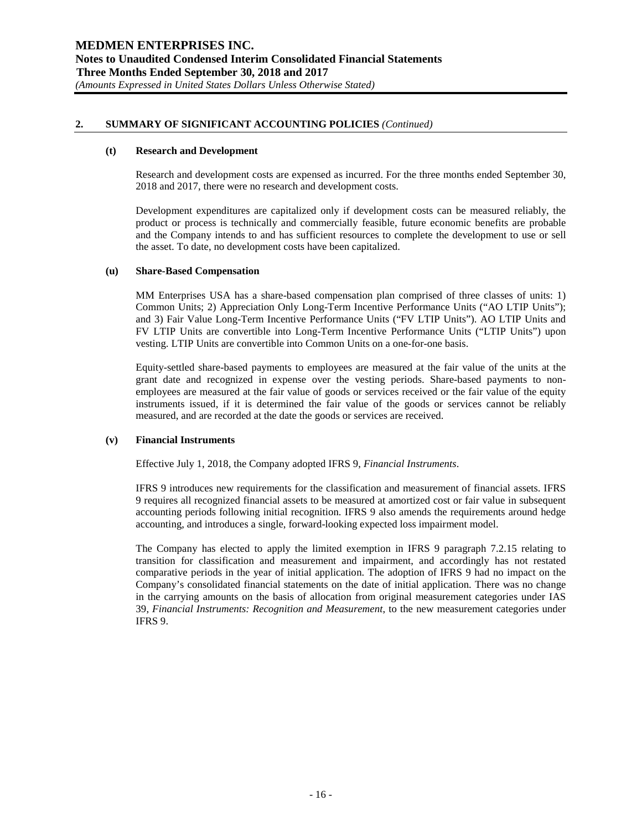## **(t) Research and Development**

Research and development costs are expensed as incurred. For the three months ended September 30, 2018 and 2017, there were no research and development costs.

Development expenditures are capitalized only if development costs can be measured reliably, the product or process is technically and commercially feasible, future economic benefits are probable and the Company intends to and has sufficient resources to complete the development to use or sell the asset. To date, no development costs have been capitalized.

## **(u) Share-Based Compensation**

MM Enterprises USA has a share-based compensation plan comprised of three classes of units: 1) Common Units; 2) Appreciation Only Long-Term Incentive Performance Units ("AO LTIP Units"); and 3) Fair Value Long-Term Incentive Performance Units ("FV LTIP Units"). AO LTIP Units and FV LTIP Units are convertible into Long-Term Incentive Performance Units ("LTIP Units") upon vesting. LTIP Units are convertible into Common Units on a one-for-one basis.

Equity-settled share-based payments to employees are measured at the fair value of the units at the grant date and recognized in expense over the vesting periods. Share-based payments to nonemployees are measured at the fair value of goods or services received or the fair value of the equity instruments issued, if it is determined the fair value of the goods or services cannot be reliably measured, and are recorded at the date the goods or services are received.

# **(v) Financial Instruments**

Effective July 1, 2018, the Company adopted IFRS 9, *Financial Instruments*.

IFRS 9 introduces new requirements for the classification and measurement of financial assets. IFRS 9 requires all recognized financial assets to be measured at amortized cost or fair value in subsequent accounting periods following initial recognition. IFRS 9 also amends the requirements around hedge accounting, and introduces a single, forward-looking expected loss impairment model.

The Company has elected to apply the limited exemption in IFRS 9 paragraph 7.2.15 relating to transition for classification and measurement and impairment, and accordingly has not restated comparative periods in the year of initial application. The adoption of IFRS 9 had no impact on the Company's consolidated financial statements on the date of initial application. There was no change in the carrying amounts on the basis of allocation from original measurement categories under IAS 39, *Financial Instruments: Recognition and Measurement*, to the new measurement categories under IFRS 9.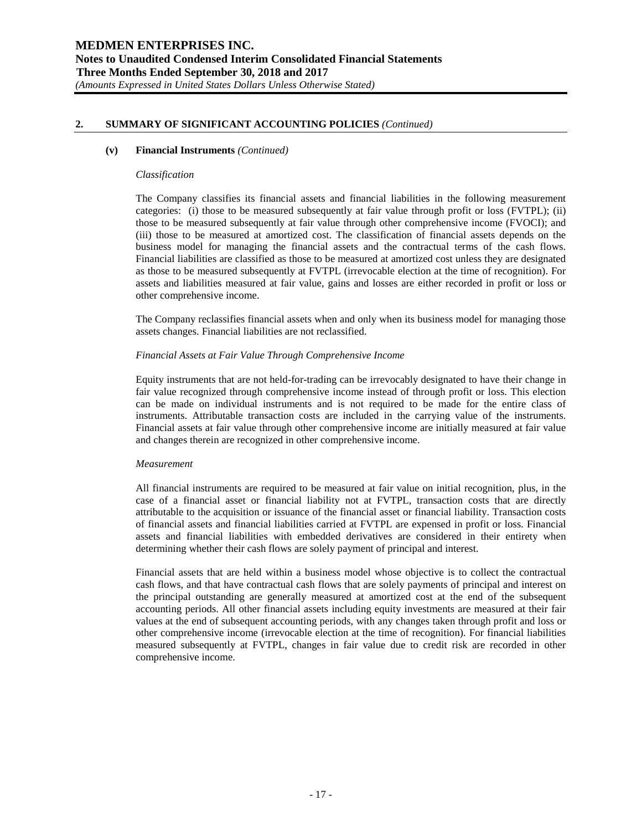#### **(v) Financial Instruments** *(Continued)*

#### *Classification*

The Company classifies its financial assets and financial liabilities in the following measurement categories: (i) those to be measured subsequently at fair value through profit or loss (FVTPL); (ii) those to be measured subsequently at fair value through other comprehensive income (FVOCI); and (iii) those to be measured at amortized cost. The classification of financial assets depends on the business model for managing the financial assets and the contractual terms of the cash flows. Financial liabilities are classified as those to be measured at amortized cost unless they are designated as those to be measured subsequently at FVTPL (irrevocable election at the time of recognition). For assets and liabilities measured at fair value, gains and losses are either recorded in profit or loss or other comprehensive income.

The Company reclassifies financial assets when and only when its business model for managing those assets changes. Financial liabilities are not reclassified.

#### *Financial Assets at Fair Value Through Comprehensive Income*

Equity instruments that are not held-for-trading can be irrevocably designated to have their change in fair value recognized through comprehensive income instead of through profit or loss. This election can be made on individual instruments and is not required to be made for the entire class of instruments. Attributable transaction costs are included in the carrying value of the instruments. Financial assets at fair value through other comprehensive income are initially measured at fair value and changes therein are recognized in other comprehensive income.

#### *Measurement*

All financial instruments are required to be measured at fair value on initial recognition, plus, in the case of a financial asset or financial liability not at FVTPL, transaction costs that are directly attributable to the acquisition or issuance of the financial asset or financial liability. Transaction costs of financial assets and financial liabilities carried at FVTPL are expensed in profit or loss. Financial assets and financial liabilities with embedded derivatives are considered in their entirety when determining whether their cash flows are solely payment of principal and interest.

Financial assets that are held within a business model whose objective is to collect the contractual cash flows, and that have contractual cash flows that are solely payments of principal and interest on the principal outstanding are generally measured at amortized cost at the end of the subsequent accounting periods. All other financial assets including equity investments are measured at their fair values at the end of subsequent accounting periods, with any changes taken through profit and loss or other comprehensive income (irrevocable election at the time of recognition). For financial liabilities measured subsequently at FVTPL, changes in fair value due to credit risk are recorded in other comprehensive income.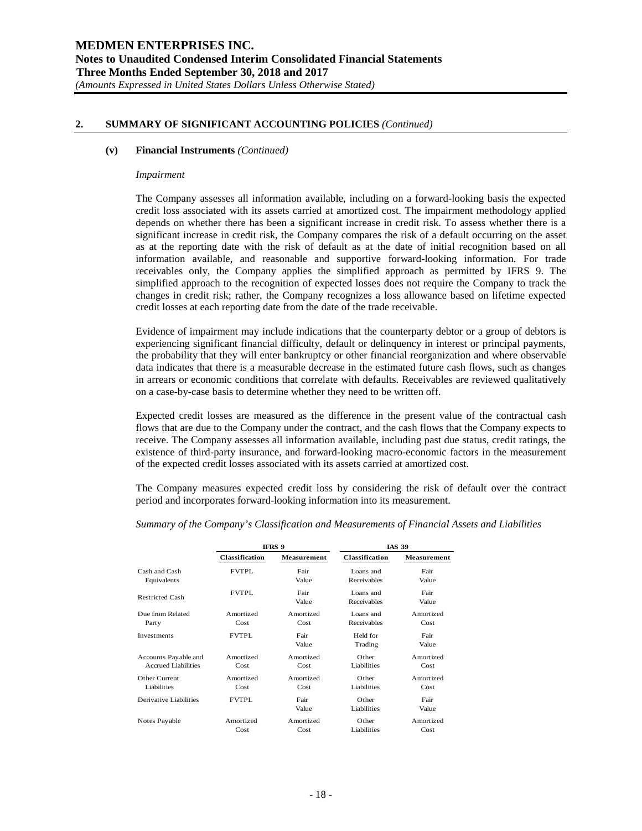#### **(v) Financial Instruments** *(Continued)*

#### *Impairment*

The Company assesses all information available, including on a forward-looking basis the expected credit loss associated with its assets carried at amortized cost. The impairment methodology applied depends on whether there has been a significant increase in credit risk. To assess whether there is a significant increase in credit risk, the Company compares the risk of a default occurring on the asset as at the reporting date with the risk of default as at the date of initial recognition based on all information available, and reasonable and supportive forward-looking information. For trade receivables only, the Company applies the simplified approach as permitted by IFRS 9. The simplified approach to the recognition of expected losses does not require the Company to track the changes in credit risk; rather, the Company recognizes a loss allowance based on lifetime expected credit losses at each reporting date from the date of the trade receivable.

Evidence of impairment may include indications that the counterparty debtor or a group of debtors is experiencing significant financial difficulty, default or delinquency in interest or principal payments, the probability that they will enter bankruptcy or other financial reorganization and where observable data indicates that there is a measurable decrease in the estimated future cash flows, such as changes in arrears or economic conditions that correlate with defaults. Receivables are reviewed qualitatively on a case-by-case basis to determine whether they need to be written off.

Expected credit losses are measured as the difference in the present value of the contractual cash flows that are due to the Company under the contract, and the cash flows that the Company expects to receive. The Company assesses all information available, including past due status, credit ratings, the existence of third-party insurance, and forward-looking macro-economic factors in the measurement of the expected credit losses associated with its assets carried at amortized cost.

The Company measures expected credit loss by considering the risk of default over the contract period and incorporates forward-looking information into its measurement.

|                            |                | IFRS 9        |                          | <b>IAS 39</b>      |
|----------------------------|----------------|---------------|--------------------------|--------------------|
|                            | Classification | Measurement   | Classification           | <b>Measurement</b> |
| Cash and Cash              | <b>FVTPL</b>   | Fair          | Loans and                | Fair               |
| Equivalents                |                | Value         | Receivables              | Value              |
| Restricted Cash            | <b>FVTPL</b>   | Fair<br>Value | Loans and<br>Receivables | Fair<br>Value      |
| Due from Related           | Amortized      | Amortized     | Loans and                | Amortized          |
| Party                      | Cost           | Cost          | Receivables              | Cost               |
| Investments                | <b>FVTPL</b>   | Fair<br>Value | Held for<br>Trading      | Fair<br>Value      |
| Accounts Payable and       | Amortized      | Amortized     | Other                    | Amortized          |
| <b>Accrued Liabilities</b> | Cost           | Cost          | Liabilities              | Cost               |
| Other Current              | Amortized      | Amortized     | Other                    | Amortized          |
| Liabilities                | Cost           | Cost          | Liabilities              | Cost               |
| Derivative Liabilities     | <b>FVTPL</b>   | Fair<br>Value | Other<br>Liabilities     | Fair<br>Value      |
| Notes Pay able             | Amortized      | Amortized     | Other                    | Amortized          |
|                            | Cost           | Cost          | Liabilities              | Cost               |

*Summary of the Company's Classification and Measurements of Financial Assets and Liabilities*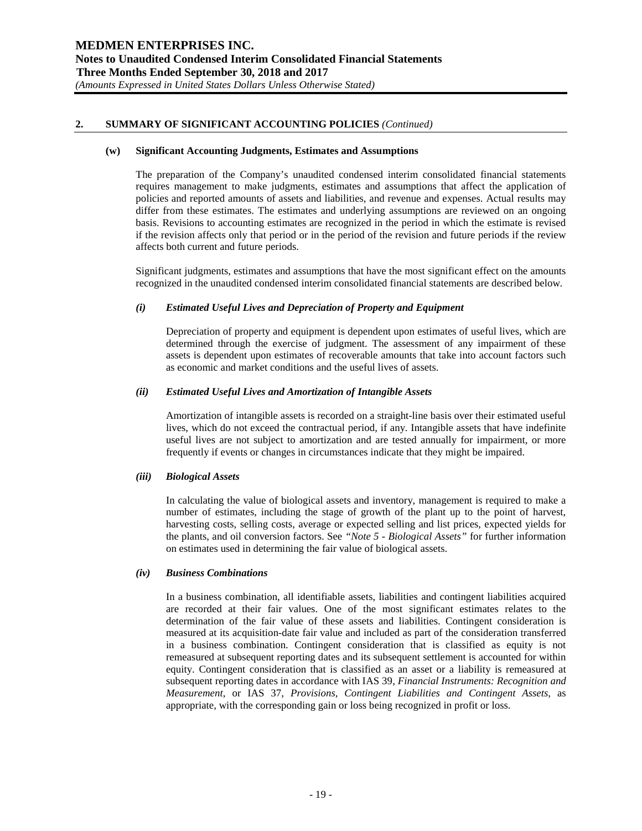#### **(w) Significant Accounting Judgments, Estimates and Assumptions**

The preparation of the Company's unaudited condensed interim consolidated financial statements requires management to make judgments, estimates and assumptions that affect the application of policies and reported amounts of assets and liabilities, and revenue and expenses. Actual results may differ from these estimates. The estimates and underlying assumptions are reviewed on an ongoing basis. Revisions to accounting estimates are recognized in the period in which the estimate is revised if the revision affects only that period or in the period of the revision and future periods if the review affects both current and future periods.

Significant judgments, estimates and assumptions that have the most significant effect on the amounts recognized in the unaudited condensed interim consolidated financial statements are described below.

## *(i) Estimated Useful Lives and Depreciation of Property and Equipment*

Depreciation of property and equipment is dependent upon estimates of useful lives, which are determined through the exercise of judgment. The assessment of any impairment of these assets is dependent upon estimates of recoverable amounts that take into account factors such as economic and market conditions and the useful lives of assets.

## *(ii) Estimated Useful Lives and Amortization of Intangible Assets*

Amortization of intangible assets is recorded on a straight-line basis over their estimated useful lives, which do not exceed the contractual period, if any. Intangible assets that have indefinite useful lives are not subject to amortization and are tested annually for impairment, or more frequently if events or changes in circumstances indicate that they might be impaired.

# *(iii) Biological Assets*

In calculating the value of biological assets and inventory, management is required to make a number of estimates, including the stage of growth of the plant up to the point of harvest, harvesting costs, selling costs, average or expected selling and list prices, expected yields for the plants, and oil conversion factors. See *"Note 5 - Biological Assets"* for further information on estimates used in determining the fair value of biological assets.

#### *(iv) Business Combinations*

In a business combination, all identifiable assets, liabilities and contingent liabilities acquired are recorded at their fair values. One of the most significant estimates relates to the determination of the fair value of these assets and liabilities. Contingent consideration is measured at its acquisition-date fair value and included as part of the consideration transferred in a business combination. Contingent consideration that is classified as equity is not remeasured at subsequent reporting dates and its subsequent settlement is accounted for within equity. Contingent consideration that is classified as an asset or a liability is remeasured at subsequent reporting dates in accordance with IAS 39, *Financial Instruments: Recognition and Measurement*, or IAS 37, *Provisions, Contingent Liabilities and Contingent Assets*, as appropriate, with the corresponding gain or loss being recognized in profit or loss.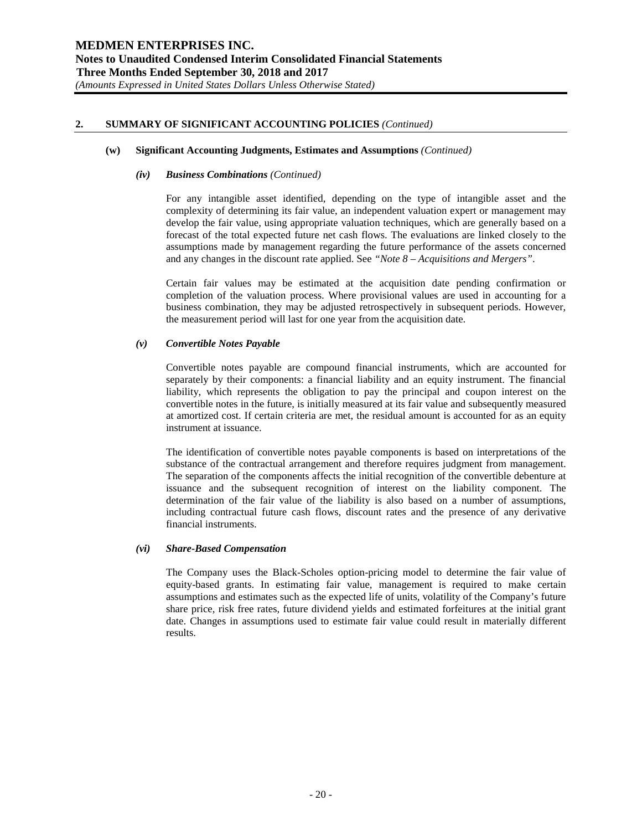#### **(w) Significant Accounting Judgments, Estimates and Assumptions** *(Continued)*

#### *(iv) Business Combinations (Continued)*

For any intangible asset identified, depending on the type of intangible asset and the complexity of determining its fair value, an independent valuation expert or management may develop the fair value, using appropriate valuation techniques, which are generally based on a forecast of the total expected future net cash flows. The evaluations are linked closely to the assumptions made by management regarding the future performance of the assets concerned and any changes in the discount rate applied. See *"Note 8 – Acquisitions and Mergers"*.

Certain fair values may be estimated at the acquisition date pending confirmation or completion of the valuation process. Where provisional values are used in accounting for a business combination, they may be adjusted retrospectively in subsequent periods. However, the measurement period will last for one year from the acquisition date.

# *(v) Convertible Notes Payable*

Convertible notes payable are compound financial instruments, which are accounted for separately by their components: a financial liability and an equity instrument. The financial liability, which represents the obligation to pay the principal and coupon interest on the convertible notes in the future, is initially measured at its fair value and subsequently measured at amortized cost. If certain criteria are met, the residual amount is accounted for as an equity instrument at issuance.

The identification of convertible notes payable components is based on interpretations of the substance of the contractual arrangement and therefore requires judgment from management. The separation of the components affects the initial recognition of the convertible debenture at issuance and the subsequent recognition of interest on the liability component. The determination of the fair value of the liability is also based on a number of assumptions, including contractual future cash flows, discount rates and the presence of any derivative financial instruments.

# *(vi) Share-Based Compensation*

The Company uses the Black-Scholes option-pricing model to determine the fair value of equity-based grants. In estimating fair value, management is required to make certain assumptions and estimates such as the expected life of units, volatility of the Company's future share price, risk free rates, future dividend yields and estimated forfeitures at the initial grant date. Changes in assumptions used to estimate fair value could result in materially different results.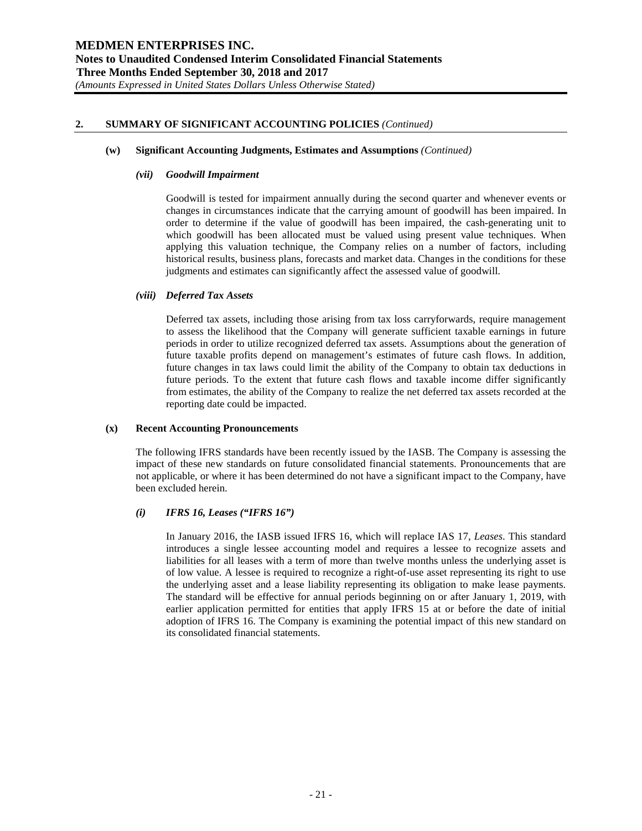#### **(w) Significant Accounting Judgments, Estimates and Assumptions** *(Continued)*

## *(vii) Goodwill Impairment*

Goodwill is tested for impairment annually during the second quarter and whenever events or changes in circumstances indicate that the carrying amount of goodwill has been impaired. In order to determine if the value of goodwill has been impaired, the cash-generating unit to which goodwill has been allocated must be valued using present value techniques. When applying this valuation technique, the Company relies on a number of factors, including historical results, business plans, forecasts and market data. Changes in the conditions for these judgments and estimates can significantly affect the assessed value of goodwill.

## *(viii) Deferred Tax Assets*

Deferred tax assets, including those arising from tax loss carryforwards, require management to assess the likelihood that the Company will generate sufficient taxable earnings in future periods in order to utilize recognized deferred tax assets. Assumptions about the generation of future taxable profits depend on management's estimates of future cash flows. In addition, future changes in tax laws could limit the ability of the Company to obtain tax deductions in future periods. To the extent that future cash flows and taxable income differ significantly from estimates, the ability of the Company to realize the net deferred tax assets recorded at the reporting date could be impacted.

# **(x) Recent Accounting Pronouncements**

The following IFRS standards have been recently issued by the IASB. The Company is assessing the impact of these new standards on future consolidated financial statements. Pronouncements that are not applicable, or where it has been determined do not have a significant impact to the Company, have been excluded herein.

# *(i) IFRS 16, Leases ("IFRS 16")*

In January 2016, the IASB issued IFRS 16, which will replace IAS 17, *Leases*. This standard introduces a single lessee accounting model and requires a lessee to recognize assets and liabilities for all leases with a term of more than twelve months unless the underlying asset is of low value. A lessee is required to recognize a right-of-use asset representing its right to use the underlying asset and a lease liability representing its obligation to make lease payments. The standard will be effective for annual periods beginning on or after January 1, 2019, with earlier application permitted for entities that apply IFRS 15 at or before the date of initial adoption of IFRS 16. The Company is examining the potential impact of this new standard on its consolidated financial statements.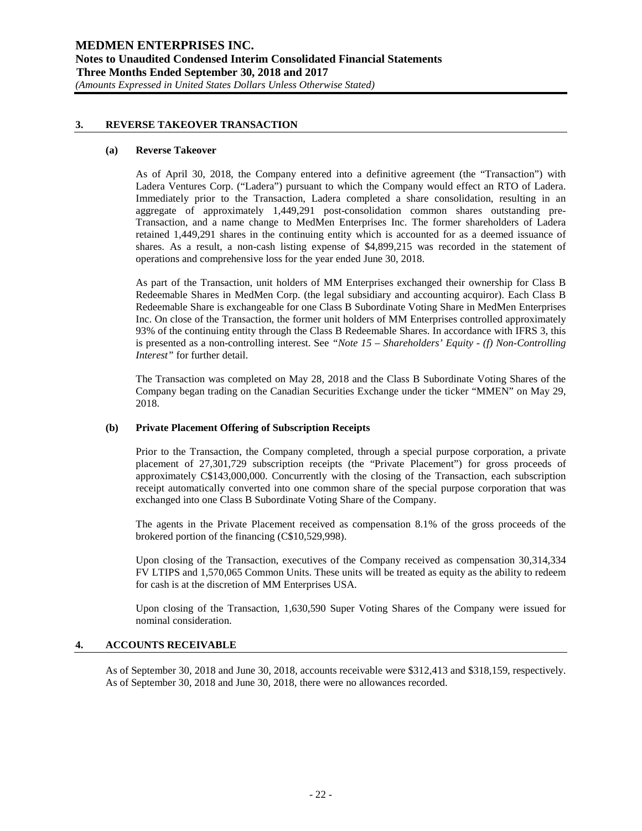## **3. REVERSE TAKEOVER TRANSACTION**

#### **(a) Reverse Takeover**

As of April 30, 2018, the Company entered into a definitive agreement (the "Transaction") with Ladera Ventures Corp. ("Ladera") pursuant to which the Company would effect an RTO of Ladera. Immediately prior to the Transaction, Ladera completed a share consolidation, resulting in an aggregate of approximately 1,449,291 post-consolidation common shares outstanding pre-Transaction, and a name change to MedMen Enterprises Inc. The former shareholders of Ladera retained 1,449,291 shares in the continuing entity which is accounted for as a deemed issuance of shares. As a result, a non-cash listing expense of \$4,899,215 was recorded in the statement of operations and comprehensive loss for the year ended June 30, 2018.

As part of the Transaction, unit holders of MM Enterprises exchanged their ownership for Class B Redeemable Shares in MedMen Corp. (the legal subsidiary and accounting acquiror). Each Class B Redeemable Share is exchangeable for one Class B Subordinate Voting Share in MedMen Enterprises Inc. On close of the Transaction, the former unit holders of MM Enterprises controlled approximately 93% of the continuing entity through the Class B Redeemable Shares. In accordance with IFRS 3, this is presented as a non-controlling interest. See *"Note 15 – Shareholders' Equity - (f) Non-Controlling Interest"* for further detail.

The Transaction was completed on May 28, 2018 and the Class B Subordinate Voting Shares of the Company began trading on the Canadian Securities Exchange under the ticker "MMEN" on May 29, 2018.

#### **(b) Private Placement Offering of Subscription Receipts**

Prior to the Transaction, the Company completed, through a special purpose corporation, a private placement of 27,301,729 subscription receipts (the "Private Placement") for gross proceeds of approximately C\$143,000,000. Concurrently with the closing of the Transaction, each subscription receipt automatically converted into one common share of the special purpose corporation that was exchanged into one Class B Subordinate Voting Share of the Company.

The agents in the Private Placement received as compensation 8.1% of the gross proceeds of the brokered portion of the financing (C\$10,529,998).

Upon closing of the Transaction, executives of the Company received as compensation 30,314,334 FV LTIPS and 1,570,065 Common Units. These units will be treated as equity as the ability to redeem for cash is at the discretion of MM Enterprises USA.

Upon closing of the Transaction, 1,630,590 Super Voting Shares of the Company were issued for nominal consideration.

#### **4. ACCOUNTS RECEIVABLE**

As of September 30, 2018 and June 30, 2018, accounts receivable were \$312,413 and \$318,159, respectively. As of September 30, 2018 and June 30, 2018, there were no allowances recorded.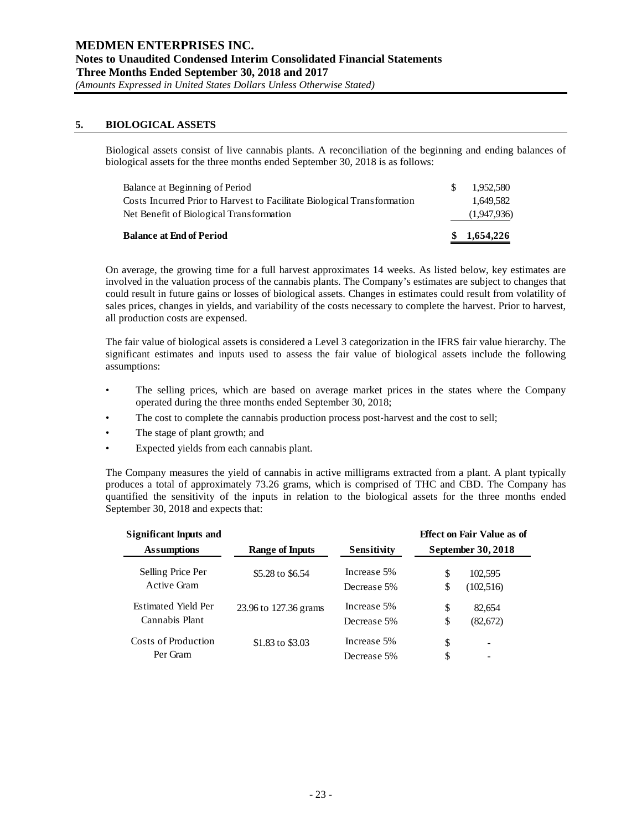# **5. BIOLOGICAL ASSETS**

Biological assets consist of live cannabis plants. A reconciliation of the beginning and ending balances of biological assets for the three months ended September 30, 2018 is as follows:

| <b>Balance at End of Period</b>                                         | \$1,654,226 |
|-------------------------------------------------------------------------|-------------|
| Net Benefit of Biological Transformation                                | (1,947,936) |
| Costs Incurred Prior to Harvest to Facilitate Biological Transformation | 1.649.582   |
| Balance at Beginning of Period                                          | 1.952.580   |

On average, the growing time for a full harvest approximates 14 weeks. As listed below, key estimates are involved in the valuation process of the cannabis plants. The Company's estimates are subject to changes that could result in future gains or losses of biological assets. Changes in estimates could result from volatility of sales prices, changes in yields, and variability of the costs necessary to complete the harvest. Prior to harvest, all production costs are expensed.

The fair value of biological assets is considered a Level 3 categorization in the IFRS fair value hierarchy. The significant estimates and inputs used to assess the fair value of biological assets include the following assumptions:

- The selling prices, which are based on average market prices in the states where the Company operated during the three months ended September 30, 2018;
- The cost to complete the cannabis production process post-harvest and the cost to sell;
- The stage of plant growth; and
- Expected yields from each cannabis plant.

The Company measures the yield of cannabis in active milligrams extracted from a plant. A plant typically produces a total of approximately 73.26 grams, which is comprised of THC and CBD. The Company has quantified the sensitivity of the inputs in relation to the biological assets for the three months ended September 30, 2018 and expects that:

| <b>Significant Inputs and</b> |                       |             |                    | <b>Effect on Fair Value as of</b> |
|-------------------------------|-----------------------|-------------|--------------------|-----------------------------------|
| <b>Assumptions</b>            | Range of Inputs       | Sensitivity | September 30, 2018 |                                   |
| Selling Price Per             | \$5.28 to \$6.54      | Increase 5% | \$                 | 102,595                           |
| Active Gram                   |                       | Decrease 5% | \$                 | (102, 516)                        |
| <b>Estimated Yield Per</b>    | 23.96 to 127.36 grams | Increase 5% | \$                 | 82.654                            |
| Cannabis Plant                |                       | Decrease 5% | \$                 | (82,672)                          |
| Costs of Production           | \$1.83 to \$3.03      | Increase 5% | \$                 | $\overline{\phantom{a}}$          |
| Per Gram                      |                       | Decrease 5% | \$                 |                                   |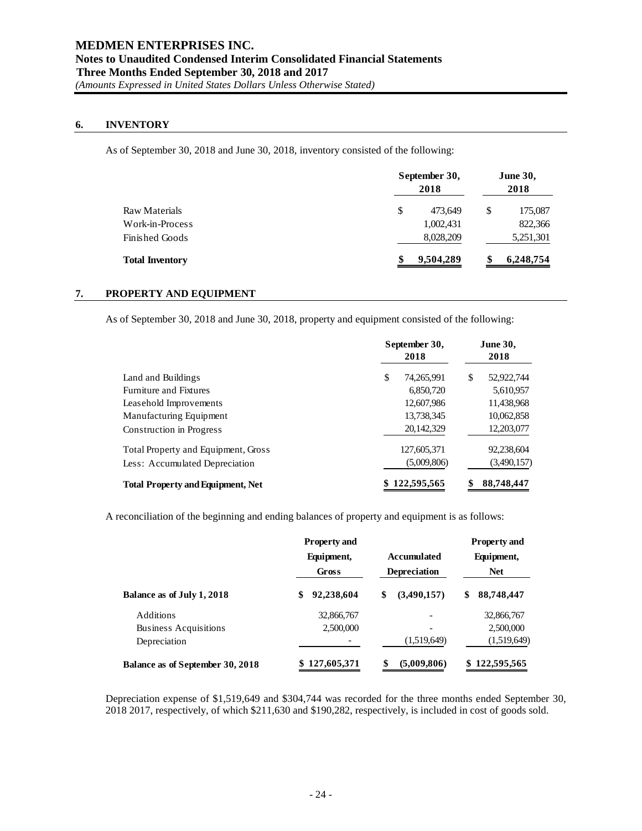# **6. INVENTORY**

As of September 30, 2018 and June 30, 2018, inventory consisted of the following:

|                        | September 30,<br>2018 |   | <b>June 30,</b><br>2018 |
|------------------------|-----------------------|---|-------------------------|
| Raw Materials          | \$<br>473.649         | S | 175,087                 |
| Work-in-Process        | 1,002,431             |   | 822,366                 |
| Finished Goods         | 8,028,209             |   | 5,251,301               |
| <b>Total Inventory</b> | 9,504,289             |   | 6,248,754               |

# **7. PROPERTY AND EQUIPMENT**

As of September 30, 2018 and June 30, 2018, property and equipment consisted of the following:

|                                          | September 30,<br>2018 |   | <b>June 30,</b><br>2018 |
|------------------------------------------|-----------------------|---|-------------------------|
| Land and Buildings                       | \$<br>74,265,991      | S | 52,922,744              |
| <b>Furniture and Fixtures</b>            | 6,850,720             |   | 5,610,957               |
| Leasehold Improvements                   | 12,607,986            |   | 11,438,968              |
| Manufacturing Equipment                  | 13,738,345            |   | 10,062,858              |
| Construction in Progress                 | 20,142,329            |   | 12,203,077              |
| Total Property and Equipment, Gross      | 127,605,371           |   | 92,238,604              |
| Less: Accumulated Depreciation           | (5,009,806)           |   | (3,490,157)             |
| <b>Total Property and Equipment, Net</b> | 122,595,565           |   | 88,748,447              |

A reconciliation of the beginning and ending balances of property and equipment is as follows:

|                                  | <b>Property and</b> |                     | <b>Property and</b> |
|----------------------------------|---------------------|---------------------|---------------------|
|                                  | Equipment,          | <b>Accumulated</b>  | Equipment,          |
|                                  | Gross               | <b>Depreciation</b> | <b>Net</b>          |
| Balance as of July 1, 2018       | 92,238,604<br>\$    | (3,490,157)<br>\$   | 88,748,447<br>\$    |
| <b>Additions</b>                 | 32,866,767          |                     | 32,866,767          |
| <b>Business Acquisitions</b>     | 2,500,000           |                     | 2,500,000           |
| Depreciation                     |                     | (1,519,649)         | (1,519,649)         |
| Balance as of September 30, 2018 | 127,605,371         | (5,009,806)<br>\$   | 122,595,565         |

Depreciation expense of \$1,519,649 and \$304,744 was recorded for the three months ended September 30, 2018 2017, respectively, of which \$211,630 and \$190,282, respectively, is included in cost of goods sold.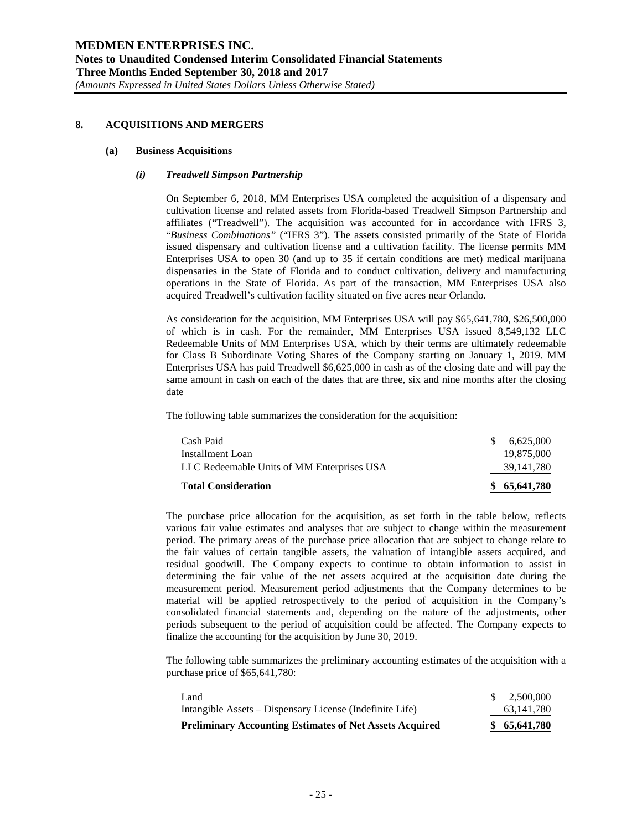#### **8. ACQUISITIONS AND MERGERS**

#### **(a) Business Acquisitions**

#### *(i) Treadwell Simpson Partnership*

On September 6, 2018, MM Enterprises USA completed the acquisition of a dispensary and cultivation license and related assets from Florida-based Treadwell Simpson Partnership and affiliates ("Treadwell"). The acquisition was accounted for in accordance with IFRS 3, "*Business Combinations"* ("IFRS 3"). The assets consisted primarily of the State of Florida issued dispensary and cultivation license and a cultivation facility. The license permits MM Enterprises USA to open 30 (and up to 35 if certain conditions are met) medical marijuana dispensaries in the State of Florida and to conduct cultivation, delivery and manufacturing operations in the State of Florida. As part of the transaction, MM Enterprises USA also acquired Treadwell's cultivation facility situated on five acres near Orlando.

As consideration for the acquisition, MM Enterprises USA will pay \$65,641,780, \$26,500,000 of which is in cash. For the remainder, MM Enterprises USA issued 8,549,132 LLC Redeemable Units of MM Enterprises USA, which by their terms are ultimately redeemable for Class B Subordinate Voting Shares of the Company starting on January 1, 2019. MM Enterprises USA has paid Treadwell \$6,625,000 in cash as of the closing date and will pay the same amount in cash on each of the dates that are three, six and nine months after the closing date

The following table summarizes the consideration for the acquisition:

| \$65,641,780 |
|--------------|
| 39, 141, 780 |
| 19.875.000   |
| 6.625.000    |
|              |

The purchase price allocation for the acquisition, as set forth in the table below, reflects various fair value estimates and analyses that are subject to change within the measurement period. The primary areas of the purchase price allocation that are subject to change relate to the fair values of certain tangible assets, the valuation of intangible assets acquired, and residual goodwill. The Company expects to continue to obtain information to assist in determining the fair value of the net assets acquired at the acquisition date during the measurement period. Measurement period adjustments that the Company determines to be material will be applied retrospectively to the period of acquisition in the Company's consolidated financial statements and, depending on the nature of the adjustments, other periods subsequent to the period of acquisition could be affected. The Company expects to finalize the accounting for the acquisition by June 30, 2019.

The following table summarizes the preliminary accounting estimates of the acquisition with a purchase price of \$65,641,780:

| <b>Preliminary Accounting Estimates of Net Assets Acquired</b> | \$65,641,780 |
|----------------------------------------------------------------|--------------|
| Intangible Assets – Dispensary License (Indefinite Life)       | 63, 141, 780 |
| Land                                                           | 2.500.000    |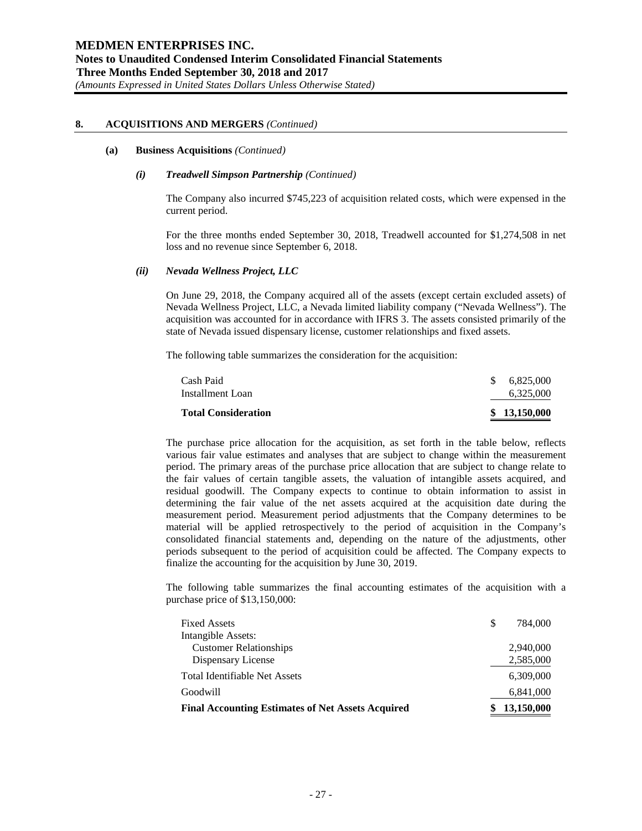#### **(a) Business Acquisitions** *(Continued)*

#### *(i) Treadwell Simpson Partnership (Continued)*

The Company also incurred \$745,223 of acquisition related costs, which were expensed in the current period.

For the three months ended September 30, 2018, Treadwell accounted for \$1,274,508 in net loss and no revenue since September 6, 2018.

#### *(ii) Nevada Wellness Project, LLC*

On June 29, 2018, the Company acquired all of the assets (except certain excluded assets) of Nevada Wellness Project, LLC, a Nevada limited liability company ("Nevada Wellness"). The acquisition was accounted for in accordance with IFRS 3. The assets consisted primarily of the state of Nevada issued dispensary license, customer relationships and fixed assets.

The following table summarizes the consideration for the acquisition:

| <b>Total Consideration</b> | \$13.150.000 |
|----------------------------|--------------|
| Installment Loan           | 6.325,000    |
| Cash Paid                  | \$6.825,000  |

The purchase price allocation for the acquisition, as set forth in the table below, reflects various fair value estimates and analyses that are subject to change within the measurement period. The primary areas of the purchase price allocation that are subject to change relate to the fair values of certain tangible assets, the valuation of intangible assets acquired, and residual goodwill. The Company expects to continue to obtain information to assist in determining the fair value of the net assets acquired at the acquisition date during the measurement period. Measurement period adjustments that the Company determines to be material will be applied retrospectively to the period of acquisition in the Company's consolidated financial statements and, depending on the nature of the adjustments, other periods subsequent to the period of acquisition could be affected. The Company expects to finalize the accounting for the acquisition by June 30, 2019.

The following table summarizes the final accounting estimates of the acquisition with a purchase price of \$13,150,000:

| <b>Fixed Assets</b>                                      | \$<br>784,000 |
|----------------------------------------------------------|---------------|
| Intangible Assets:                                       |               |
| <b>Customer Relationships</b>                            | 2,940,000     |
| Dispensary License                                       | 2,585,000     |
| <b>Total Identifiable Net Assets</b>                     | 6,309,000     |
| Goodwill                                                 | 6,841,000     |
| <b>Final Accounting Estimates of Net Assets Acquired</b> | 13,150,000    |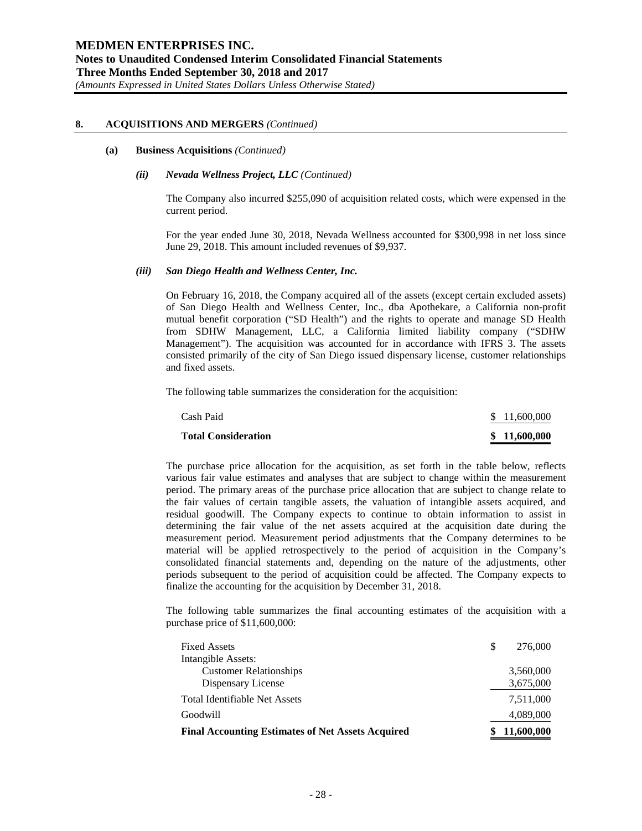#### **(a) Business Acquisitions** *(Continued)*

#### *(ii) Nevada Wellness Project, LLC (Continued)*

The Company also incurred \$255,090 of acquisition related costs, which were expensed in the current period.

For the year ended June 30, 2018, Nevada Wellness accounted for \$300,998 in net loss since June 29, 2018. This amount included revenues of \$9,937.

#### *(iii) San Diego Health and Wellness Center, Inc.*

On February 16, 2018, the Company acquired all of the assets (except certain excluded assets) of San Diego Health and Wellness Center, Inc., dba Apothekare, a California non-profit mutual benefit corporation ("SD Health") and the rights to operate and manage SD Health from SDHW Management, LLC, a California limited liability company ("SDHW Management"). The acquisition was accounted for in accordance with IFRS 3. The assets consisted primarily of the city of San Diego issued dispensary license, customer relationships and fixed assets.

The following table summarizes the consideration for the acquisition:

| Cash Paid<br><b>Total Consideration</b> | \$11,600,000<br>\$11,600,000 |
|-----------------------------------------|------------------------------|
|                                         |                              |

The purchase price allocation for the acquisition, as set forth in the table below, reflects various fair value estimates and analyses that are subject to change within the measurement period. The primary areas of the purchase price allocation that are subject to change relate to the fair values of certain tangible assets, the valuation of intangible assets acquired, and residual goodwill. The Company expects to continue to obtain information to assist in determining the fair value of the net assets acquired at the acquisition date during the measurement period. Measurement period adjustments that the Company determines to be material will be applied retrospectively to the period of acquisition in the Company's consolidated financial statements and, depending on the nature of the adjustments, other periods subsequent to the period of acquisition could be affected. The Company expects to finalize the accounting for the acquisition by December 31, 2018.

The following table summarizes the final accounting estimates of the acquisition with a purchase price of \$11,600,000:

| <b>Fixed Assets</b>                                      | S | 276,000    |
|----------------------------------------------------------|---|------------|
| Intangible Assets:                                       |   |            |
| <b>Customer Relationships</b>                            |   | 3,560,000  |
| Dispensary License                                       |   | 3,675,000  |
| <b>Total Identifiable Net Assets</b>                     |   | 7,511,000  |
| Goodwill                                                 |   | 4,089,000  |
| <b>Final Accounting Estimates of Net Assets Acquired</b> |   | 11,600,000 |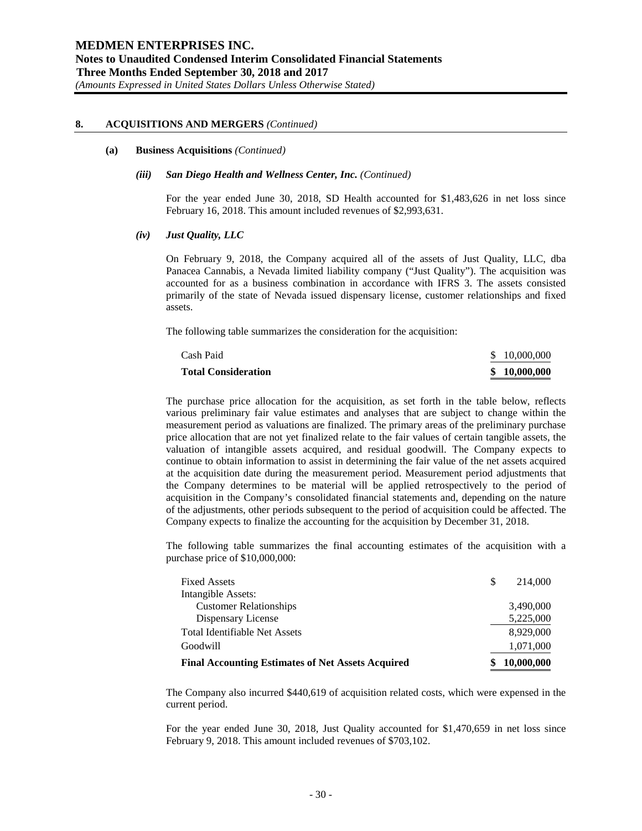#### **(a) Business Acquisitions** *(Continued)*

#### *(iii) San Diego Health and Wellness Center, Inc. (Continued)*

For the year ended June 30, 2018, SD Health accounted for \$1,483,626 in net loss since February 16, 2018. This amount included revenues of \$2,993,631.

#### *(iv) Just Quality, LLC*

On February 9, 2018, the Company acquired all of the assets of Just Quality, LLC, dba Panacea Cannabis, a Nevada limited liability company ("Just Quality"). The acquisition was accounted for as a business combination in accordance with IFRS 3. The assets consisted primarily of the state of Nevada issued dispensary license, customer relationships and fixed assets.

The following table summarizes the consideration for the acquisition:

| Cash Paid                  | \$10,000,000 |
|----------------------------|--------------|
| <b>Total Consideration</b> | \$10,000,000 |

The purchase price allocation for the acquisition, as set forth in the table below, reflects various preliminary fair value estimates and analyses that are subject to change within the measurement period as valuations are finalized. The primary areas of the preliminary purchase price allocation that are not yet finalized relate to the fair values of certain tangible assets, the valuation of intangible assets acquired, and residual goodwill. The Company expects to continue to obtain information to assist in determining the fair value of the net assets acquired at the acquisition date during the measurement period. Measurement period adjustments that the Company determines to be material will be applied retrospectively to the period of acquisition in the Company's consolidated financial statements and, depending on the nature of the adjustments, other periods subsequent to the period of acquisition could be affected. The Company expects to finalize the accounting for the acquisition by December 31, 2018.

The following table summarizes the final accounting estimates of the acquisition with a purchase price of \$10,000,000:

| <b>Fixed Assets</b>                                      | S | 214,000    |
|----------------------------------------------------------|---|------------|
| Intangible Assets:                                       |   |            |
| <b>Customer Relationships</b>                            |   | 3,490,000  |
| Dispensary License                                       |   | 5,225,000  |
| <b>Total Identifiable Net Assets</b>                     |   | 8,929,000  |
| Goodwill                                                 |   | 1,071,000  |
| <b>Final Accounting Estimates of Net Assets Acquired</b> |   | 10,000,000 |

The Company also incurred \$440,619 of acquisition related costs, which were expensed in the current period.

For the year ended June 30, 2018, Just Quality accounted for \$1,470,659 in net loss since February 9, 2018. This amount included revenues of \$703,102.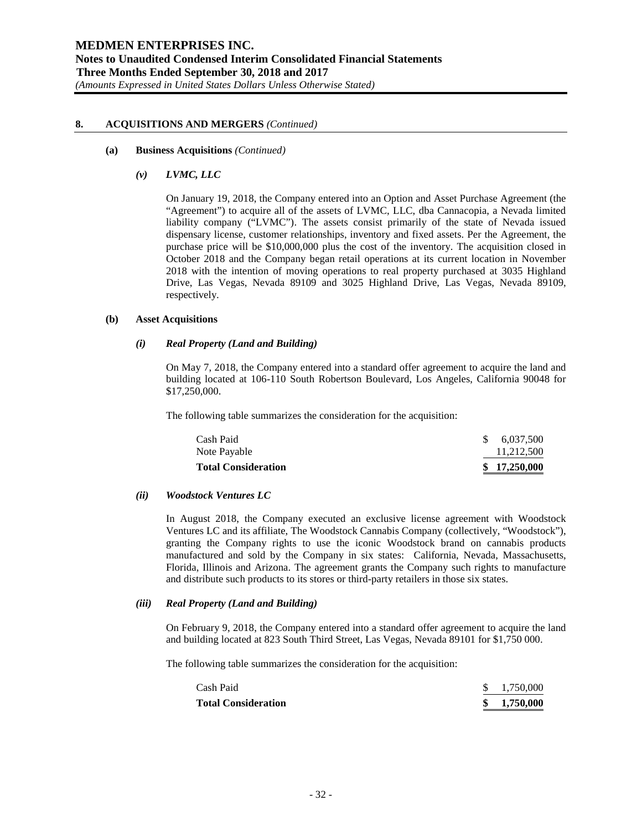#### **(a) Business Acquisitions** *(Continued)*

#### *(v) LVMC, LLC*

On January 19, 2018, the Company entered into an Option and Asset Purchase Agreement (the "Agreement") to acquire all of the assets of LVMC, LLC, dba Cannacopia, a Nevada limited liability company ("LVMC"). The assets consist primarily of the state of Nevada issued dispensary license, customer relationships, inventory and fixed assets. Per the Agreement, the purchase price will be \$10,000,000 plus the cost of the inventory. The acquisition closed in October 2018 and the Company began retail operations at its current location in November 2018 with the intention of moving operations to real property purchased at 3035 Highland Drive, Las Vegas, Nevada 89109 and 3025 Highland Drive, Las Vegas, Nevada 89109, respectively.

#### **(b) Asset Acquisitions**

## *(i) Real Property (Land and Building)*

On May 7, 2018, the Company entered into a standard offer agreement to acquire the land and building located at 106-110 South Robertson Boulevard, Los Angeles, California 90048 for \$17,250,000.

The following table summarizes the consideration for the acquisition:

| \$17,250,000 |
|--------------|
| 11,212,500   |
| 6,037,500    |
|              |

#### *(ii) Woodstock Ventures LC*

In August 2018, the Company executed an exclusive license agreement with Woodstock Ventures LC and its affiliate, The Woodstock Cannabis Company (collectively, "Woodstock"), granting the Company rights to use the iconic Woodstock brand on cannabis products manufactured and sold by the Company in six states: California, Nevada, Massachusetts, Florida, Illinois and Arizona. The agreement grants the Company such rights to manufacture and distribute such products to its stores or third-party retailers in those six states.

#### *(iii) Real Property (Land and Building)*

On February 9, 2018, the Company entered into a standard offer agreement to acquire the land and building located at 823 South Third Street, Las Vegas, Nevada 89101 for \$1,750 000.

The following table summarizes the consideration for the acquisition:

| Cash Paid<br><b>Total Consideration</b> | \$1,750,000<br>\$1,750,000 |
|-----------------------------------------|----------------------------|
|                                         |                            |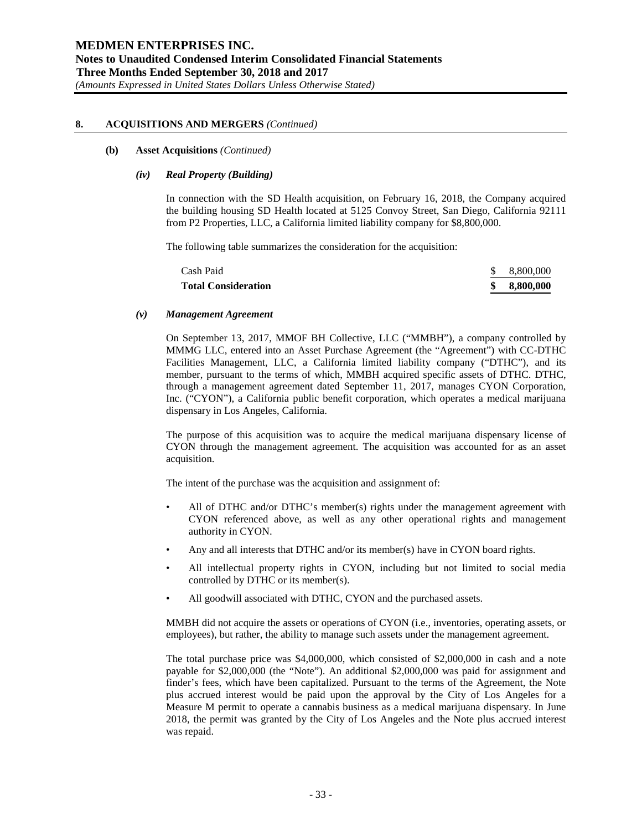#### **(b) Asset Acquisitions** *(Continued)*

#### *(iv) Real Property (Building)*

In connection with the SD Health acquisition, on February 16, 2018, the Company acquired the building housing SD Health located at 5125 Convoy Street, San Diego, California 92111 from P2 Properties, LLC, a California limited liability company for \$8,800,000.

The following table summarizes the consideration for the acquisition:

| <b>Total Consideration</b> | 8.800.000 |
|----------------------------|-----------|
| Cash Paid                  | 8.800.000 |

#### *(v) Management Agreement*

On September 13, 2017, MMOF BH Collective, LLC ("MMBH"), a company controlled by MMMG LLC, entered into an Asset Purchase Agreement (the "Agreement") with CC-DTHC Facilities Management, LLC, a California limited liability company ("DTHC"), and its member, pursuant to the terms of which, MMBH acquired specific assets of DTHC. DTHC, through a management agreement dated September 11, 2017, manages CYON Corporation, Inc. ("CYON"), a California public benefit corporation, which operates a medical marijuana dispensary in Los Angeles, California.

The purpose of this acquisition was to acquire the medical marijuana dispensary license of CYON through the management agreement. The acquisition was accounted for as an asset acquisition.

The intent of the purchase was the acquisition and assignment of:

- All of DTHC and/or DTHC's member(s) rights under the management agreement with CYON referenced above, as well as any other operational rights and management authority in CYON.
- Any and all interests that DTHC and/or its member(s) have in CYON board rights.
- All intellectual property rights in CYON, including but not limited to social media controlled by DTHC or its member(s).
- All goodwill associated with DTHC, CYON and the purchased assets.

MMBH did not acquire the assets or operations of CYON (i.e., inventories, operating assets, or employees), but rather, the ability to manage such assets under the management agreement.

The total purchase price was \$4,000,000, which consisted of \$2,000,000 in cash and a note payable for \$2,000,000 (the "Note"). An additional \$2,000,000 was paid for assignment and finder's fees, which have been capitalized. Pursuant to the terms of the Agreement, the Note plus accrued interest would be paid upon the approval by the City of Los Angeles for a Measure M permit to operate a cannabis business as a medical marijuana dispensary. In June 2018, the permit was granted by the City of Los Angeles and the Note plus accrued interest was repaid.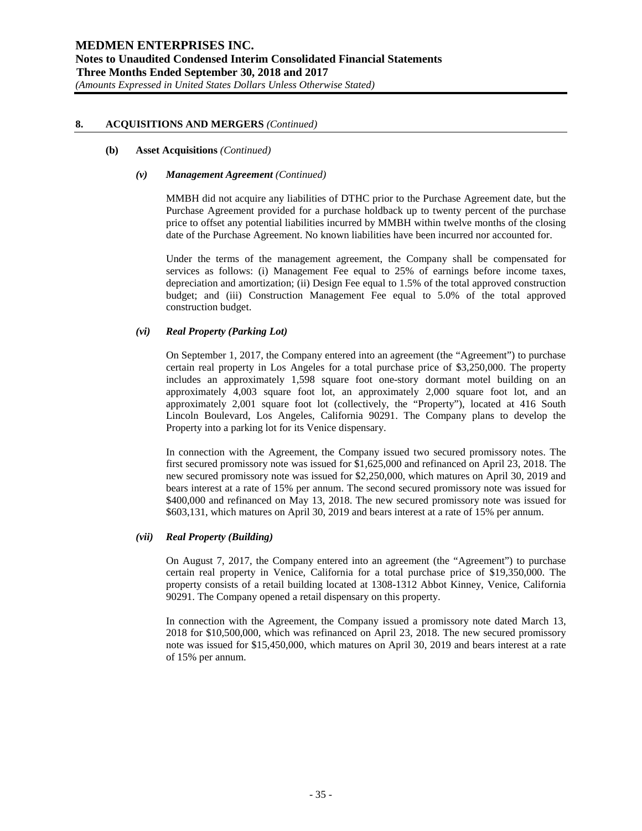#### **(b) Asset Acquisitions** *(Continued)*

#### *(v) Management Agreement (Continued)*

MMBH did not acquire any liabilities of DTHC prior to the Purchase Agreement date, but the Purchase Agreement provided for a purchase holdback up to twenty percent of the purchase price to offset any potential liabilities incurred by MMBH within twelve months of the closing date of the Purchase Agreement. No known liabilities have been incurred nor accounted for.

Under the terms of the management agreement, the Company shall be compensated for services as follows: (i) Management Fee equal to 25% of earnings before income taxes, depreciation and amortization; (ii) Design Fee equal to 1.5% of the total approved construction budget; and (iii) Construction Management Fee equal to 5.0% of the total approved construction budget.

# *(vi) Real Property (Parking Lot)*

On September 1, 2017, the Company entered into an agreement (the "Agreement") to purchase certain real property in Los Angeles for a total purchase price of \$3,250,000. The property includes an approximately 1,598 square foot one-story dormant motel building on an approximately 4,003 square foot lot, an approximately 2,000 square foot lot, and an approximately 2,001 square foot lot (collectively, the "Property"), located at 416 South Lincoln Boulevard, Los Angeles, California 90291. The Company plans to develop the Property into a parking lot for its Venice dispensary.

In connection with the Agreement, the Company issued two secured promissory notes. The first secured promissory note was issued for \$1,625,000 and refinanced on April 23, 2018. The new secured promissory note was issued for \$2,250,000, which matures on April 30, 2019 and bears interest at a rate of 15% per annum. The second secured promissory note was issued for \$400,000 and refinanced on May 13, 2018. The new secured promissory note was issued for \$603,131, which matures on April 30, 2019 and bears interest at a rate of 15% per annum.

# *(vii) Real Property (Building)*

On August 7, 2017, the Company entered into an agreement (the "Agreement") to purchase certain real property in Venice, California for a total purchase price of \$19,350,000. The property consists of a retail building located at 1308-1312 Abbot Kinney, Venice, California 90291. The Company opened a retail dispensary on this property.

In connection with the Agreement, the Company issued a promissory note dated March 13, 2018 for \$10,500,000, which was refinanced on April 23, 2018. The new secured promissory note was issued for \$15,450,000, which matures on April 30, 2019 and bears interest at a rate of 15% per annum.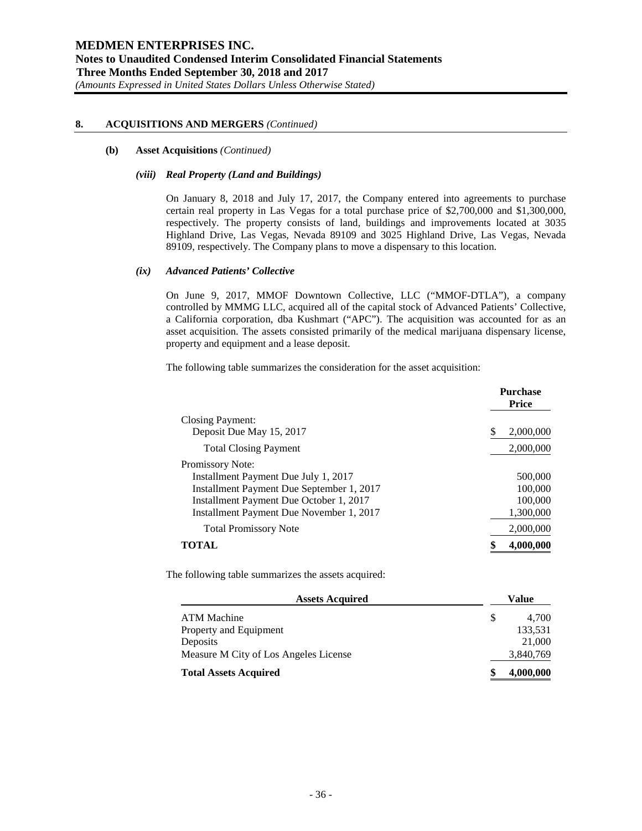#### **(b) Asset Acquisitions** *(Continued)*

#### *(viii) Real Property (Land and Buildings)*

On January 8, 2018 and July 17, 2017, the Company entered into agreements to purchase certain real property in Las Vegas for a total purchase price of \$2,700,000 and \$1,300,000, respectively. The property consists of land, buildings and improvements located at 3035 Highland Drive, Las Vegas, Nevada 89109 and 3025 Highland Drive, Las Vegas, Nevada 89109, respectively. The Company plans to move a dispensary to this location.

#### *(ix) Advanced Patients' Collective*

On June 9, 2017, MMOF Downtown Collective, LLC ("MMOF-DTLA"), a company controlled by MMMG LLC, acquired all of the capital stock of Advanced Patients' Collective, a California corporation, dba Kushmart ("APC"). The acquisition was accounted for as an asset acquisition. The assets consisted primarily of the medical marijuana dispensary license, property and equipment and a lease deposit.

The following table summarizes the consideration for the asset acquisition:

|                                           | <b>Purchase</b><br><b>Price</b> |
|-------------------------------------------|---------------------------------|
| Closing Payment:                          |                                 |
| Deposit Due May 15, 2017                  | S<br>2,000,000                  |
| <b>Total Closing Payment</b>              | 2,000,000                       |
| Promissory Note:                          |                                 |
| Installment Payment Due July 1, 2017      | 500,000                         |
| Installment Payment Due September 1, 2017 | 100,000                         |
| Installment Payment Due October 1, 2017   | 100,000                         |
| Installment Payment Due November 1, 2017  | 1,300,000                       |
| <b>Total Promissory Note</b>              | 2,000,000                       |
|                                           | 4,000,000                       |

The following table summarizes the assets acquired:

| <b>Assets Acquired</b>                | Value     |
|---------------------------------------|-----------|
| ATM Machine                           | 4.700     |
| Property and Equipment                | 133,531   |
| Deposits                              | 21,000    |
| Measure M City of Los Angeles License | 3,840,769 |
| <b>Total Assets Acquired</b>          | 4,000,000 |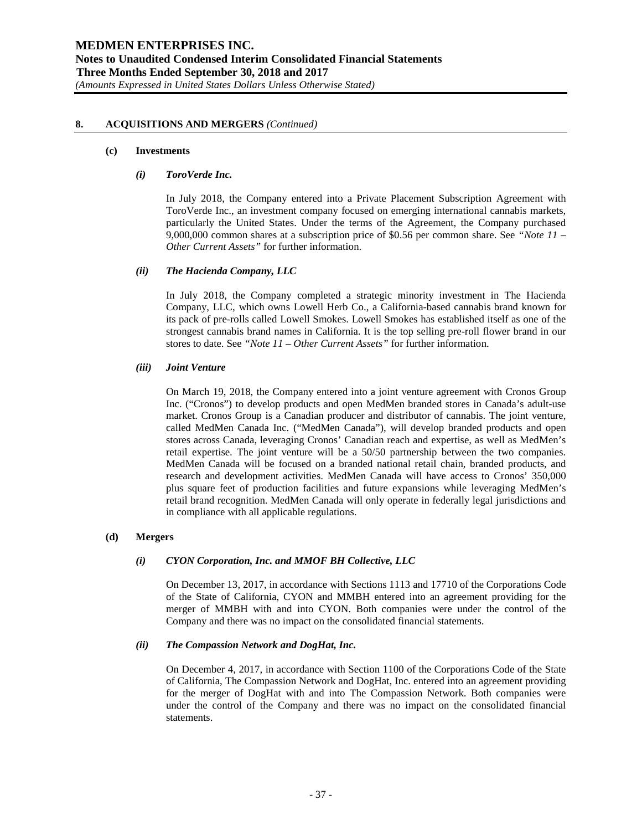#### **(c) Investments**

#### *(i) ToroVerde Inc.*

In July 2018, the Company entered into a Private Placement Subscription Agreement with ToroVerde Inc., an investment company focused on emerging international cannabis markets, particularly the United States. Under the terms of the Agreement, the Company purchased 9,000,000 common shares at a subscription price of \$0.56 per common share. See *"Note 11 – Other Current Assets"* for further information.

## *(ii) The Hacienda Company, LLC*

In July 2018, the Company completed a strategic minority investment in The Hacienda Company, LLC, which owns Lowell Herb Co., a California-based cannabis brand known for its pack of pre-rolls called Lowell Smokes. Lowell Smokes has established itself as one of the strongest cannabis brand names in California. It is the top selling pre-roll flower brand in our stores to date. See *"Note 11 – Other Current Assets"* for further information.

#### *(iii) Joint Venture*

On March 19, 2018, the Company entered into a joint venture agreement with Cronos Group Inc. ("Cronos") to develop products and open MedMen branded stores in Canada's adult-use market. Cronos Group is a Canadian producer and distributor of cannabis. The joint venture, called MedMen Canada Inc. ("MedMen Canada"), will develop branded products and open stores across Canada, leveraging Cronos' Canadian reach and expertise, as well as MedMen's retail expertise. The joint venture will be a 50/50 partnership between the two companies. MedMen Canada will be focused on a branded national retail chain, branded products, and research and development activities. MedMen Canada will have access to Cronos' 350,000 plus square feet of production facilities and future expansions while leveraging MedMen's retail brand recognition. MedMen Canada will only operate in federally legal jurisdictions and in compliance with all applicable regulations.

# **(d) Mergers**

# *(i) CYON Corporation, Inc. and MMOF BH Collective, LLC*

On December 13, 2017, in accordance with Sections 1113 and 17710 of the Corporations Code of the State of California, CYON and MMBH entered into an agreement providing for the merger of MMBH with and into CYON. Both companies were under the control of the Company and there was no impact on the consolidated financial statements.

#### *(ii) The Compassion Network and DogHat, Inc.*

On December 4, 2017, in accordance with Section 1100 of the Corporations Code of the State of California, The Compassion Network and DogHat, Inc. entered into an agreement providing for the merger of DogHat with and into The Compassion Network. Both companies were under the control of the Company and there was no impact on the consolidated financial statements.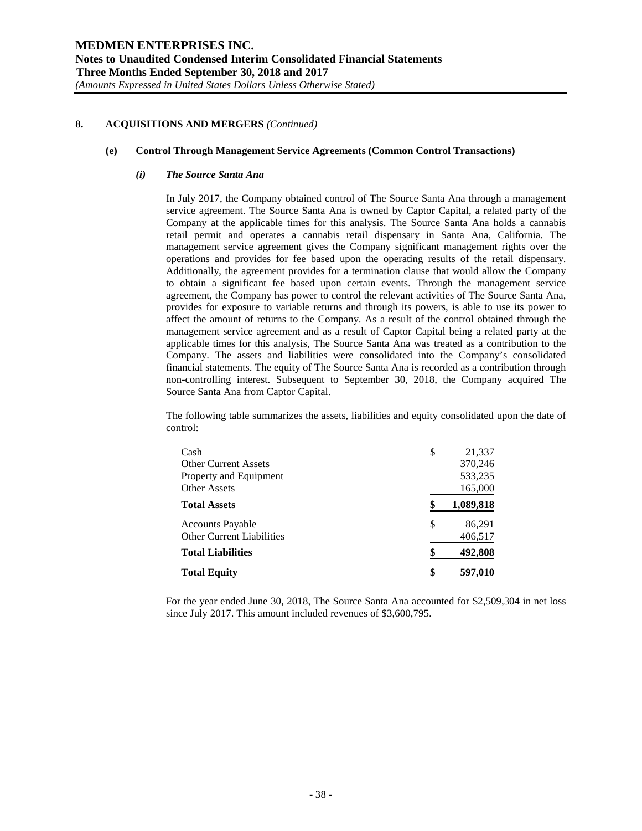#### **(e) Control Through Management Service Agreements (Common Control Transactions)**

#### *(i) The Source Santa Ana*

In July 2017, the Company obtained control of The Source Santa Ana through a management service agreement. The Source Santa Ana is owned by Captor Capital, a related party of the Company at the applicable times for this analysis. The Source Santa Ana holds a cannabis retail permit and operates a cannabis retail dispensary in Santa Ana, California. The management service agreement gives the Company significant management rights over the operations and provides for fee based upon the operating results of the retail dispensary. Additionally, the agreement provides for a termination clause that would allow the Company to obtain a significant fee based upon certain events. Through the management service agreement, the Company has power to control the relevant activities of The Source Santa Ana, provides for exposure to variable returns and through its powers, is able to use its power to affect the amount of returns to the Company. As a result of the control obtained through the management service agreement and as a result of Captor Capital being a related party at the applicable times for this analysis, The Source Santa Ana was treated as a contribution to the Company. The assets and liabilities were consolidated into the Company's consolidated financial statements. The equity of The Source Santa Ana is recorded as a contribution through non-controlling interest. Subsequent to September 30, 2018, the Company acquired The Source Santa Ana from Captor Capital.

The following table summarizes the assets, liabilities and equity consolidated upon the date of control:

| Cash<br><b>Other Current Assets</b>                         | \$ | 21,337<br>370,246  |
|-------------------------------------------------------------|----|--------------------|
| Property and Equipment<br><b>Other Assets</b>               |    | 533,235<br>165,000 |
| <b>Total Assets</b>                                         |    | 1,089,818          |
| <b>Accounts Payable</b><br><b>Other Current Liabilities</b> | S  | 86,291<br>406,517  |
| <b>Total Liabilities</b>                                    | \$ | 492,808            |
| <b>Total Equity</b>                                         | \$ | 597,010            |

For the year ended June 30, 2018, The Source Santa Ana accounted for \$2,509,304 in net loss since July 2017. This amount included revenues of \$3,600,795.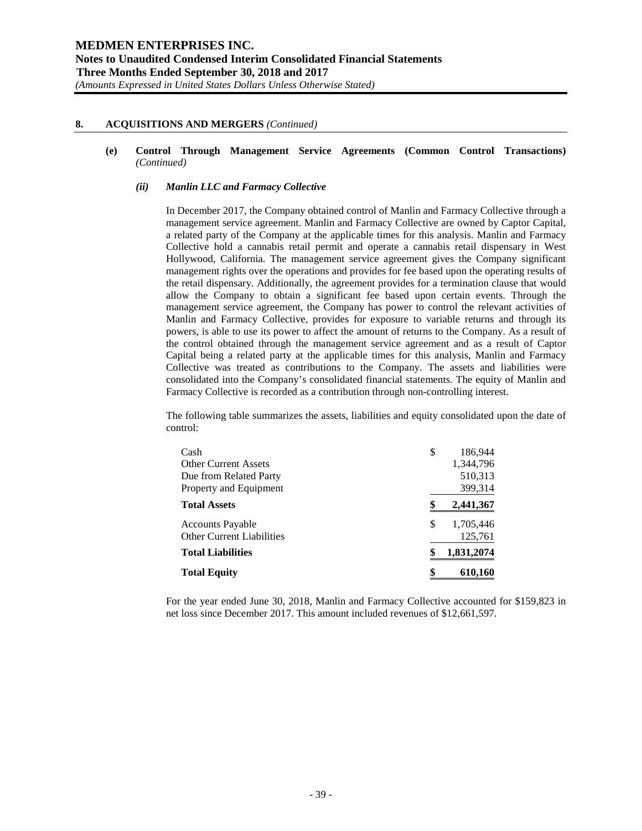#### **(e) Control Through Management Service Agreements (Common Control Transactions)** *(Continued)*

## *(ii) Manlin LLC and Farmacy Collective*

In December 2017, the Company obtained control of Manlin and Farmacy Collective through a management service agreement. Manlin and Farmacy Collective are owned by Captor Capital, a related party of the Company at the applicable times for this analysis. Manlin and Farmacy Collective hold a cannabis retail permit and operate a cannabis retail dispensary in West Hollywood, California. The management service agreement gives the Company significant management rights over the operations and provides for fee based upon the operating results of the retail dispensary. Additionally, the agreement provides for a termination clause that would allow the Company to obtain a significant fee based upon certain events. Through the management service agreement, the Company has power to control the relevant activities of Manlin and Farmacy Collective, provides for exposure to variable returns and through its powers, is able to use its power to affect the amount of returns to the Company. As a result of the control obtained through the management service agreement and as a result of Captor Capital being a related party at the applicable times for this analysis, Manlin and Farmacy Collective was treated as contributions to the Company. The assets and liabilities were consolidated into the Company's consolidated financial statements. The equity of Manlin and Farmacy Collective is recorded as a contribution through non-controlling interest.

The following table summarizes the assets, liabilities and equity consolidated upon the date of control:

| Cash                             | \$<br>186,944    |
|----------------------------------|------------------|
| <b>Other Current Assets</b>      | 1,344,796        |
| Due from Related Party           | 510,313          |
| Property and Equipment           | 399,314          |
| <b>Total Assets</b>              | \$<br>2,441,367  |
| <b>Accounts Payable</b>          | \$<br>1,705,446  |
| <b>Other Current Liabilities</b> | 125,761          |
| <b>Total Liabilities</b>         | \$<br>1,831,2074 |
| <b>Total Equity</b>              | \$<br>610,160    |

For the year ended June 30, 2018, Manlin and Farmacy Collective accounted for \$159,823 in net loss since December 2017. This amount included revenues of \$12,661,597.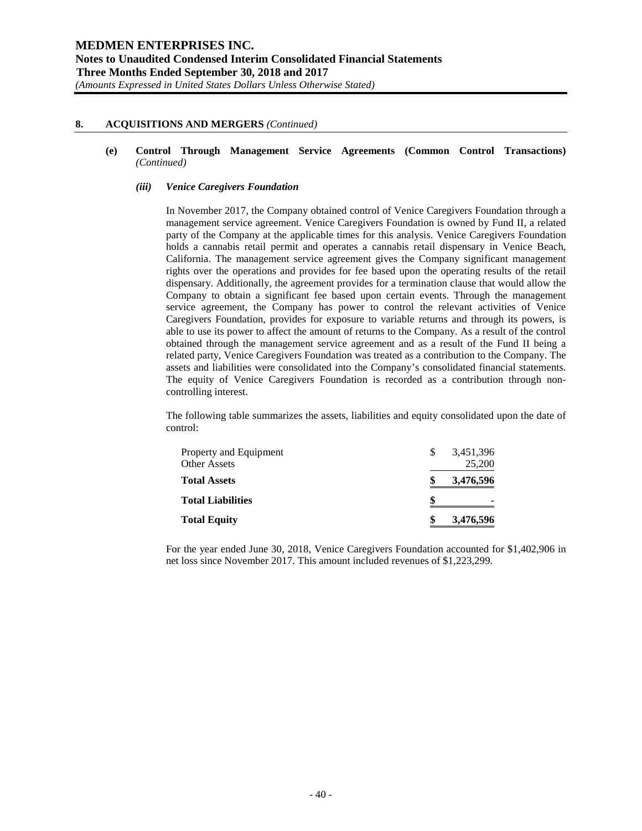#### **(e) Control Through Management Service Agreements (Common Control Transactions)** *(Continued)*

#### *(iii) Venice Caregivers Foundation*

In November 2017, the Company obtained control of Venice Caregivers Foundation through a management service agreement. Venice Caregivers Foundation is owned by Fund II, a related party of the Company at the applicable times for this analysis. Venice Caregivers Foundation holds a cannabis retail permit and operates a cannabis retail dispensary in Venice Beach, California. The management service agreement gives the Company significant management rights over the operations and provides for fee based upon the operating results of the retail dispensary. Additionally, the agreement provides for a termination clause that would allow the Company to obtain a significant fee based upon certain events. Through the management service agreement, the Company has power to control the relevant activities of Venice Caregivers Foundation, provides for exposure to variable returns and through its powers, is able to use its power to affect the amount of returns to the Company. As a result of the control obtained through the management service agreement and as a result of the Fund II being a related party, Venice Caregivers Foundation was treated as a contribution to the Company. The assets and liabilities were consolidated into the Company's consolidated financial statements. The equity of Venice Caregivers Foundation is recorded as a contribution through noncontrolling interest.

The following table summarizes the assets, liabilities and equity consolidated upon the date of control:

| Property and Equipment<br>Other Assets | S | 3,451,396<br>25,200 |
|----------------------------------------|---|---------------------|
| <b>Total Assets</b>                    |   | 3,476,596           |
| <b>Total Liabilities</b>               |   | ٠                   |
| <b>Total Equity</b>                    | S | 3,476,596           |

For the year ended June 30, 2018, Venice Caregivers Foundation accounted for \$1,402,906 in net loss since November 2017. This amount included revenues of \$1,223,299.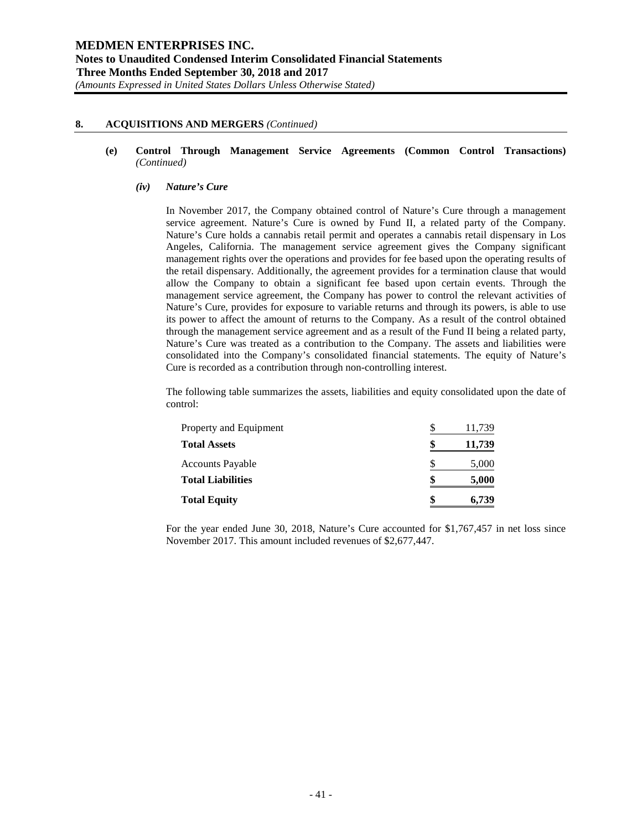**(e) Control Through Management Service Agreements (Common Control Transactions)** *(Continued)*

#### *(iv) Nature's Cure*

In November 2017, the Company obtained control of Nature's Cure through a management service agreement. Nature's Cure is owned by Fund II, a related party of the Company. Nature's Cure holds a cannabis retail permit and operates a cannabis retail dispensary in Los Angeles, California. The management service agreement gives the Company significant management rights over the operations and provides for fee based upon the operating results of the retail dispensary. Additionally, the agreement provides for a termination clause that would allow the Company to obtain a significant fee based upon certain events. Through the management service agreement, the Company has power to control the relevant activities of Nature's Cure, provides for exposure to variable returns and through its powers, is able to use its power to affect the amount of returns to the Company. As a result of the control obtained through the management service agreement and as a result of the Fund II being a related party, Nature's Cure was treated as a contribution to the Company. The assets and liabilities were consolidated into the Company's consolidated financial statements. The equity of Nature's Cure is recorded as a contribution through non-controlling interest.

The following table summarizes the assets, liabilities and equity consolidated upon the date of control:

| Property and Equipment   | 11,739 |
|--------------------------|--------|
| <b>Total Assets</b>      | 11,739 |
| <b>Accounts Payable</b>  | 5,000  |
| <b>Total Liabilities</b> | 5,000  |
| <b>Total Equity</b>      | 6,739  |

For the year ended June 30, 2018, Nature's Cure accounted for \$1,767,457 in net loss since November 2017. This amount included revenues of \$2,677,447.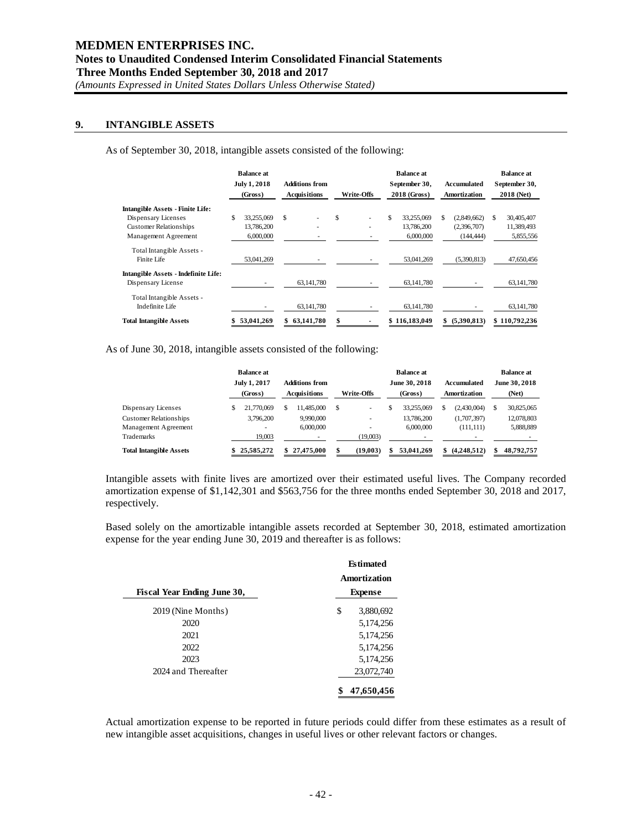# **9. INTANGIBLE ASSETS**

As of September 30, 2018, intangible assets consisted of the following:

|                                      |     | <b>Balance at</b><br>July 1, 2018<br>(Gross) | <b>Additions from</b><br><b>Acquisitions</b> |            | Write-Offs |  | <b>Balance at</b><br>September 30,<br>2018 (Gross) |             |    | Accumulated<br>Amortization | <b>Balance at</b><br>September 30,<br>2018 (Net) |               |
|--------------------------------------|-----|----------------------------------------------|----------------------------------------------|------------|------------|--|----------------------------------------------------|-------------|----|-----------------------------|--------------------------------------------------|---------------|
| Intangible Assets - Finite Life:     |     |                                              |                                              |            |            |  |                                                    |             |    |                             |                                                  |               |
| Dispensary Licenses                  | \$. | 33,255,069                                   | \$                                           |            | \$         |  | \$.                                                | 33.255.069  | S. | (2,849,662)                 | \$.                                              | 30,405,407    |
| <b>Customer Relationships</b>        |     | 13,786,200                                   |                                              | ٠          |            |  |                                                    | 13,786,200  |    | (2,396,707)                 |                                                  | 11,389,493    |
| Management Agreement                 |     | 6,000,000                                    |                                              |            |            |  |                                                    | 6,000,000   |    | (144, 444)                  |                                                  | 5,855,556     |
| Total Intangible Assets -            |     |                                              |                                              |            |            |  |                                                    |             |    |                             |                                                  |               |
| Finite Life                          |     | 53,041,269                                   |                                              |            |            |  |                                                    | 53,041,269  |    | (5,390,813)                 |                                                  | 47,650,456    |
| Intangible Assets - Indefinite Life: |     |                                              |                                              |            |            |  |                                                    |             |    |                             |                                                  |               |
| Dispensary License                   |     |                                              |                                              | 63,141,780 |            |  |                                                    | 63,141,780  |    |                             |                                                  | 63,141,780    |
| Total Intangible Assets -            |     |                                              |                                              |            |            |  |                                                    |             |    |                             |                                                  |               |
| Indefinite Life                      |     |                                              |                                              | 63,141,780 |            |  |                                                    | 63,141,780  |    |                             |                                                  | 63,141,780    |
| Total Intangible Assets              |     | 53,041,269                                   |                                              | 63,141,780 | \$         |  | \$                                                 | 116,183,049 | S  | (5,390,813)                 |                                                  | \$110,792,236 |

As of June 30, 2018, intangible assets consisted of the following:

|                                | <b>Balance at</b>       |  |                                              | <b>Balance at</b> |  |                          |  |                             |     | <b>Balance at</b>      |  |  |
|--------------------------------|-------------------------|--|----------------------------------------------|-------------------|--|--------------------------|--|-----------------------------|-----|------------------------|--|--|
|                                | July 1, 2017<br>(Gross) |  | <b>Additions from</b><br><b>Acquisitions</b> | <b>Write-Offs</b> |  | June 30, 2018<br>(Gross) |  | Accumulated<br>Amortization |     | June 30, 2018<br>(Net) |  |  |
| Dispensary Licenses            | 21,770,069              |  | 11.485.000                                   | \$<br>٠           |  | 33.255,069               |  | (2.430.004)                 | \$  | 30,825,065             |  |  |
| <b>Customer Relationships</b>  | 3,796,200               |  | 9,990,000                                    | ۰                 |  | 13,786,200               |  | (1,707,397)                 |     | 12,078,803             |  |  |
| Management Agreement           |                         |  | 6,000,000                                    |                   |  | 6,000,000                |  | (111, 111)                  |     | 5,888,889              |  |  |
| Trademarks                     | 19,003                  |  |                                              | (19,003)          |  |                          |  |                             |     |                        |  |  |
| <b>Total Intangible Assets</b> | 25.585.272              |  | 27.475.000                                   | (19.003)          |  | 53,041,269               |  | (4.248.512)                 | \$. | 48.792.757             |  |  |

Intangible assets with finite lives are amortized over their estimated useful lives. The Company recorded amortization expense of \$1,142,301 and \$563,756 for the three months ended September 30, 2018 and 2017, respectively.

Based solely on the amortizable intangible assets recorded at September 30, 2018, estimated amortization expense for the year ending June 30, 2019 and thereafter is as follows:

| Fiscal Year Ending June 30, | <b>Estimated</b><br>Amortization<br><b>Expense</b> |
|-----------------------------|----------------------------------------------------|
|                             |                                                    |
| 2019 (Nine Months)          | \$<br>3,880,692                                    |
| 2020                        | 5,174,256                                          |
| 2021                        | 5,174,256                                          |
| 2022                        | 5,174,256                                          |
| 2023                        | 5,174,256                                          |
| 2024 and Thereafter         | 23,072,740                                         |
|                             | 47,650,456                                         |

Actual amortization expense to be reported in future periods could differ from these estimates as a result of new intangible asset acquisitions, changes in useful lives or other relevant factors or changes.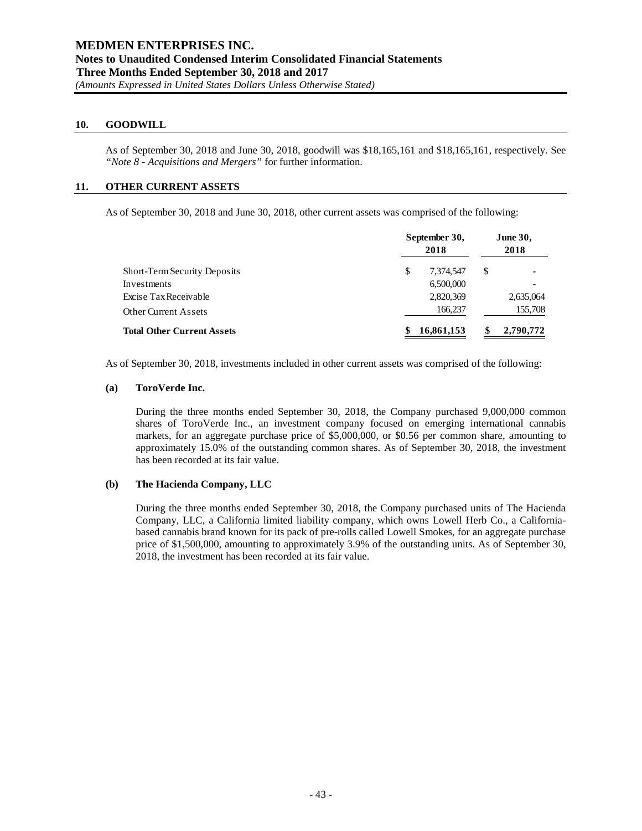# **10. GOODWILL**

As of September 30, 2018 and June 30, 2018, goodwill was \$18,165,161 and \$18,165,161, respectively. See *"Note 8 - Acquisitions and Mergers"* for further information.

## **11. OTHER CURRENT ASSETS**

As of September 30, 2018 and June 30, 2018, other current assets was comprised of the following:

|                                     |   | September 30,<br>2018 |   | <b>June 30,</b><br>2018 |
|-------------------------------------|---|-----------------------|---|-------------------------|
| <b>Short-Term Security Deposits</b> | S | 7.374.547             | S |                         |
| Investments                         |   | 6,500,000             |   |                         |
| Excise Tax Receivable               |   | 2,820,369             |   | 2,635,064               |
| <b>Other Current Assets</b>         |   | 166,237               |   | 155,708                 |
| <b>Total Other Current Assets</b>   |   | 16,861,153            |   | 2,790,772               |

As of September 30, 2018, investments included in other current assets was comprised of the following:

#### **(a) ToroVerde Inc.**

During the three months ended September 30, 2018, the Company purchased 9,000,000 common shares of ToroVerde Inc., an investment company focused on emerging international cannabis markets, for an aggregate purchase price of \$5,000,000, or \$0.56 per common share, amounting to approximately 15.0% of the outstanding common shares. As of September 30, 2018, the investment has been recorded at its fair value.

#### **(b) The Hacienda Company, LLC**

During the three months ended September 30, 2018, the Company purchased units of The Hacienda Company, LLC, a California limited liability company, which owns Lowell Herb Co., a Californiabased cannabis brand known for its pack of pre-rolls called Lowell Smokes, for an aggregate purchase price of \$1,500,000, amounting to approximately 3.9% of the outstanding units. As of September 30, 2018, the investment has been recorded at its fair value.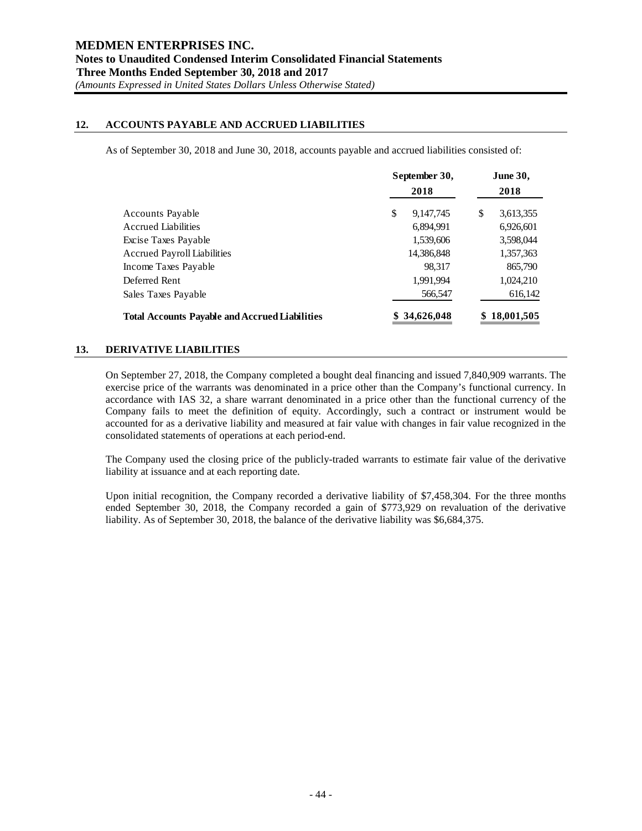# **12. ACCOUNTS PAYABLE AND ACCRUED LIABILITIES**

As of September 30, 2018 and June 30, 2018, accounts payable and accrued liabilities consisted of:

|                                                       | September 30,<br>2018 |            | <b>June 30,</b> |            |
|-------------------------------------------------------|-----------------------|------------|-----------------|------------|
|                                                       |                       |            |                 | 2018       |
| <b>Accounts Payable</b>                               | \$                    | 9,147,745  | \$              | 3,613,355  |
| <b>Accrued Liabilities</b>                            |                       | 6,894,991  |                 | 6,926,601  |
| Excise Taxes Payable                                  |                       | 1,539,606  |                 | 3,598,044  |
| <b>Accrued Payroll Liabilities</b>                    |                       | 14,386,848 |                 | 1,357,363  |
| Income Taxes Payable                                  |                       | 98.317     |                 | 865,790    |
| Deferred Rent                                         |                       | 1,991,994  |                 | 1,024,210  |
| Sales Taxes Payable                                   |                       | 566,547    |                 | 616,142    |
| <b>Total Accounts Payable and Accrued Liabilities</b> |                       | 34,626,048 |                 | 18,001,505 |

# **13. DERIVATIVE LIABILITIES**

On September 27, 2018, the Company completed a bought deal financing and issued 7,840,909 warrants. The exercise price of the warrants was denominated in a price other than the Company's functional currency. In accordance with IAS 32, a share warrant denominated in a price other than the functional currency of the Company fails to meet the definition of equity. Accordingly, such a contract or instrument would be accounted for as a derivative liability and measured at fair value with changes in fair value recognized in the consolidated statements of operations at each period-end.

The Company used the closing price of the publicly-traded warrants to estimate fair value of the derivative liability at issuance and at each reporting date.

Upon initial recognition, the Company recorded a derivative liability of \$7,458,304. For the three months ended September 30, 2018, the Company recorded a gain of \$773,929 on revaluation of the derivative liability. As of September 30, 2018, the balance of the derivative liability was \$6,684,375.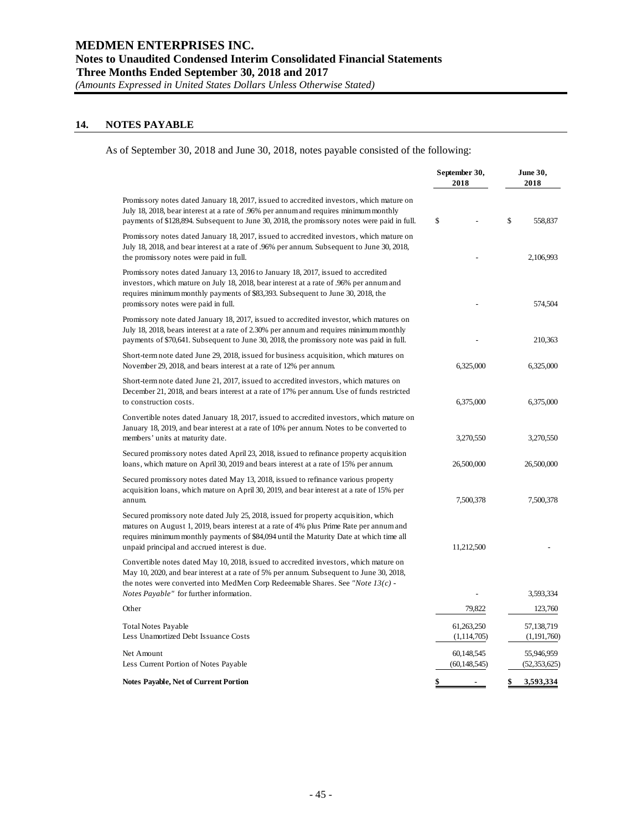## **14. NOTES PAYABLE**

As of September 30, 2018 and June 30, 2018, notes payable consisted of the following:

|                                                                                                                                                                                                                                                                                                                            | September 30,<br>2018       | <b>June 30,</b><br>2018   |
|----------------------------------------------------------------------------------------------------------------------------------------------------------------------------------------------------------------------------------------------------------------------------------------------------------------------------|-----------------------------|---------------------------|
| Promissory notes dated January 18, 2017, issued to accredited investors, which mature on<br>July 18, 2018, bear interest at a rate of .96% per annum and requires minimum monthly<br>payments of \$128,894. Subsequent to June 30, 2018, the promissory notes were paid in full.                                           | \$                          | \$<br>558,837             |
| Promissory notes dated January 18, 2017, issued to accredited investors, which mature on<br>July 18, 2018, and bear interest at a rate of .96% per annum. Subsequent to June 30, 2018,<br>the promissory notes were paid in full.                                                                                          |                             | 2,106,993                 |
| Promissory notes dated January 13, 2016 to January 18, 2017, issued to accredited<br>investors, which mature on July 18, 2018, bear interest at a rate of .96% per annum and<br>requires minimum monthly payments of \$83,393. Subsequent to June 30, 2018, the<br>promissory notes were paid in full.                     |                             | 574,504                   |
| Promissory note dated January 18, 2017, issued to accredited investor, which matures on<br>July 18, 2018, bears interest at a rate of 2.30% per annum and requires minimum monthly<br>payments of \$70,641. Subsequent to June 30, 2018, the promissory note was paid in full.                                             |                             | 210,363                   |
| Short-term note dated June 29, 2018, issued for business acquisition, which matures on<br>November 29, 2018, and bears interest at a rate of 12% per annum.                                                                                                                                                                | 6,325,000                   | 6,325,000                 |
| Short-term note dated June 21, 2017, issued to accredited investors, which matures on<br>December 21, 2018, and bears interest at a rate of 17% per annum. Use of funds restricted<br>to construction costs.                                                                                                               | 6,375,000                   | 6,375,000                 |
| Convertible notes dated January 18, 2017, issued to accredited investors, which mature on<br>January 18, 2019, and bear interest at a rate of 10% per annum. Notes to be converted to<br>members' units at maturity date.                                                                                                  | 3,270,550                   | 3,270,550                 |
| Secured promissory notes dated April 23, 2018, issued to refinance property acquisition<br>loans, which mature on April 30, 2019 and bears interest at a rate of 15% per annum.                                                                                                                                            | 26,500,000                  | 26,500,000                |
| Secured promissory notes dated May 13, 2018, issued to refinance various property<br>acquisition loans, which mature on April 30, 2019, and bear interest at a rate of 15% per<br>annum.                                                                                                                                   | 7,500,378                   | 7,500,378                 |
| Secured promissory note dated July 25, 2018, issued for property acquisition, which<br>matures on August 1, 2019, bears interest at a rate of 4% plus Prime Rate per annum and<br>requires minimum monthly payments of \$84,094 until the Maturity Date at which time all<br>unpaid principal and accrued interest is due. | 11,212,500                  |                           |
| Convertible notes dated May 10, 2018, issued to accredited investors, which mature on<br>May 10, 2020, and bear interest at a rate of 5% per annum. Subsequent to June 30, 2018,<br>the notes were converted into MedMen Corp Redeemable Shares. See "Note $13(c)$ -                                                       |                             |                           |
| Notes Payable" for further information.                                                                                                                                                                                                                                                                                    |                             | 3,593,334                 |
| Other                                                                                                                                                                                                                                                                                                                      | 79,822                      | 123,760                   |
| <b>Total Notes Payable</b><br>Less Unamortized Debt Issuance Costs                                                                                                                                                                                                                                                         | 61,263,250<br>(1, 114, 705) | 57,138,719<br>(1,191,760) |
| Net Amount                                                                                                                                                                                                                                                                                                                 | 60,148,545                  | 55,946,959                |
| Less Current Portion of Notes Payable                                                                                                                                                                                                                                                                                      | (60, 148, 545)              | (52, 353, 625)            |
| <b>Notes Payable, Net of Current Portion</b>                                                                                                                                                                                                                                                                               | \$                          | \$<br>3,593,334           |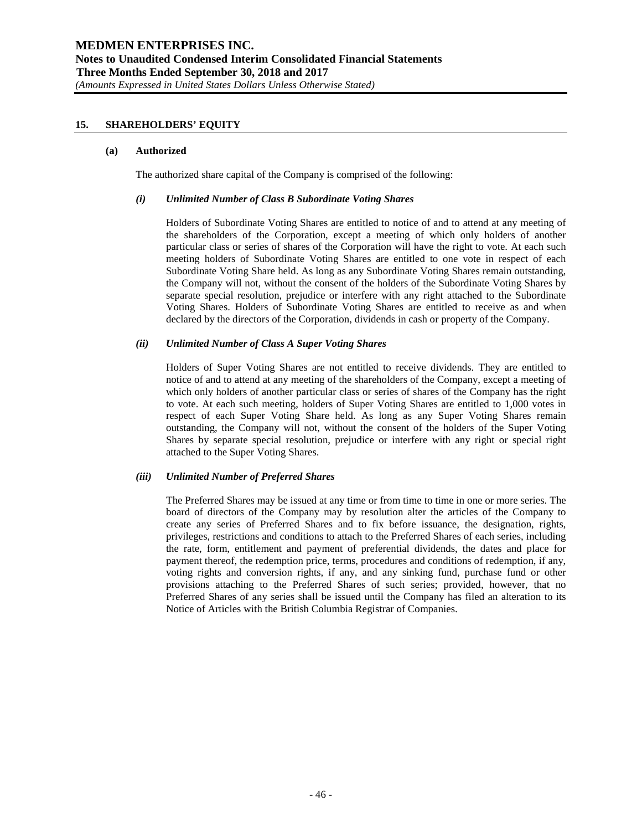# **15. SHAREHOLDERS' EQUITY**

#### **(a) Authorized**

The authorized share capital of the Company is comprised of the following:

#### *(i) Unlimited Number of Class B Subordinate Voting Shares*

Holders of Subordinate Voting Shares are entitled to notice of and to attend at any meeting of the shareholders of the Corporation, except a meeting of which only holders of another particular class or series of shares of the Corporation will have the right to vote. At each such meeting holders of Subordinate Voting Shares are entitled to one vote in respect of each Subordinate Voting Share held. As long as any Subordinate Voting Shares remain outstanding, the Company will not, without the consent of the holders of the Subordinate Voting Shares by separate special resolution, prejudice or interfere with any right attached to the Subordinate Voting Shares. Holders of Subordinate Voting Shares are entitled to receive as and when declared by the directors of the Corporation, dividends in cash or property of the Company.

#### *(ii) Unlimited Number of Class A Super Voting Shares*

Holders of Super Voting Shares are not entitled to receive dividends. They are entitled to notice of and to attend at any meeting of the shareholders of the Company, except a meeting of which only holders of another particular class or series of shares of the Company has the right to vote. At each such meeting, holders of Super Voting Shares are entitled to 1,000 votes in respect of each Super Voting Share held. As long as any Super Voting Shares remain outstanding, the Company will not, without the consent of the holders of the Super Voting Shares by separate special resolution, prejudice or interfere with any right or special right attached to the Super Voting Shares.

#### *(iii) Unlimited Number of Preferred Shares*

The Preferred Shares may be issued at any time or from time to time in one or more series. The board of directors of the Company may by resolution alter the articles of the Company to create any series of Preferred Shares and to fix before issuance, the designation, rights, privileges, restrictions and conditions to attach to the Preferred Shares of each series, including the rate, form, entitlement and payment of preferential dividends, the dates and place for payment thereof, the redemption price, terms, procedures and conditions of redemption, if any, voting rights and conversion rights, if any, and any sinking fund, purchase fund or other provisions attaching to the Preferred Shares of such series; provided, however, that no Preferred Shares of any series shall be issued until the Company has filed an alteration to its Notice of Articles with the British Columbia Registrar of Companies.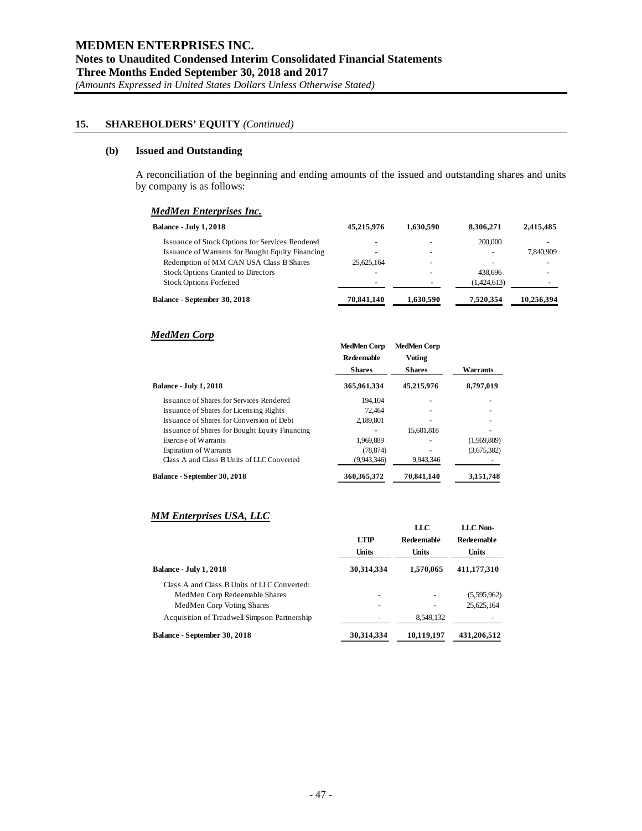#### **(b) Issued and Outstanding**

A reconciliation of the beginning and ending amounts of the issued and outstanding shares and units by company is as follows:

# *MedMen Enterprises Inc.*

| <b>Balance - July 1, 2018</b>                    | 45.215.976 | 1,630,590 | 8.306.271   | 2.415.485  |
|--------------------------------------------------|------------|-----------|-------------|------------|
| Issuance of Stock Options for Services Rendered  |            |           | 200,000     |            |
| Issuance of Warrants for Bought Equity Financing |            | -         | -           | 7,840,909  |
| Redemption of MM CAN USA Class B Shares          | 25.625.164 | -         |             |            |
| <b>Stock Options Granted to Directors</b>        |            |           | 438.696     |            |
| <b>Stock Options Forfeited</b>                   | -          |           | (1.424.613) |            |
| <b>Balance - September 30, 2018</b>              | 70,841,140 | 1,630,590 | 7.520.354   | 10,256,394 |

## *MedMen Corp*

|                                                | <b>MedMen Corp</b><br><b>Redeemable</b><br><b>Shares</b> | <b>MedMen Corp</b><br><b>Voting</b><br><b>Shares</b> | Warrants    |
|------------------------------------------------|----------------------------------------------------------|------------------------------------------------------|-------------|
| <b>Balance - July 1, 2018</b>                  | 365,961,334                                              | 45,215,976                                           | 8,797,019   |
| Issuance of Shares for Services Rendered       | 194.104                                                  |                                                      |             |
| Issuance of Shares for Licensing Rights        | 72,464                                                   |                                                      |             |
| Issuance of Shares for Conversion of Debt      | 2,189,801                                                |                                                      |             |
| Issuance of Shares for Bought Equity Financing |                                                          | 15,681,818                                           |             |
| Exercise of Warrants                           | 1.969.889                                                |                                                      | (1.969.889) |
| <b>Expiration of Warrants</b>                  | (78, 874)                                                |                                                      | (3,675,382) |
| Class A and Class B Units of LLC Converted     | (9,943,346)                                              | 9,943,346                                            |             |
| Balance - September 30, 2018                   | 360, 365, 372                                            | 70,841,140                                           | 3,151,748   |

# *MM Enterprises USA, LLC*

|                                              | <b>LTIP</b><br><b>Units</b> | LLC<br><b>Redeemable</b><br><b>Units</b> | LLC Non-<br><b>Redeemable</b><br><b>Units</b> |
|----------------------------------------------|-----------------------------|------------------------------------------|-----------------------------------------------|
| <b>Balance - July 1, 2018</b>                | 30,314,334                  | 1,570,065                                | 411,177,310                                   |
| Class A and Class B Units of LLC Converted:  |                             |                                          |                                               |
| MedMen Corp Redeemable Shares                | -                           |                                          | (5,595,962)                                   |
| MedMen Corp Voting Shares                    |                             |                                          | 25.625.164                                    |
| Acquisition of Treadwell Simpson Partnership |                             | 8.549.132                                |                                               |
| Balance - September 30, 2018                 | 30.314.334                  | 10.119.197                               | 431.206.512                                   |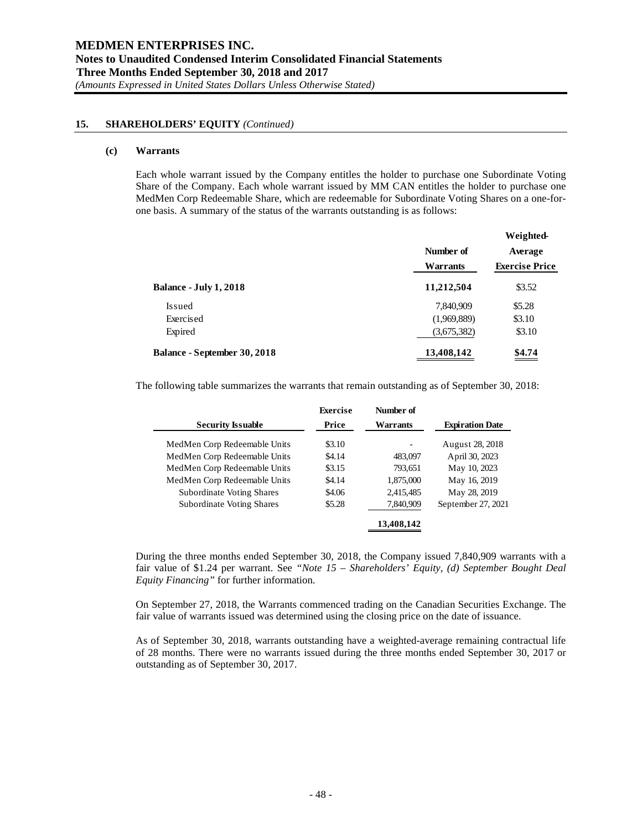#### **(c) Warrants**

Each whole warrant issued by the Company entitles the holder to purchase one Subordinate Voting Share of the Company. Each whole warrant issued by MM CAN entitles the holder to purchase one MedMen Corp Redeemable Share, which are redeemable for Subordinate Voting Shares on a one-forone basis. A summary of the status of the warrants outstanding is as follows:

|                              | Number of   | Average               |  |
|------------------------------|-------------|-----------------------|--|
|                              | Warrants    | <b>Exercise Price</b> |  |
| Balance - July 1, 2018       | 11,212,504  | \$3.52                |  |
| <b>Issued</b>                | 7,840,909   | \$5.28                |  |
| Exercised                    | (1,969,889) | \$3.10                |  |
| Expired                      | (3,675,382) | \$3.10                |  |
| Balance - September 30, 2018 | 13,408,142  | \$4.74                |  |

The following table summarizes the warrants that remain outstanding as of September 30, 2018:

|                                  | <b>Exercise</b> | Number of  |                        |
|----------------------------------|-----------------|------------|------------------------|
| <b>Security Issuable</b>         | Price           | Warrants   | <b>Expiration Date</b> |
| MedMen Corp Redeemable Units     | \$3.10          |            | August 28, 2018        |
| MedMen Corp Redeemable Units     | \$4.14          | 483,097    | April 30, 2023         |
| MedMen Corp Redeemable Units     | \$3.15          | 793,651    | May 10, 2023           |
| MedMen Corp Redeemable Units     | \$4.14          | 1,875,000  | May 16, 2019           |
| <b>Subordinate Voting Shares</b> | \$4.06          | 2,415,485  | May 28, 2019           |
| <b>Subordinate Voting Shares</b> | \$5.28          | 7,840,909  | September 27, 2021     |
|                                  |                 | 13,408,142 |                        |

During the three months ended September 30, 2018, the Company issued 7,840,909 warrants with a fair value of \$1.24 per warrant. See *"Note 15 – Shareholders' Equity, (d) September Bought Deal Equity Financing"* for further information.

On September 27, 2018, the Warrants commenced trading on the Canadian Securities Exchange. The fair value of warrants issued was determined using the closing price on the date of issuance.

As of September 30, 2018, warrants outstanding have a weighted-average remaining contractual life of 28 months. There were no warrants issued during the three months ended September 30, 2017 or outstanding as of September 30, 2017.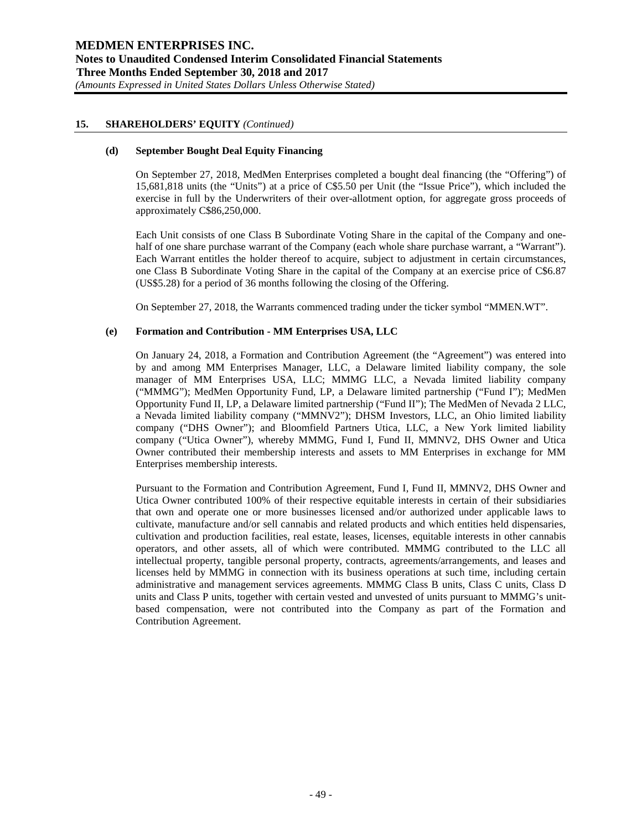#### **(d) September Bought Deal Equity Financing**

On September 27, 2018, MedMen Enterprises completed a bought deal financing (the "Offering") of 15,681,818 units (the "Units") at a price of C\$5.50 per Unit (the "Issue Price"), which included the exercise in full by the Underwriters of their over-allotment option, for aggregate gross proceeds of approximately C\$86,250,000.

Each Unit consists of one Class B Subordinate Voting Share in the capital of the Company and onehalf of one share purchase warrant of the Company (each whole share purchase warrant, a "Warrant"). Each Warrant entitles the holder thereof to acquire, subject to adjustment in certain circumstances, one Class B Subordinate Voting Share in the capital of the Company at an exercise price of C\$6.87 (US\$5.28) for a period of 36 months following the closing of the Offering.

On September 27, 2018, the Warrants commenced trading under the ticker symbol "MMEN.WT".

## **(e) Formation and Contribution - MM Enterprises USA, LLC**

On January 24, 2018, a Formation and Contribution Agreement (the "Agreement") was entered into by and among MM Enterprises Manager, LLC, a Delaware limited liability company, the sole manager of MM Enterprises USA, LLC; MMMG LLC, a Nevada limited liability company ("MMMG"); MedMen Opportunity Fund, LP, a Delaware limited partnership ("Fund I"); MedMen Opportunity Fund II, LP, a Delaware limited partnership ("Fund II"); The MedMen of Nevada 2 LLC, a Nevada limited liability company ("MMNV2"); DHSM Investors, LLC, an Ohio limited liability company ("DHS Owner"); and Bloomfield Partners Utica, LLC, a New York limited liability company ("Utica Owner"), whereby MMMG, Fund I, Fund II, MMNV2, DHS Owner and Utica Owner contributed their membership interests and assets to MM Enterprises in exchange for MM Enterprises membership interests.

Pursuant to the Formation and Contribution Agreement, Fund I, Fund II, MMNV2, DHS Owner and Utica Owner contributed 100% of their respective equitable interests in certain of their subsidiaries that own and operate one or more businesses licensed and/or authorized under applicable laws to cultivate, manufacture and/or sell cannabis and related products and which entities held dispensaries, cultivation and production facilities, real estate, leases, licenses, equitable interests in other cannabis operators, and other assets, all of which were contributed. MMMG contributed to the LLC all intellectual property, tangible personal property, contracts, agreements/arrangements, and leases and licenses held by MMMG in connection with its business operations at such time, including certain administrative and management services agreements. MMMG Class B units, Class C units, Class D units and Class P units, together with certain vested and unvested of units pursuant to MMMG's unitbased compensation, were not contributed into the Company as part of the Formation and Contribution Agreement.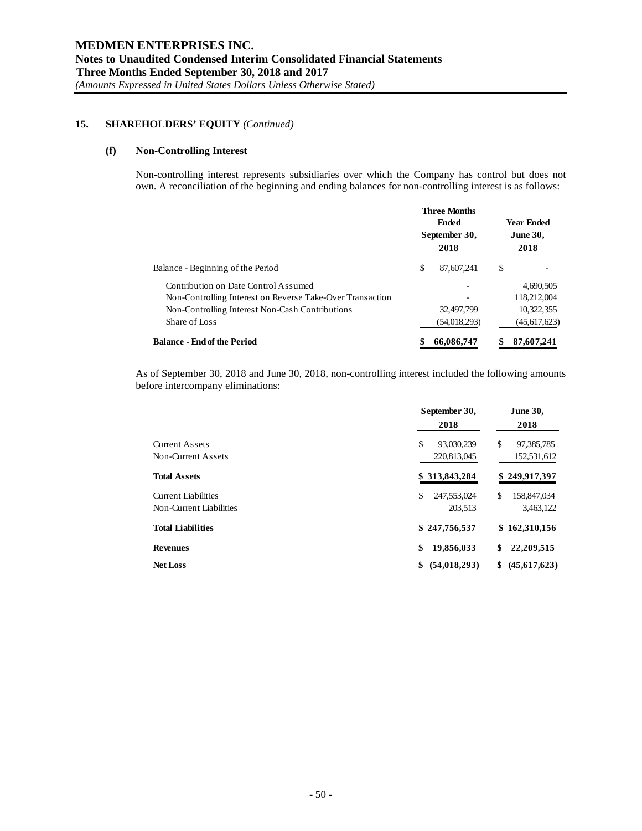# **(f) Non-Controlling Interest**

Non-controlling interest represents subsidiaries over which the Company has control but does not own. A reconciliation of the beginning and ending balances for non-controlling interest is as follows:

|                                                           | <b>Three Months</b><br><b>Ended</b><br>September 30, |              | <b>Year Ended</b><br><b>June 30,</b> |                |
|-----------------------------------------------------------|------------------------------------------------------|--------------|--------------------------------------|----------------|
|                                                           |                                                      | 2018         |                                      | 2018           |
| Balance - Beginning of the Period                         | \$                                                   | 87,607,241   | \$                                   |                |
| Contribution on Date Control Assumed                      |                                                      |              |                                      | 4,690,505      |
| Non-Controlling Interest on Reverse Take-Over Transaction |                                                      |              |                                      | 118,212,004    |
| Non-Controlling Interest Non-Cash Contributions           |                                                      | 32,497,799   |                                      | 10,322,355     |
| Share of Loss                                             |                                                      | (54,018,293) |                                      | (45, 617, 623) |
| <b>Balance - End of the Period</b>                        |                                                      | 66,086,747   |                                      | 87,607,241     |

As of September 30, 2018 and June 30, 2018, non-controlling interest included the following amounts before intercompany eliminations:

|                                                       | September 30,                   | <b>June 30,</b>                 |  |
|-------------------------------------------------------|---------------------------------|---------------------------------|--|
|                                                       | 2018                            | 2018                            |  |
| <b>Current Assets</b><br>Non-Current Assets           | \$<br>93,030,239<br>220,813,045 | \$<br>97,385,785<br>152,531,612 |  |
| <b>Total Assets</b>                                   | \$313,843,284                   | \$249,917,397                   |  |
| <b>Current Liabilities</b><br>Non-Current Liabilities | \$<br>247,553,024<br>203,513    | \$<br>158,847,034<br>3,463,122  |  |
| <b>Total Liabilities</b>                              | \$247,756,537                   | \$162,310,156                   |  |
| <b>Revenues</b>                                       | \$<br>19,856,033                | 22,209,515<br>\$                |  |
| <b>Net Loss</b>                                       | (54, 018, 293)<br>\$            | (45,617,623)<br>\$              |  |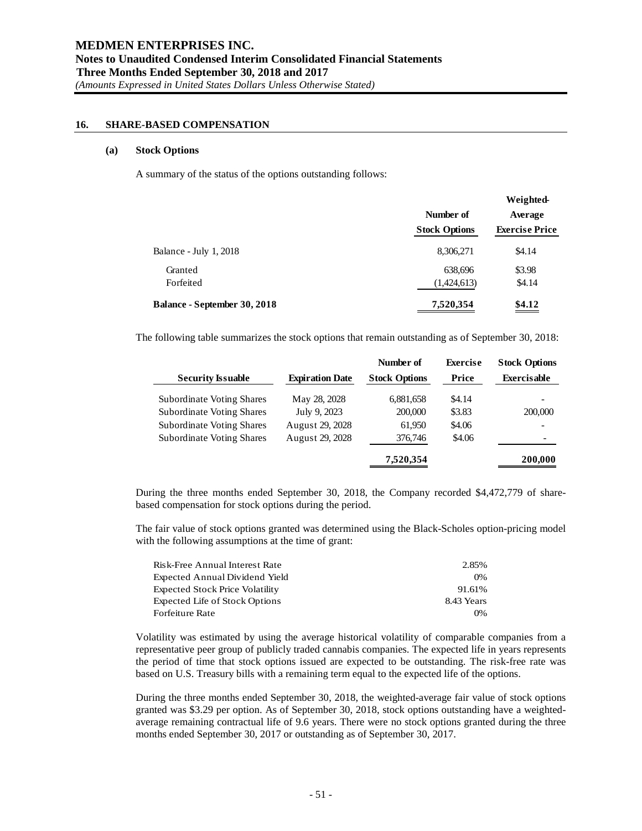#### **16. SHARE-BASED COMPENSATION**

#### **(a) Stock Options**

A summary of the status of the options outstanding follows:

|                                     |                      | Weighted-             |
|-------------------------------------|----------------------|-----------------------|
|                                     | Number of            | Average               |
|                                     | <b>Stock Options</b> | <b>Exercise Price</b> |
| Balance - July 1, 2018              | 8,306,271            | \$4.14                |
| Granted                             | 638,696              | \$3.98                |
| Forfeited                           | (1,424,613)          | \$4.14                |
| <b>Balance - September 30, 2018</b> | 7,520,354            | \$4.12                |

The following table summarizes the stock options that remain outstanding as of September 30, 2018:

|                                  |                        | Number of            | <b>Exercise</b> | <b>Stock Options</b>     |
|----------------------------------|------------------------|----------------------|-----------------|--------------------------|
| <b>Security Issuable</b>         | <b>Expiration Date</b> | <b>Stock Options</b> | Price           | <b>Exercisable</b>       |
| <b>Subordinate Voting Shares</b> | May 28, 2028           | 6,881,658            | \$4.14          |                          |
| <b>Subordinate Voting Shares</b> | July 9, 2023           | 200,000              | \$3.83          | 200,000                  |
| <b>Subordinate Voting Shares</b> | August 29, 2028        | 61,950               | \$4.06          | $\overline{\phantom{a}}$ |
| <b>Subordinate Voting Shares</b> | August 29, 2028        | 376,746              | \$4.06          | $\overline{\phantom{a}}$ |
|                                  |                        | 7,520,354            |                 | 200,000                  |

During the three months ended September 30, 2018, the Company recorded \$4,472,779 of sharebased compensation for stock options during the period.

The fair value of stock options granted was determined using the Black-Scholes option-pricing model with the following assumptions at the time of grant:

| Risk-Free Annual Interest Rate         | 2.85%      |
|----------------------------------------|------------|
| Expected Annual Dividend Yield         | $0\%$      |
| <b>Expected Stock Price Volatility</b> | 91.61%     |
| <b>Expected Life of Stock Options</b>  | 8.43 Years |
| Forfeiture Rate                        | $0\%$      |

Volatility was estimated by using the average historical volatility of comparable companies from a representative peer group of publicly traded cannabis companies. The expected life in years represents the period of time that stock options issued are expected to be outstanding. The risk-free rate was based on U.S. Treasury bills with a remaining term equal to the expected life of the options.

During the three months ended September 30, 2018, the weighted-average fair value of stock options granted was \$3.29 per option. As of September 30, 2018, stock options outstanding have a weightedaverage remaining contractual life of 9.6 years. There were no stock options granted during the three months ended September 30, 2017 or outstanding as of September 30, 2017.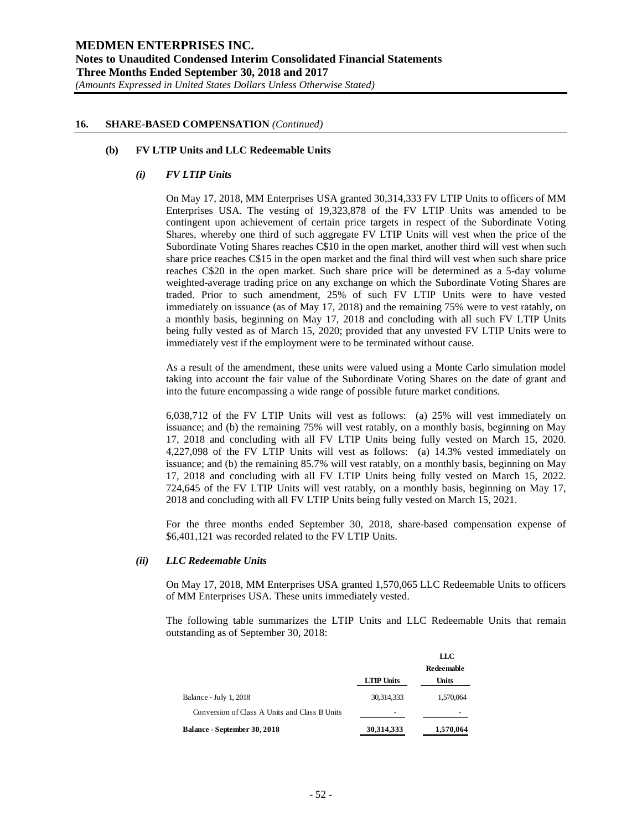#### **16. SHARE-BASED COMPENSATION** *(Continued)*

#### **(b) FV LTIP Units and LLC Redeemable Units**

## *(i) FV LTIP Units*

On May 17, 2018, MM Enterprises USA granted 30,314,333 FV LTIP Units to officers of MM Enterprises USA. The vesting of 19,323,878 of the FV LTIP Units was amended to be contingent upon achievement of certain price targets in respect of the Subordinate Voting Shares, whereby one third of such aggregate FV LTIP Units will vest when the price of the Subordinate Voting Shares reaches C\$10 in the open market, another third will vest when such share price reaches C\$15 in the open market and the final third will vest when such share price reaches C\$20 in the open market. Such share price will be determined as a 5-day volume weighted-average trading price on any exchange on which the Subordinate Voting Shares are traded. Prior to such amendment, 25% of such FV LTIP Units were to have vested immediately on issuance (as of May 17, 2018) and the remaining 75% were to vest ratably, on a monthly basis, beginning on May 17, 2018 and concluding with all such FV LTIP Units being fully vested as of March 15, 2020; provided that any unvested FV LTIP Units were to immediately vest if the employment were to be terminated without cause.

As a result of the amendment, these units were valued using a Monte Carlo simulation model taking into account the fair value of the Subordinate Voting Shares on the date of grant and into the future encompassing a wide range of possible future market conditions.

6,038,712 of the FV LTIP Units will vest as follows: (a) 25% will vest immediately on issuance; and (b) the remaining 75% will vest ratably, on a monthly basis, beginning on May 17, 2018 and concluding with all FV LTIP Units being fully vested on March 15, 2020. 4,227,098 of the FV LTIP Units will vest as follows: (a) 14.3% vested immediately on issuance; and (b) the remaining 85.7% will vest ratably, on a monthly basis, beginning on May 17, 2018 and concluding with all FV LTIP Units being fully vested on March 15, 2022. 724,645 of the FV LTIP Units will vest ratably, on a monthly basis, beginning on May 17, 2018 and concluding with all FV LTIP Units being fully vested on March 15, 2021.

For the three months ended September 30, 2018, share-based compensation expense of \$6,401,121 was recorded related to the FV LTIP Units.

#### *(ii) LLC Redeemable Units*

On May 17, 2018, MM Enterprises USA granted 1,570,065 LLC Redeemable Units to officers of MM Enterprises USA. These units immediately vested.

The following table summarizes the LTIP Units and LLC Redeemable Units that remain outstanding as of September 30, 2018:

|                                               |                   | LLC          |
|-----------------------------------------------|-------------------|--------------|
|                                               |                   | Redeemable   |
|                                               | <b>LTIP Units</b> | <b>Units</b> |
| Balance - July 1, 2018                        | 30,314,333        | 1,570,064    |
| Conversion of Class A Units and Class B Units | -                 |              |
| Balance - September 30, 2018                  | 30,314,333        | 1,570,064    |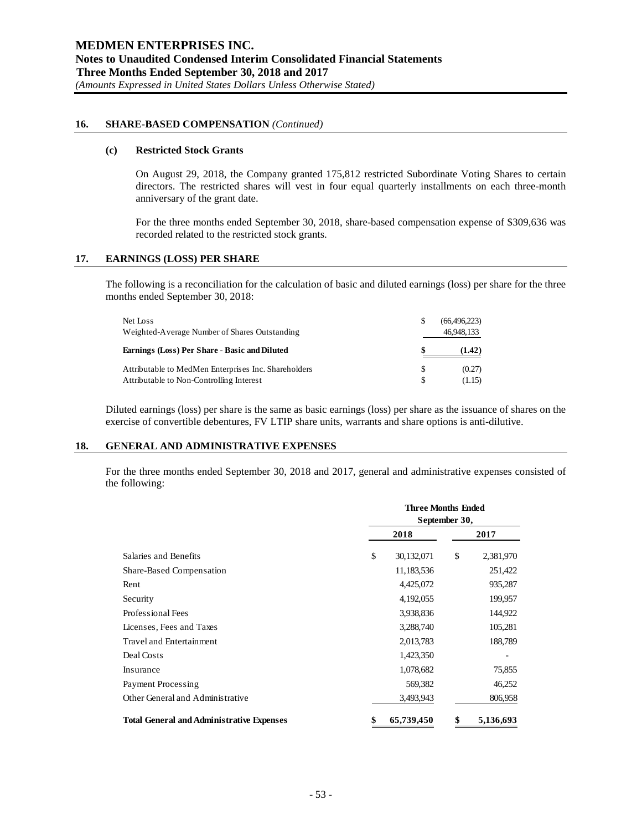## **16. SHARE-BASED COMPENSATION** *(Continued)*

#### **(c) Restricted Stock Grants**

On August 29, 2018, the Company granted 175,812 restricted Subordinate Voting Shares to certain directors. The restricted shares will vest in four equal quarterly installments on each three-month anniversary of the grant date.

For the three months ended September 30, 2018, share-based compensation expense of \$309,636 was recorded related to the restricted stock grants.

#### **17. EARNINGS (LOSS) PER SHARE**

The following is a reconciliation for the calculation of basic and diluted earnings (loss) per share for the three months ended September 30, 2018:

| Net Loss<br>Weighted-Average Number of Shares Outstanding                                        | S        | (66, 496, 223)<br>46,948,133 |
|--------------------------------------------------------------------------------------------------|----------|------------------------------|
| Earnings (Loss) Per Share - Basic and Diluted                                                    |          | (1.42)                       |
| Attributable to MedMen Enterprises Inc. Shareholders<br>Attributable to Non-Controlling Interest | \$.<br>S | (0.27)<br>(1.15)             |

Diluted earnings (loss) per share is the same as basic earnings (loss) per share as the issuance of shares on the exercise of convertible debentures, FV LTIP share units, warrants and share options is anti-dilutive.

#### **18. GENERAL AND ADMINISTRATIVE EXPENSES**

For the three months ended September 30, 2018 and 2017, general and administrative expenses consisted of the following:

|                                                  | <b>Three Months Ended</b><br>September 30, |                 |  |  |
|--------------------------------------------------|--------------------------------------------|-----------------|--|--|
|                                                  | 2018                                       | 2017            |  |  |
| Salaries and Benefits                            | \$<br>30,132,071                           | \$<br>2,381,970 |  |  |
| Share-Based Compensation                         | 11,183,536                                 | 251,422         |  |  |
| Rent                                             | 4,425,072                                  | 935,287         |  |  |
| Security                                         | 4,192,055                                  | 199,957         |  |  |
| Professional Fees                                | 3,938,836                                  | 144,922         |  |  |
| Licenses, Fees and Taxes                         | 3,288,740                                  | 105,281         |  |  |
| Travel and Entertainment                         | 2,013,783                                  | 188,789         |  |  |
| Deal Costs                                       | 1,423,350                                  |                 |  |  |
| Insurance                                        | 1,078,682                                  | 75,855          |  |  |
| Payment Processing                               | 569,382                                    | 46,252          |  |  |
| Other General and Administrative                 | 3,493,943                                  | 806,958         |  |  |
| <b>Total General and Administrative Expenses</b> | \$<br>65,739,450                           | \$<br>5,136,693 |  |  |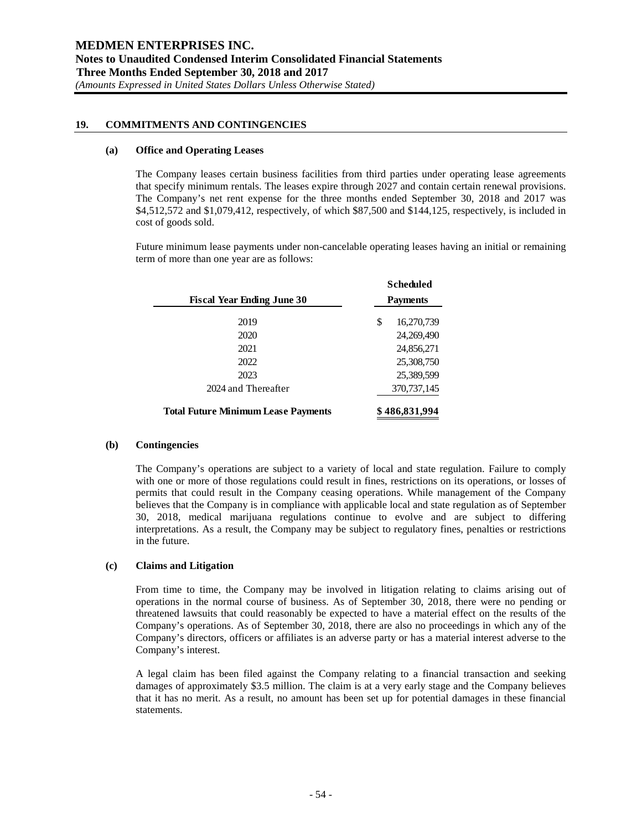# **19. COMMITMENTS AND CONTINGENCIES**

#### **(a) Office and Operating Leases**

The Company leases certain business facilities from third parties under operating lease agreements that specify minimum rentals. The leases expire through 2027 and contain certain renewal provisions. The Company's net rent expense for the three months ended September 30, 2018 and 2017 was \$4,512,572 and \$1,079,412, respectively, of which \$87,500 and \$144,125, respectively, is included in cost of goods sold.

Future minimum lease payments under non-cancelable operating leases having an initial or remaining term of more than one year are as follows:

| <b>Fiscal Year Ending June 30</b>          |    | <b>Scheduled</b><br><b>Payments</b> |  |  |
|--------------------------------------------|----|-------------------------------------|--|--|
| 2019                                       | \$ | 16,270,739                          |  |  |
| 2020                                       |    | 24,269,490                          |  |  |
| 2021                                       |    | 24,856,271                          |  |  |
| 2022                                       |    | 25,308,750                          |  |  |
| 2023                                       |    | 25,389,599                          |  |  |
| 2024 and Thereafter                        |    | 370,737,145                         |  |  |
| <b>Total Future Minimum Lease Payments</b> |    | \$486,831,994                       |  |  |

#### **(b) Contingencies**

The Company's operations are subject to a variety of local and state regulation. Failure to comply with one or more of those regulations could result in fines, restrictions on its operations, or losses of permits that could result in the Company ceasing operations. While management of the Company believes that the Company is in compliance with applicable local and state regulation as of September 30, 2018, medical marijuana regulations continue to evolve and are subject to differing interpretations. As a result, the Company may be subject to regulatory fines, penalties or restrictions in the future.

## **(c) Claims and Litigation**

From time to time, the Company may be involved in litigation relating to claims arising out of operations in the normal course of business. As of September 30, 2018, there were no pending or threatened lawsuits that could reasonably be expected to have a material effect on the results of the Company's operations. As of September 30, 2018, there are also no proceedings in which any of the Company's directors, officers or affiliates is an adverse party or has a material interest adverse to the Company's interest.

A legal claim has been filed against the Company relating to a financial transaction and seeking damages of approximately \$3.5 million. The claim is at a very early stage and the Company believes that it has no merit. As a result, no amount has been set up for potential damages in these financial statements.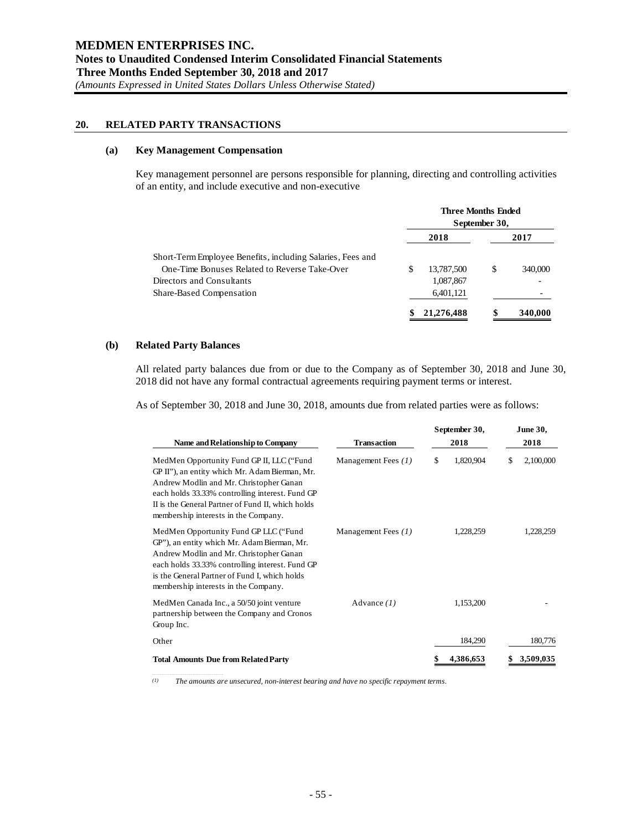# **20. RELATED PARTY TRANSACTIONS**

# **(a) Key Management Compensation**

Key management personnel are persons responsible for planning, directing and controlling activities of an entity, and include executive and non-executive

|                                                            | <b>Three Months Ended</b><br>September 30, |            |      |         |
|------------------------------------------------------------|--------------------------------------------|------------|------|---------|
|                                                            |                                            | 2018       | 2017 |         |
| Short-Term Employee Benefits, including Salaries, Fees and |                                            |            |      |         |
| One-Time Bonuses Related to Reverse Take-Over              | S                                          | 13,787,500 | S    | 340,000 |
| Directors and Consultants                                  |                                            | 1,087,867  |      |         |
| Share-Based Compensation                                   |                                            | 6,401,121  |      |         |
|                                                            |                                            | 21,276,488 |      | 340,000 |

#### **(b) Related Party Balances**

All related party balances due from or due to the Company as of September 30, 2018 and June 30, 2018 did not have any formal contractual agreements requiring payment terms or interest.

As of September 30, 2018 and June 30, 2018, amounts due from related parties were as follows:

| Name and Relationship to Company                                                                                                                                                                                                                                                       | <b>Transaction</b>  | September 30,<br>2018 |           | <b>June 30,</b><br>2018 |           |
|----------------------------------------------------------------------------------------------------------------------------------------------------------------------------------------------------------------------------------------------------------------------------------------|---------------------|-----------------------|-----------|-------------------------|-----------|
| MedMen Opportunity Fund GP II, LLC ("Fund<br>GP II"), an entity which Mr. Adam Bierman, Mr.<br>Andrew Modlin and Mr. Christopher Ganan<br>each holds 33.33% controlling interest. Fund GP<br>II is the General Partner of Fund II, which holds<br>membership interests in the Company. | Management Fees (1) | \$                    | 1,820,904 | \$                      | 2,100,000 |
| MedMen Opportunity Fund GP LLC ("Fund<br>GP"), an entity which Mr. Adam Bierman, Mr.<br>Andrew Modlin and Mr. Christopher Ganan<br>each holds 33.33% controlling interest. Fund GP<br>is the General Partner of Fund I, which holds<br>membership interests in the Company.            | Management Fees (1) |                       | 1,228,259 |                         | 1,228,259 |
| MedMen Canada Inc., a 50/50 joint venture<br>partnership between the Company and Cronos<br>Group Inc.                                                                                                                                                                                  | Advance $(1)$       |                       | 1,153,200 |                         |           |
| Other                                                                                                                                                                                                                                                                                  |                     |                       | 184,290   |                         | 180,776   |
| <b>Total Amounts Due from Related Party</b>                                                                                                                                                                                                                                            |                     |                       | 4,386,653 |                         | 3,509,035 |

*(1) The amounts are unsecured, non-interest bearing and have no specific repayment terms.*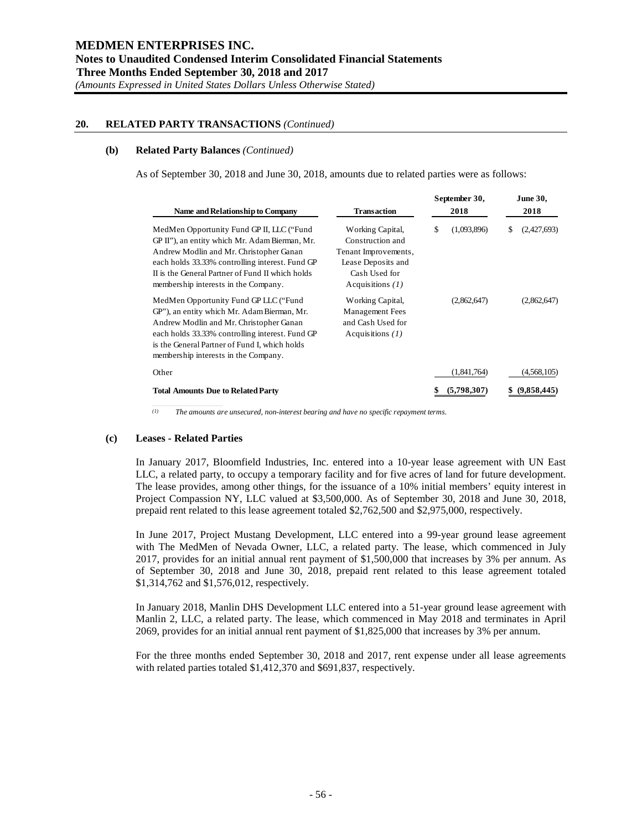# **20. RELATED PARTY TRANSACTIONS** *(Continued)*

#### **(b) Related Party Balances** *(Continued)*

As of September 30, 2018 and June 30, 2018, amounts due to related parties were as follows:

|                                                                                                                                                                                                                                                                                       |                                                                                                                           |      | September 30, |   | <b>June 30,</b> |      |
|---------------------------------------------------------------------------------------------------------------------------------------------------------------------------------------------------------------------------------------------------------------------------------------|---------------------------------------------------------------------------------------------------------------------------|------|---------------|---|-----------------|------|
| Name and Relationship to Company                                                                                                                                                                                                                                                      | <b>Transaction</b>                                                                                                        | 2018 |               |   |                 | 2018 |
| MedMen Opportunity Fund GP II, LLC ("Fund<br>GP II"), an entity which Mr. Adam Bierman, Mr.<br>Andrew Modlin and Mr. Christopher Ganan<br>each holds 33.33% controlling interest. Fund GP<br>II is the General Partner of Fund II which holds<br>membership interests in the Company. | Working Capital,<br>Construction and<br>Tenant Improvements,<br>Lease Deposits and<br>Cash Used for<br>Acquisitions $(1)$ | \$   | (1,093,896)   | S | (2,427,693)     |      |
| MedMen Opportunity Fund GP LLC ("Fund"<br>GP"), an entity which Mr. Adam Bierman, Mr.<br>Andrew Modlin and Mr. Christopher Ganan<br>each holds 33.33% controlling interest. Fund GP<br>is the General Partner of Fund I, which holds<br>membership interests in the Company.          | Working Capital,<br><b>Management Fees</b><br>and Cash Used for<br>Acquisitions $(1)$                                     |      | (2,862,647)   |   | (2,862,647)     |      |
| Other                                                                                                                                                                                                                                                                                 |                                                                                                                           |      | (1,841,764)   |   | (4,568,105)     |      |
| <b>Total Amounts Due to Related Party</b>                                                                                                                                                                                                                                             |                                                                                                                           | \$   | (5,798,307)   |   | (9,858,445)     |      |

*(1) The amounts are unsecured, non-interest bearing and have no specific repayment terms.*

#### **(c) Leases - Related Parties**

In January 2017, Bloomfield Industries, Inc. entered into a 10-year lease agreement with UN East LLC, a related party, to occupy a temporary facility and for five acres of land for future development. The lease provides, among other things, for the issuance of a 10% initial members' equity interest in Project Compassion NY, LLC valued at \$3,500,000. As of September 30, 2018 and June 30, 2018, prepaid rent related to this lease agreement totaled \$2,762,500 and \$2,975,000, respectively.

In June 2017, Project Mustang Development, LLC entered into a 99-year ground lease agreement with The MedMen of Nevada Owner, LLC, a related party. The lease, which commenced in July 2017, provides for an initial annual rent payment of \$1,500,000 that increases by 3% per annum. As of September 30, 2018 and June 30, 2018, prepaid rent related to this lease agreement totaled \$1,314,762 and \$1,576,012, respectively.

In January 2018, Manlin DHS Development LLC entered into a 51-year ground lease agreement with Manlin 2, LLC, a related party. The lease, which commenced in May 2018 and terminates in April 2069, provides for an initial annual rent payment of \$1,825,000 that increases by 3% per annum.

For the three months ended September 30, 2018 and 2017, rent expense under all lease agreements with related parties totaled \$1,412,370 and \$691,837, respectively.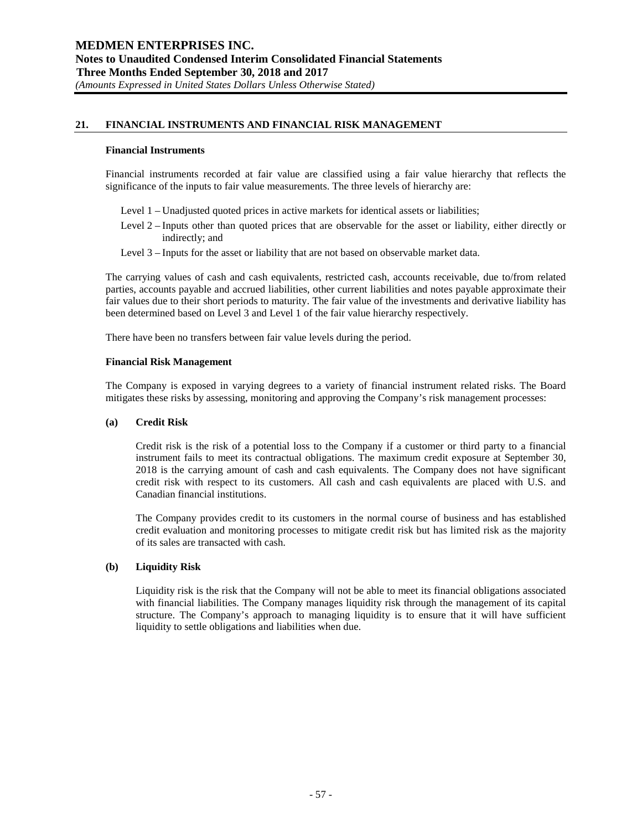# **21. FINANCIAL INSTRUMENTS AND FINANCIAL RISK MANAGEMENT**

#### **Financial Instruments**

Financial instruments recorded at fair value are classified using a fair value hierarchy that reflects the significance of the inputs to fair value measurements. The three levels of hierarchy are:

- Level 1 Unadjusted quoted prices in active markets for identical assets or liabilities;
- Level 2 Inputs other than quoted prices that are observable for the asset or liability, either directly or indirectly; and
- Level 3 Inputs for the asset or liability that are not based on observable market data.

The carrying values of cash and cash equivalents, restricted cash, accounts receivable, due to/from related parties, accounts payable and accrued liabilities, other current liabilities and notes payable approximate their fair values due to their short periods to maturity. The fair value of the investments and derivative liability has been determined based on Level 3 and Level 1 of the fair value hierarchy respectively.

There have been no transfers between fair value levels during the period.

## **Financial Risk Management**

The Company is exposed in varying degrees to a variety of financial instrument related risks. The Board mitigates these risks by assessing, monitoring and approving the Company's risk management processes:

#### **(a) Credit Risk**

Credit risk is the risk of a potential loss to the Company if a customer or third party to a financial instrument fails to meet its contractual obligations. The maximum credit exposure at September 30, 2018 is the carrying amount of cash and cash equivalents. The Company does not have significant credit risk with respect to its customers. All cash and cash equivalents are placed with U.S. and Canadian financial institutions.

The Company provides credit to its customers in the normal course of business and has established credit evaluation and monitoring processes to mitigate credit risk but has limited risk as the majority of its sales are transacted with cash.

# **(b) Liquidity Risk**

Liquidity risk is the risk that the Company will not be able to meet its financial obligations associated with financial liabilities. The Company manages liquidity risk through the management of its capital structure. The Company's approach to managing liquidity is to ensure that it will have sufficient liquidity to settle obligations and liabilities when due.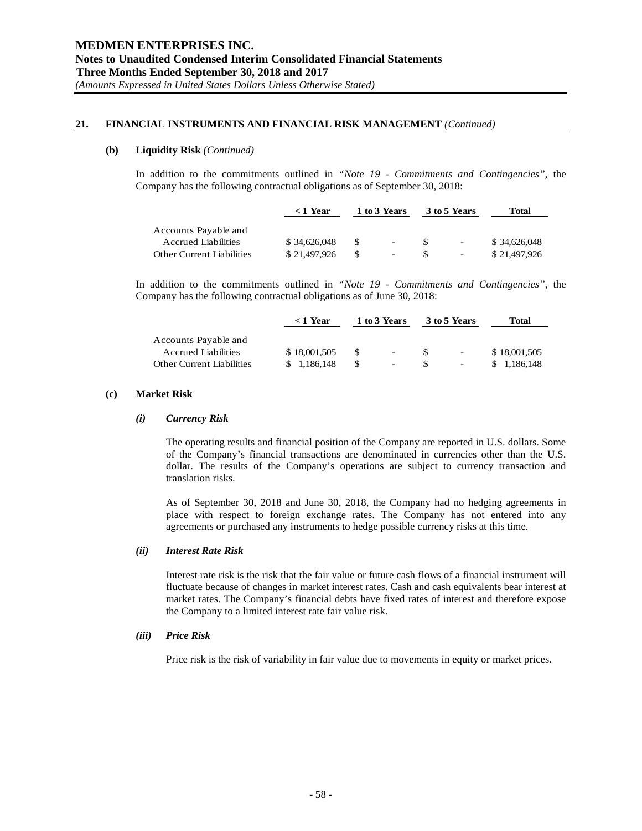# **21. FINANCIAL INSTRUMENTS AND FINANCIAL RISK MANAGEMENT** *(Continued)*

## **(b) Liquidity Risk** *(Continued)*

In addition to the commitments outlined in *"Note 19 - Commitments and Contingencies"*, the Company has the following contractual obligations as of September 30, 2018:

|                                  | $<$ 1 Year   |     | 1 to 3 Years             |          | 3 to 5 Years | Total        |
|----------------------------------|--------------|-----|--------------------------|----------|--------------|--------------|
| Accounts Payable and             |              |     |                          |          |              |              |
| <b>Accrued Liabilities</b>       | \$34,626,048 | -SS | $\sim$                   | <b>S</b> | $\sim$       | \$34,626,048 |
| <b>Other Current Liabilities</b> | \$21,497,926 |     | $\overline{\phantom{a}}$ | \$.      | $\sim$       | \$21,497,926 |

In addition to the commitments outlined in *"Note 19 - Commitments and Contingencies"*, the Company has the following contractual obligations as of June 30, 2018:

|                                  | $<$ 1 Year   | 1 to 3 Years |    | 3 to 5 Years | Total        |
|----------------------------------|--------------|--------------|----|--------------|--------------|
| Accounts Payable and             |              |              |    |              |              |
| <b>Accrued Liabilities</b>       | \$18,001,505 | $\sim$       | Æ. | $\sim$       | \$18,001,505 |
| <b>Other Current Liabilities</b> | \$1.186.148  | $\sim$       |    | $\sim$       | \$1.186,148  |

#### **(c) Market Risk**

#### *(i) Currency Risk*

The operating results and financial position of the Company are reported in U.S. dollars. Some of the Company's financial transactions are denominated in currencies other than the U.S. dollar. The results of the Company's operations are subject to currency transaction and translation risks.

As of September 30, 2018 and June 30, 2018, the Company had no hedging agreements in place with respect to foreign exchange rates. The Company has not entered into any agreements or purchased any instruments to hedge possible currency risks at this time.

# *(ii) Interest Rate Risk*

Interest rate risk is the risk that the fair value or future cash flows of a financial instrument will fluctuate because of changes in market interest rates. Cash and cash equivalents bear interest at market rates. The Company's financial debts have fixed rates of interest and therefore expose the Company to a limited interest rate fair value risk.

#### *(iii) Price Risk*

Price risk is the risk of variability in fair value due to movements in equity or market prices.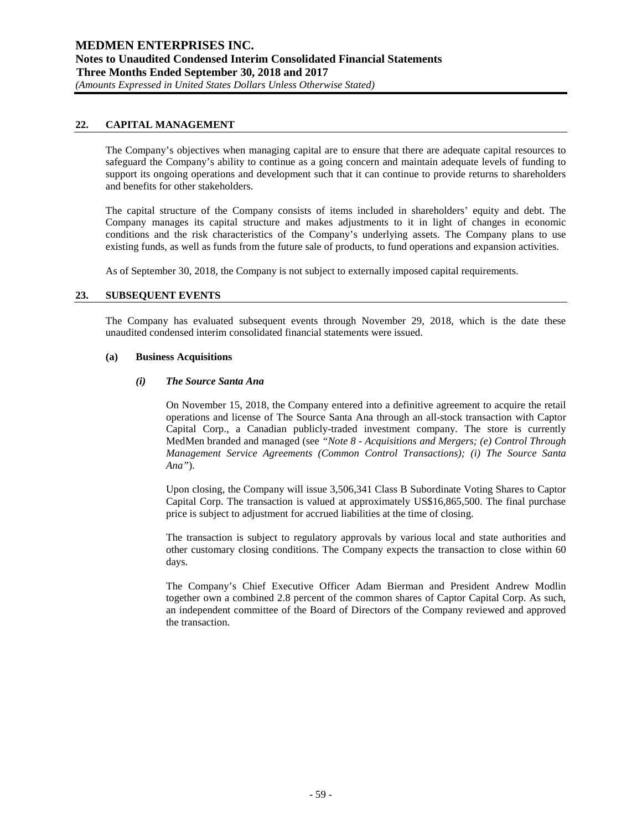# **22. CAPITAL MANAGEMENT**

The Company's objectives when managing capital are to ensure that there are adequate capital resources to safeguard the Company's ability to continue as a going concern and maintain adequate levels of funding to support its ongoing operations and development such that it can continue to provide returns to shareholders and benefits for other stakeholders.

The capital structure of the Company consists of items included in shareholders' equity and debt. The Company manages its capital structure and makes adjustments to it in light of changes in economic conditions and the risk characteristics of the Company's underlying assets. The Company plans to use existing funds, as well as funds from the future sale of products, to fund operations and expansion activities.

As of September 30, 2018, the Company is not subject to externally imposed capital requirements.

# **23. SUBSEQUENT EVENTS**

The Company has evaluated subsequent events through November 29, 2018, which is the date these unaudited condensed interim consolidated financial statements were issued.

## **(a) Business Acquisitions**

## *(i) The Source Santa Ana*

On November 15, 2018, the Company entered into a definitive agreement to acquire the retail operations and license of The Source Santa Ana through an all-stock transaction with Captor Capital Corp., a Canadian publicly-traded investment company. The store is currently MedMen branded and managed (see *"Note 8 - Acquisitions and Mergers; (e) Control Through Management Service Agreements (Common Control Transactions); (i) The Source Santa Ana"*).

Upon closing, the Company will issue 3,506,341 Class B Subordinate Voting Shares to Captor Capital Corp. The transaction is valued at approximately US\$16,865,500. The final purchase price is subject to adjustment for accrued liabilities at the time of closing.

The transaction is subject to regulatory approvals by various local and state authorities and other customary closing conditions. The Company expects the transaction to close within 60 days.

The Company's Chief Executive Officer Adam Bierman and President Andrew Modlin together own a combined 2.8 percent of the common shares of Captor Capital Corp. As such, an independent committee of the Board of Directors of the Company reviewed and approved the transaction.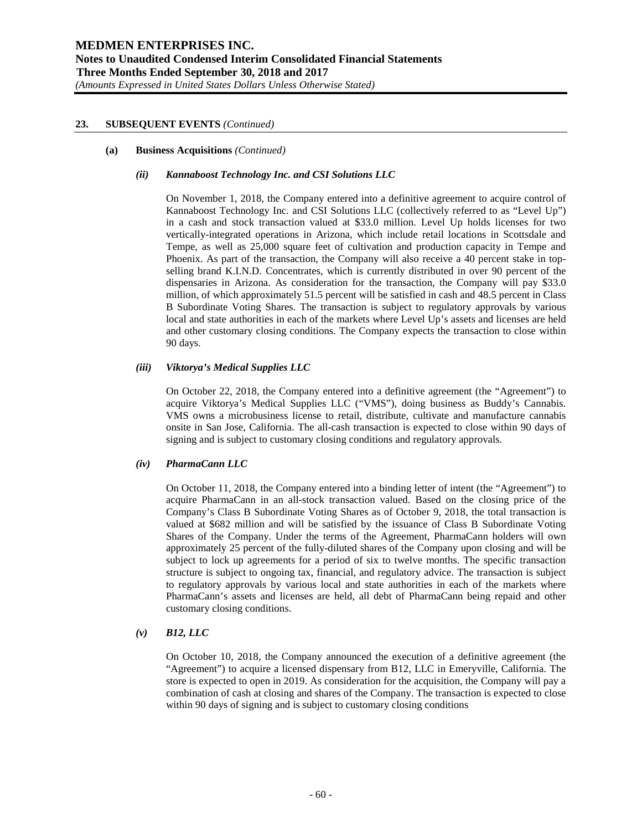#### **(a) Business Acquisitions** *(Continued)*

#### *(ii) Kannaboost Technology Inc. and CSI Solutions LLC*

On November 1, 2018, the Company entered into a definitive agreement to acquire control of Kannaboost Technology Inc. and CSI Solutions LLC (collectively referred to as "Level Up") in a cash and stock transaction valued at \$33.0 million. Level Up holds licenses for two vertically-integrated operations in Arizona, which include retail locations in Scottsdale and Tempe, as well as 25,000 square feet of cultivation and production capacity in Tempe and Phoenix. As part of the transaction, the Company will also receive a 40 percent stake in topselling brand K.I.N.D. Concentrates, which is currently distributed in over 90 percent of the dispensaries in Arizona. As consideration for the transaction, the Company will pay \$33.0 million, of which approximately 51.5 percent will be satisfied in cash and 48.5 percent in Class B Subordinate Voting Shares. The transaction is subject to regulatory approvals by various local and state authorities in each of the markets where Level Up's assets and licenses are held and other customary closing conditions. The Company expects the transaction to close within 90 days.

## *(iii) Viktorya's Medical Supplies LLC*

On October 22, 2018, the Company entered into a definitive agreement (the "Agreement") to acquire Viktorya's Medical Supplies LLC ("VMS"), doing business as Buddy's Cannabis. VMS owns a microbusiness license to retail, distribute, cultivate and manufacture cannabis onsite in San Jose, California. The all-cash transaction is expected to close within 90 days of signing and is subject to customary closing conditions and regulatory approvals.

# *(iv) PharmaCann LLC*

On October 11, 2018, the Company entered into a binding letter of intent (the "Agreement") to acquire PharmaCann in an all-stock transaction valued. Based on the closing price of the Company's Class B Subordinate Voting Shares as of October 9, 2018, the total transaction is valued at \$682 million and will be satisfied by the issuance of Class B Subordinate Voting Shares of the Company. Under the terms of the Agreement, PharmaCann holders will own approximately 25 percent of the fully-diluted shares of the Company upon closing and will be subject to lock up agreements for a period of six to twelve months. The specific transaction structure is subject to ongoing tax, financial, and regulatory advice. The transaction is subject to regulatory approvals by various local and state authorities in each of the markets where PharmaCann's assets and licenses are held, all debt of PharmaCann being repaid and other customary closing conditions.

#### *(v) B12, LLC*

On October 10, 2018, the Company announced the execution of a definitive agreement (the "Agreement") to acquire a licensed dispensary from B12, LLC in Emeryville, California. The store is expected to open in 2019. As consideration for the acquisition, the Company will pay a combination of cash at closing and shares of the Company. The transaction is expected to close within 90 days of signing and is subject to customary closing conditions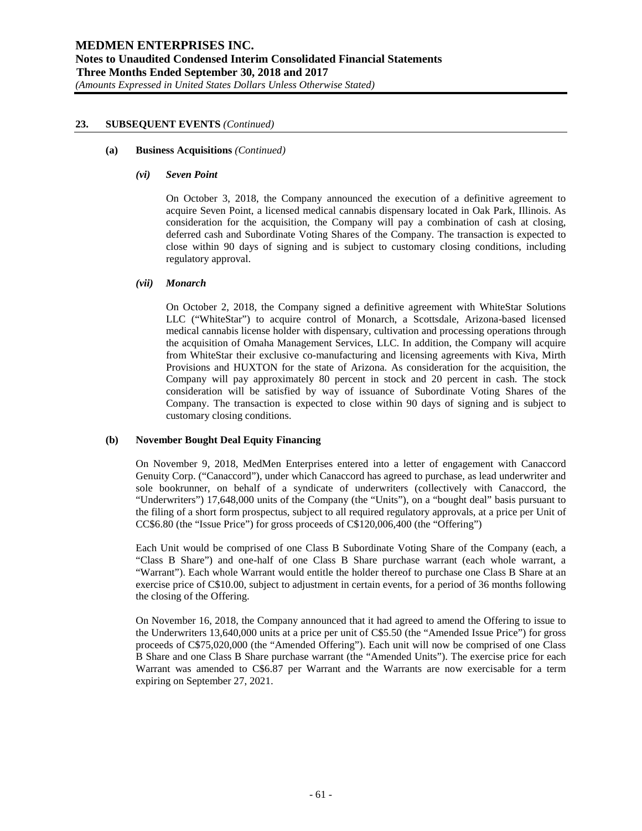#### **(a) Business Acquisitions** *(Continued)*

#### *(vi) Seven Point*

On October 3, 2018, the Company announced the execution of a definitive agreement to acquire Seven Point, a licensed medical cannabis dispensary located in Oak Park, Illinois. As consideration for the acquisition, the Company will pay a combination of cash at closing, deferred cash and Subordinate Voting Shares of the Company. The transaction is expected to close within 90 days of signing and is subject to customary closing conditions, including regulatory approval.

# *(vii) Monarch*

On October 2, 2018, the Company signed a definitive agreement with WhiteStar Solutions LLC ("WhiteStar") to acquire control of Monarch, a Scottsdale, Arizona-based licensed medical cannabis license holder with dispensary, cultivation and processing operations through the acquisition of Omaha Management Services, LLC. In addition, the Company will acquire from WhiteStar their exclusive co-manufacturing and licensing agreements with Kiva, Mirth Provisions and HUXTON for the state of Arizona. As consideration for the acquisition, the Company will pay approximately 80 percent in stock and 20 percent in cash. The stock consideration will be satisfied by way of issuance of Subordinate Voting Shares of the Company. The transaction is expected to close within 90 days of signing and is subject to customary closing conditions.

#### **(b) November Bought Deal Equity Financing**

On November 9, 2018, MedMen Enterprises entered into a letter of engagement with Canaccord Genuity Corp. ("Canaccord"), under which Canaccord has agreed to purchase, as lead underwriter and sole bookrunner, on behalf of a syndicate of underwriters (collectively with Canaccord, the "Underwriters") 17,648,000 units of the Company (the "Units"), on a "bought deal" basis pursuant to the filing of a short form prospectus, subject to all required regulatory approvals, at a price per Unit of CC\$6.80 (the "Issue Price") for gross proceeds of C\$120,006,400 (the "Offering")

Each Unit would be comprised of one Class B Subordinate Voting Share of the Company (each, a "Class B Share") and one-half of one Class B Share purchase warrant (each whole warrant, a "Warrant"). Each whole Warrant would entitle the holder thereof to purchase one Class B Share at an exercise price of C\$10.00, subject to adjustment in certain events, for a period of 36 months following the closing of the Offering.

On November 16, 2018, the Company announced that it had agreed to amend the Offering to issue to the Underwriters 13,640,000 units at a price per unit of C\$5.50 (the "Amended Issue Price") for gross proceeds of C\$75,020,000 (the "Amended Offering"). Each unit will now be comprised of one Class B Share and one Class B Share purchase warrant (the "Amended Units"). The exercise price for each Warrant was amended to C\$6.87 per Warrant and the Warrants are now exercisable for a term expiring on September 27, 2021.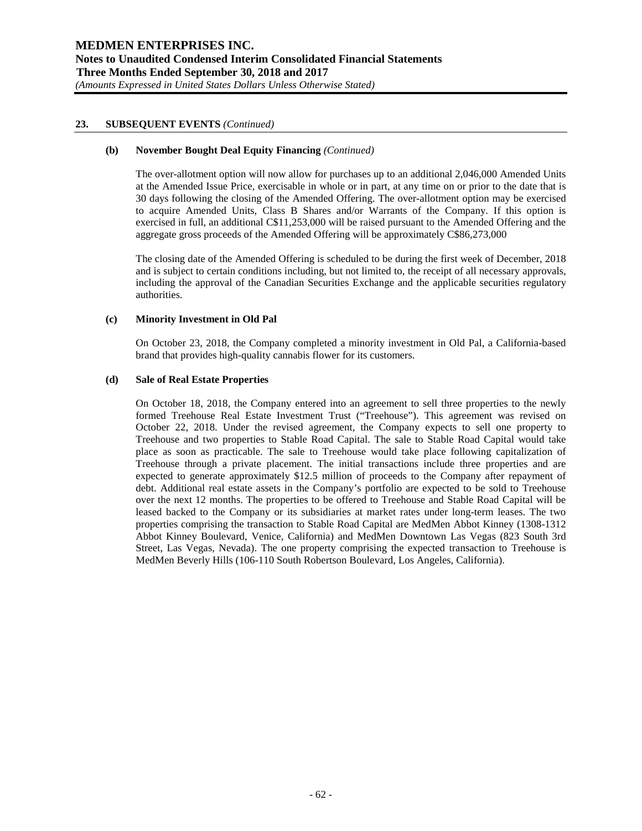#### **(b) November Bought Deal Equity Financing** *(Continued)*

The over-allotment option will now allow for purchases up to an additional 2,046,000 Amended Units at the Amended Issue Price, exercisable in whole or in part, at any time on or prior to the date that is 30 days following the closing of the Amended Offering. The over-allotment option may be exercised to acquire Amended Units, Class B Shares and/or Warrants of the Company. If this option is exercised in full, an additional C\$11,253,000 will be raised pursuant to the Amended Offering and the aggregate gross proceeds of the Amended Offering will be approximately C\$86,273,000

The closing date of the Amended Offering is scheduled to be during the first week of December, 2018 and is subject to certain conditions including, but not limited to, the receipt of all necessary approvals, including the approval of the Canadian Securities Exchange and the applicable securities regulatory authorities.

## **(c) Minority Investment in Old Pal**

On October 23, 2018, the Company completed a minority investment in Old Pal, a California-based brand that provides high-quality cannabis flower for its customers.

## **(d) Sale of Real Estate Properties**

On October 18, 2018, the Company entered into an agreement to sell three properties to the newly formed Treehouse Real Estate Investment Trust ("Treehouse"). This agreement was revised on October 22, 2018. Under the revised agreement, the Company expects to sell one property to Treehouse and two properties to Stable Road Capital. The sale to Stable Road Capital would take place as soon as practicable. The sale to Treehouse would take place following capitalization of Treehouse through a private placement. The initial transactions include three properties and are expected to generate approximately \$12.5 million of proceeds to the Company after repayment of debt. Additional real estate assets in the Company's portfolio are expected to be sold to Treehouse over the next 12 months. The properties to be offered to Treehouse and Stable Road Capital will be leased backed to the Company or its subsidiaries at market rates under long-term leases. The two properties comprising the transaction to Stable Road Capital are MedMen Abbot Kinney (1308-1312 Abbot Kinney Boulevard, Venice, California) and MedMen Downtown Las Vegas (823 South 3rd Street, Las Vegas, Nevada). The one property comprising the expected transaction to Treehouse is MedMen Beverly Hills (106-110 South Robertson Boulevard, Los Angeles, California).